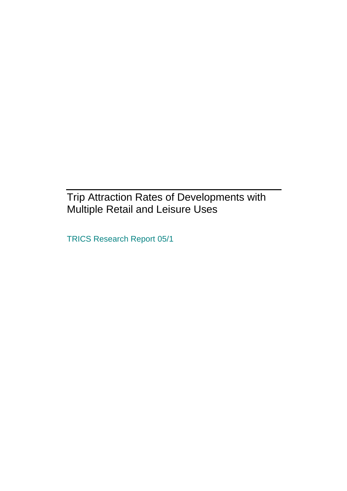## Trip Attraction Rates of Developments with Multiple Retail and Leisure Uses

TRICS Research Report 05/1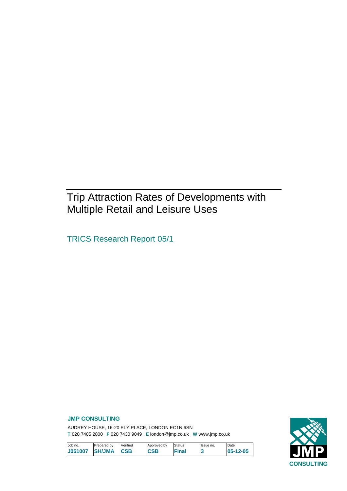## Trip Attraction Rates of Developments with Multiple Retail and Leisure Uses

TRICS Research Report 05/1

### **JMP CONSULTING**

AUDREY HOUSE, 16-20 ELY PLACE, LONDON EC1N 6SN **T** 020 7405 2800 **F** 020 7430 9049 **E** london@jmp.co.uk **W** www.jmp.co.uk

| <b>CONSULTING</b> |  |
|-------------------|--|

| Job no.        | Prepared by   | Verified   | Approved by | Status | Issue no. | Date            |
|----------------|---------------|------------|-------------|--------|-----------|-----------------|
| <b>J051007</b> | <b>SH/JMA</b> | <b>CSB</b> | CSB         | Final  |           | $105 - 12 - 05$ |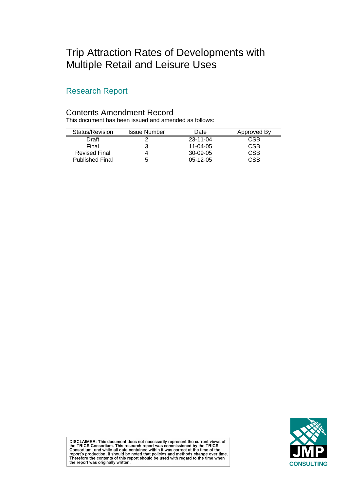## Trip Attraction Rates of Developments with Multiple Retail and Leisure Uses

## Research Report

### Contents Amendment Record

This document has been issued and amended as follows:

| Status/Revision        | <b>Issue Number</b> | Date           | Approved By |
|------------------------|---------------------|----------------|-------------|
| Draft                  |                     | $23 - 11 - 04$ | CSB         |
| Final                  |                     | 11-04-05       | CSB         |
| <b>Revised Final</b>   |                     | 30-09-05       | CSB         |
| <b>Published Final</b> | b                   | $05-12-05$     | CSB         |



DISCLAIMER: This document does not necessarily represent the current views of<br>the TRICS Consortium. This research report was commissioned by the TRICS<br>Consortium, and while all data contained within it was correct at the t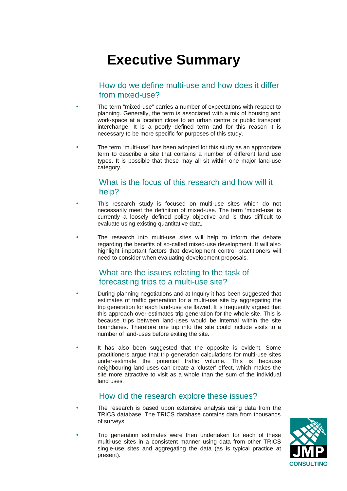# **Executive Summary**

## How do we define multi-use and how does it differ from mixed-use?

- The term "mixed-use" carries a number of expectations with respect to planning. Generally, the term is associated with a mix of housing and work-space at a location close to an urban centre or public transport interchange. It is a poorly defined term and for this reason it is necessary to be more specific for purposes of this study.
- The term "multi-use" has been adopted for this study as an appropriate term to describe a site that contains a number of different land use types. It is possible that these may all sit within one major land-use category.

### What is the focus of this research and how will it help?

- This research study is focused on multi-use sites which do not necessarily meet the definition of mixed-use. The term 'mixed-use' is currently a loosely defined policy objective and is thus difficult to evaluate using existing quantitative data.
- The research into multi-use sites will help to inform the debate regarding the benefits of so-called mixed-use development. It will also highlight important factors that development control practitioners will need to consider when evaluating development proposals.

## What are the issues relating to the task of forecasting trips to a multi-use site?

- During planning negotiations and at Inquiry it has been suggested that estimates of traffic generation for a multi-use site by aggregating the trip generation for each land-use are flawed. It is frequently argued that this approach over-estimates trip generation for the whole site. This is because trips between land-uses would be internal within the site boundaries. Therefore one trip into the site could include visits to a number of land-uses before exiting the site.
- It has also been suggested that the opposite is evident. Some practitioners argue that trip generation calculations for multi-use sites under-estimate the potential traffic volume. This is because neighbouring land-uses can create a 'cluster' effect, which makes the site more attractive to visit as a whole than the sum of the individual land uses.

## How did the research explore these issues?

- The research is based upon extensive analysis using data from the TRICS database. The TRICS database contains data from thousands of surveys.
- Trip generation estimates were then undertaken for each of these multi-use sites in a consistent manner using data from other TRICS single-use sites and aggregating the data (as is typical practice at present).

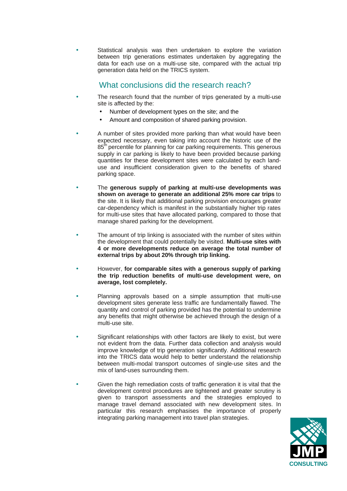Statistical analysis was then undertaken to explore the variation between trip generations estimates undertaken by aggregating the data for each use on a multi-use site, compared with the actual trip generation data held on the TRICS system.

## What conclusions did the research reach?

- The research found that the number of trips generated by a multi-use site is affected by the:
	- Number of development types on the site; and the
	- Amount and composition of shared parking provision.
- A number of sites provided more parking than what would have been expected necessary, even taking into account the historic use of the 85<sup>th</sup> percentile for planning for car parking requirements. This generous supply in car parking is likely to have been provided because parking quantities for these development sites were calculated by each landuse and insufficient consideration given to the benefits of shared parking space.
- The **generous supply of parking at multi-use developments was shown on average to generate an additional 25% more car trips** to the site. It is likely that additional parking provision encourages greater car-dependency which is manifest in the substantially higher trip rates for multi-use sites that have allocated parking, compared to those that manage shared parking for the development.
- The amount of trip linking is associated with the number of sites within the development that could potentially be visited. **Multi-use sites with 4 or more developments reduce on average the total number of external trips by about 20% through trip linking.**
- However, **for comparable sites with a generous supply of parking the trip reduction benefits of multi-use development were, on average, lost completely.**
- Planning approvals based on a simple assumption that multi-use development sites generate less traffic are fundamentally flawed. The quantity and control of parking provided has the potential to undermine any benefits that might otherwise be achieved through the design of a multi-use site.
- Significant relationships with other factors are likely to exist, but were not evident from the data. Further data collection and analysis would improve knowledge of trip generation significantly. Additional research into the TRICS data would help to better understand the relationship between multi-modal transport outcomes of single-use sites and the mix of land-uses surrounding them.
- Given the high remediation costs of traffic generation it is vital that the development control procedures are tightened and greater scrutiny is given to transport assessments and the strategies employed to manage travel demand associated with new development sites. In particular this research emphasises the importance of properly integrating parking management into travel plan strategies.

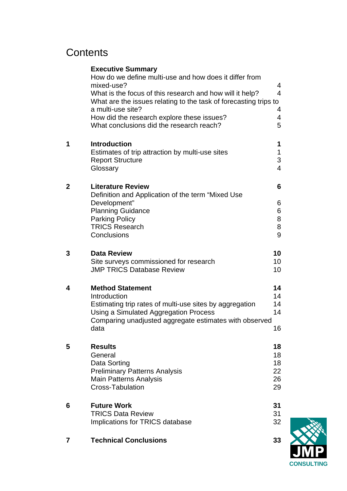## **Contents**

|                | <b>Executive Summary</b>                                                                                                     |                  |
|----------------|------------------------------------------------------------------------------------------------------------------------------|------------------|
|                | How do we define multi-use and how does it differ from<br>mixed-use?                                                         | 4                |
|                | What is the focus of this research and how will it help?<br>What are the issues relating to the task of forecasting trips to | $\overline{4}$   |
|                | a multi-use site?                                                                                                            | 4<br>4           |
|                | How did the research explore these issues?<br>What conclusions did the research reach?                                       | 5                |
| 1              | <b>Introduction</b>                                                                                                          | 1                |
|                | Estimates of trip attraction by multi-use sites<br><b>Report Structure</b>                                                   | $\mathbf 1$<br>3 |
|                | Glossary                                                                                                                     | $\overline{4}$   |
| $\overline{2}$ | <b>Literature Review</b>                                                                                                     | 6                |
|                | Definition and Application of the term "Mixed Use<br>Development"                                                            | 6                |
|                | <b>Planning Guidance</b>                                                                                                     | 6                |
|                | <b>Parking Policy</b>                                                                                                        | 8                |
|                | <b>TRICS Research</b>                                                                                                        | 8                |
|                | Conclusions                                                                                                                  | 9                |
| 3              | <b>Data Review</b>                                                                                                           | 10               |
|                | Site surveys commissioned for research                                                                                       | 10               |
|                | <b>JMP TRICS Database Review</b>                                                                                             | 10               |
| 4              | <b>Method Statement</b>                                                                                                      | 14               |
|                | Introduction                                                                                                                 | 14               |
|                | Estimating trip rates of multi-use sites by aggregation                                                                      | 14               |
|                | Using a Simulated Aggregation Process                                                                                        | 14               |
|                | Comparing unadjusted aggregate estimates with observed<br>data                                                               | 16               |
|                |                                                                                                                              |                  |
| 5              | <b>Results</b><br>General                                                                                                    | 18<br>18         |
|                | Data Sorting                                                                                                                 | 18               |
|                | <b>Preliminary Patterns Analysis</b>                                                                                         | 22               |
|                | <b>Main Patterns Analysis</b>                                                                                                | 26               |
|                | <b>Cross-Tabulation</b>                                                                                                      | 29               |
| 6              | <b>Future Work</b>                                                                                                           | 31               |
|                | <b>TRICS Data Review</b>                                                                                                     | 31<br>32         |
|                | Implications for TRICS database                                                                                              |                  |
| 7              | <b>Technical Conclusions</b>                                                                                                 | 33               |

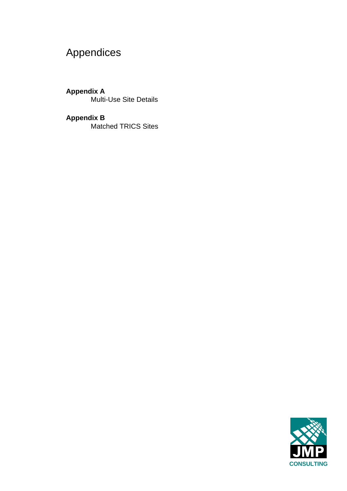# Appendices

**Appendix A** Multi-Use Site Details

**Appendix B** Matched TRICS Sites

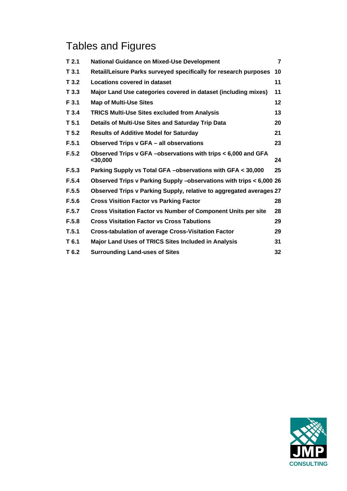# Tables and Figures

| T <sub>2.1</sub> | <b>National Guidance on Mixed-Use Development</b>                           | $\overline{7}$  |
|------------------|-----------------------------------------------------------------------------|-----------------|
| T3.1             | Retail/Leisure Parks surveyed specifically for research purposes            | 10              |
| T <sub>3.2</sub> | Locations covered in dataset                                                | 11              |
| T <sub>3.3</sub> | Major Land Use categories covered in dataset (including mixes)              | 11              |
| F 3.1            | <b>Map of Multi-Use Sites</b>                                               | 12 <sub>2</sub> |
| T3.4             | <b>TRICS Multi-Use Sites excluded from Analysis</b>                         | 13              |
| T <sub>5.1</sub> | Details of Multi-Use Sites and Saturday Trip Data                           | 20              |
| T <sub>5.2</sub> | <b>Results of Additive Model for Saturday</b>                               | 21              |
| F.5.1            | Observed Trips v GFA - all observations                                     | 23              |
| F.5.2            | Observed Trips v GFA -observations with trips < 6,000 and GFA<br>$<$ 30,000 | 24              |
| F.5.3            | Parking Supply vs Total GFA -observations with GFA < 30,000                 | 25              |
| F.5.4            | Observed Trips v Parking Supply -observations with trips < 6,000 26         |                 |
| F.5.5            | Observed Trips v Parking Supply, relative to aggregated averages 27         |                 |
| F.5.6            | <b>Cross Visition Factor vs Parking Factor</b>                              | 28              |
| F.5.7            | <b>Cross Visitation Factor vs Number of Component Units per site</b>        | 28              |
| F.5.8            | <b>Cross Visitation Factor vs Cross Tabutions</b>                           | 29              |
| T.5.1            | <b>Cross-tabulation of average Cross-Visitation Factor</b>                  | 29              |
| T 6.1            | <b>Major Land Uses of TRICS Sites Included in Analysis</b>                  | 31              |
| T 6.2            | <b>Surrounding Land-uses of Sites</b>                                       | 32              |

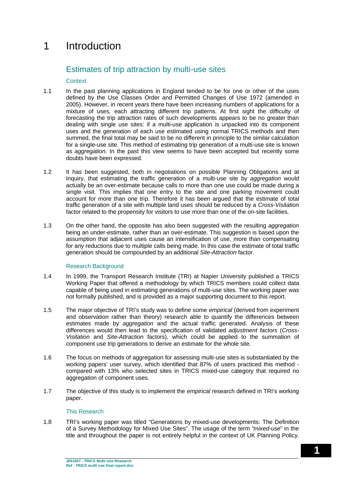## 1 Introduction

## Estimates of trip attraction by multi-use sites

#### **Context**

- 1.1 In the past planning applications in England tended to be for one or other of the uses defined by the Use Classes Order and Permitted Changes of Use 1972 (amended in 2005). However, in recent years there have been increasing numbers of applications for a mixture of uses, each attracting different trip patterns. At first sight the difficulty of forecasting the trip attraction rates of such developments appears to be no greater than dealing with single use sites: if a multi-use application is unpacked into its component uses and the generation of each use estimated using normal TRICS methods and then summed, the final total may be said to be no different in principle to the similar calculation for a single-use site. This method of estimating trip generation of a multi-use site is known as *aggregation*. In the past this view seems to have been accepted but recently some doubts have been expressed.
- 1.2 It has been suggested, both in negotiations on possible Planning Obligations and at Inquiry, that estimating the traffic generation of a multi-use site by *aggregation* would actually be an over-estimate because calls to more than one use could be made during a single visit. This implies that one entry to the site and one parking movement could account for more than one trip. Therefore it has been argued that the estimate of total traffic generation of a site with multiple land uses should be reduced by a *Cross-Visitation* factor related to the propensity for visitors to use more than one of the on-site facilities.
- 1.3 On the other hand, the opposite has also been suggested with the resulting *aggregation* being an under-estimate, rather than an over-estimate. This suggestion is based upon the assumption that adjacent uses cause an intensification of use, more than compensating for any reductions due to multiple calls being made. In this case the estimate of total traffic generation should be compounded by an additional *Site-Attraction* factor.

#### Research Background

- 1.4 In 1999, the Transport Research Institute (TRI) at Napier University published a TRICS Working Paper that offered a methodology by which TRICS members could collect data capable of being used in estimating generations of multi-use sites. The working paper was not formally published, and is provided as a major supporting document to this report.
- 1.5 The major objective of TRI's study was to define some *empirical* (derived from experiment and observation rather than theory) research able to quantify the differences between estimates made by *aggregation* and the actual traffic generated. Analysis of these differences would then lead to the specification of validated *adjustment factors* (*Cross-Visitation* and *Site-Attraction* factors), which could be applied to the summation of component use trip generations to derive an estimate for the whole site.
- 1.6 The focus on methods of aggregation for assessing multi-use sites is substantiated by the working papers' user survey, which identified that 87% of users practiced this method compared with 13% who selected sites in TRICS mixed-use category that required no aggregation of component uses.
- 1.7 The objective of this study is to implement the *empirical* research defined in TRI's working paper.

#### This Research

1.8 TRI's working paper was titled "Generations by mixed-use developments: The Definition of a Survey Methodology for Mixed Use Sites". The usage of the term "*mixed-use*" in the title and throughout the paper is not entirely helpful in the context of UK Planning Policy.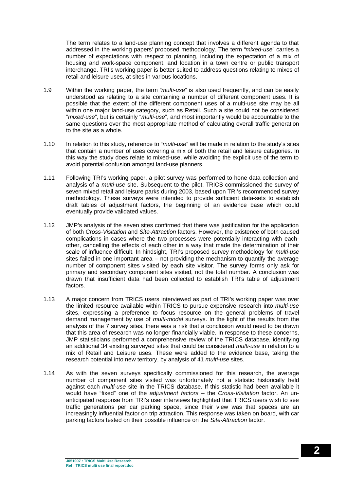The term relates to a land-use planning concept that involves a different agenda to that addressed in the working papers' proposed methodology. The term "*mixed-use*" carries a number of expectations with respect to planning, including the expectation of a mix of housing and work-space component, and location in a town centre or public transport interchange. TRI's working paper is better suited to address questions relating to mixes of retail and leisure uses, at sites in various locations.

- 1.9 Within the working paper, the term "*multi-use*" is also used frequently, and can be easily understood as relating to a site containing a number of different component uses. It is possible that the extent of the different component uses of a multi-use site may be all within one major land-use category, such as Retail. Such a site could not be considered "*mixed-use*", but is certainly "*multi-use*", and most importantly would be accountable to the same questions over the most appropriate method of calculating overall traffic generation to the site as a whole.
- 1.10 In relation to this study, reference to "*multi-use*" will be made in relation to the study's sites that contain a number of uses covering a mix of both the retail and leisure categories. In this way the study does relate to mixed-use, while avoiding the explicit use of the term to avoid potential confusion amongst land-use planners.
- 1.11 Following TRI's working paper, a pilot survey was performed to hone data collection and analysis of a *multi-use* site. Subsequent to the pilot, TRICS commissioned the survey of seven mixed retail and leisure parks during 2003, based upon TRI's recommended survey methodology. These surveys were intended to provide sufficient data-sets to establish draft tables of adjustment factors, the beginning of an evidence base which could eventually provide validated values.
- 1.12 JMP's analysis of the seven sites confirmed that there was justification for the application of both *Cross-Visitation* and *Site-Attraction* factors. However, the existence of both caused complications in cases where the two processes were potentially interacting with eachother, cancelling the effects of each other in a way that made the determination of their scale of influence difficult. In hindsight, TRI's proposed survey methodology for *multi-use* sites failed in one important area – not providing the mechanism to quantify the average number of component sites visited by each site visitor. The survey forms only ask for primary and secondary component sites visited, not the total number. A conclusion was drawn that insufficient data had been collected to establish TRI's table of adjustment factors.
- 1.13 A major concern from TRICS users interviewed as part of TRI's working paper was over the limited resource available within TRICS to pursue expensive research into *multi-use* sites, expressing a preference to focus resource on the general problems of travel demand management by use of *multi-modal* surveys. In the light of the results from the analysis of the 7 survey sites, there was a risk that a conclusion would need to be drawn that this area of research was no longer financially viable. In response to these concerns, JMP statisticians performed a comprehensive review of the TRICS database, identifying an additional 34 existing surveyed sites that could be considered *multi-use* in relation to a mix of Retail and Leisure uses. These were added to the evidence base, taking the research potential into new territory, by analysis of 41 *multi-use* sites.
- 1.14 As with the seven surveys specifically commissioned for this research, the average number of component sites visited was unfortunately not a statistic historically held against each *multi-use* site in the TRICS database. If this statistic had been available it would have "fixed" one of the *adjustment factors* – the *Cross-Visitation* factor. An unanticipated response from TRI's user interviews highlighted that TRICS users wish to see traffic generations per car parking space, since their view was that spaces are an increasingly influential factor on trip attraction. This response was taken on board, with car parking factors tested on their possible influence on the *Site-Attraction* factor.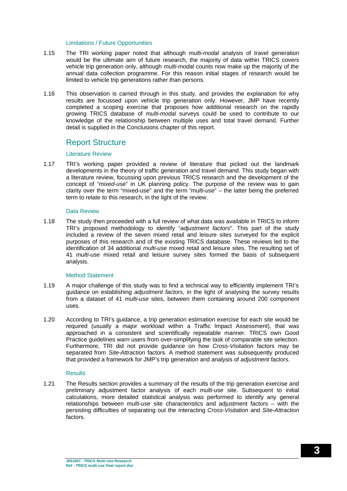#### Limitations / Future Opportunities

- 1.15 The TRI working paper noted that although *multi-modal* analysis of travel generation would be the ultimate aim of future research, the majority of data within TRICS covers vehicle trip generation only, although *multi-modal* counts now make up the majority of the annual data collection programme. For this reason initial stages of research would be limited to vehicle trip generations rather than persons.
- 1.16 This observation is carried through in this study, and provides the explanation for why results are focussed upon vehicle trip generation only. However, JMP have recently completed a scoping exercise that proposes how additional research on the rapidly growing TRICS database of *multi-modal* surveys could be used to contribute to our knowledge of the relationship between multiple uses and total travel demand. Further detail is supplied in the Conclusions chapter of this report.

### Report Structure

#### Literature Review

1.17 TRI's working paper provided a review of literature that picked out the landmark developments in the theory of traffic generation and travel demand. This study began with a literature review, focussing upon previous TRICS research and the development of the concept of "*mixed-use*" in UK planning policy. The purpose of the review was to gain clarity over the term "mixed-use" and the term "*multi-use*" – the latter being the preferred term to relate to this research, in the light of the review.

#### Data Review

1.18 The study then proceeded with a full review of what data was available in TRICS to inform TRI's proposed methodology to identify "*adjustment factors*". This part of the study included a review of the seven mixed retail and leisure sites surveyed for the explicit purposes of this research and of the existing TRICS database. These reviews led to the identification of 34 additional *multi-use* mixed retail and leisure sites. The resulting set of 41 *multi-use* mixed retail and leisure survey sites formed the basis of subsequent analysis.

#### Method Statement

- 1.19 A major challenge of this study was to find a technical way to efficiently implement TRI's guidance on establishing *adjustment factors*, in the light of analysing the survey results from a dataset of 41 *multi-use* sites, between them containing around 200 component uses.
- 1.20 According to TRI's guidance, a trip generation estimation exercise for each site would be required (usually a major workload within a Traffic Impact Assessment), that was approached in a consistent and scientifically repeatable manner. TRICS own Good Practice guidelines warn users from over-simplifying the task of comparable site selection. Furthermore, TRI did not provide guidance on how *Cross-Visitation* factors may be separated from *Site-Attraction* factors. A method statement was subsequently produced that provided a framework for JMP's trip generation and analysis of *adjustment factors*.

#### **Results**

1.21 The Results section provides a summary of the results of the trip generation exercise and preliminary adjustment factor analysis of each *multi-use* site. Subsequent to initial calculations, more detailed statistical analysis was performed to identify any general relationships between *multi-use* site characteristics and adjustment factors – with the persisting difficulties of separating out the interacting *Cross-Visitation* and *Site-Attraction* factors.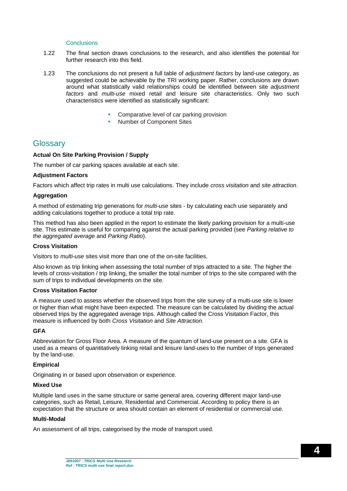#### Conclusions

- 1.22 The final section draws conclusions to the research, and also identifies the potential for further research into this field.
- 1.23 The conclusions do not present a full table of *adjustment factors* by land-use category, as suggested could be achievable by the TRI working paper. Rather, conclusions are drawn around what statistically valid relationships could be identified between site *adjustment factors* and *multi-use* mixed retail and leisure site characteristics. Only two such characteristics were identified as statistically significant:
	- Comparative level of car parking provision
	- Number of Component Sites

### **Glossary**

#### **Actual On Site Parking Provision / Supply**

The number of car parking spaces available at each site.

#### **Adjustment Factors**

Factors which affect trip rates in multi use calculations. They include *cross visitation* and *site attraction*.

#### **Aggregation**

A method of estimating trip generations for *multi-use* sites - by calculating each use separately and adding calculations together to produce a total trip rate.

This method has also been applied in the report to estimate the likely parking provision for a multi-use site. This estimate is useful for comparing against the actual parking provided (see *Parking relative to the aggregated average* and *Parking Ratio*).

#### **Cross Visitation**

Visitors to *multi-use* sites visit more than one of the on-site facilities.

Also known as trip linking when assessing the total number of trips attracted to a site. The higher the levels of cross-visitation / trip linking, the smaller the total number of trips to the site compared with the sum of trips to individual developments on the site.

#### **Cross Visitation Factor**

A measure used to assess whether the observed trips from the site survey of a multi-use site is lower or higher than what might have been expected. The measure can be calculated by dividing the actual observed trips by the aggregated average trips. Although called the Cross Visitation Factor, this measure is influenced by both *Cross Visitation* and *Site Attraction*.

#### **GFA**

Abbreviation for Gross Floor Area. A measure of the quantum of land-use present on a site. GFA is used as a means of quantitatively linking retail and leisure land-uses to the number of trips generated by the land-use.

#### **Empirical**

Originating in or based upon observation or experience.

#### **Mixed Use**

Multiple land uses in the same structure or same general area, covering different major land-use categories, such as Retail, Leisure, Residential and Commercial. According to policy there is an expectation that the structure or area should contain an element of residential or commercial use.

#### **Multi-Modal**

An assessment of all trips, categorised by the mode of transport used.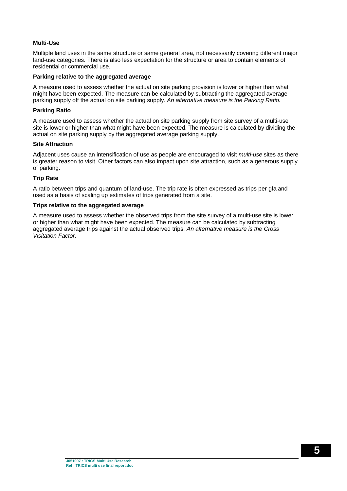#### **Multi-Use**

Multiple land uses in the same structure or same general area, not necessarily covering different major land-use categories. There is also less expectation for the structure or area to contain elements of residential or commercial use.

#### **Parking relative to the aggregated average**

A measure used to assess whether the actual on site parking provision is lower or higher than what might have been expected. The measure can be calculated by subtracting the aggregated average parking supply off the actual on site parking supply*. An alternative measure is the Parking Ratio.*

#### **Parking Ratio**

A measure used to assess whether the actual on site parking supply from site survey of a multi-use site is lower or higher than what might have been expected. The measure is calculated by dividing the actual on site parking supply by the aggregated average parking supply.

#### **Site Attraction**

Adjacent uses cause an intensification of use as people are encouraged to visit *multi-use* sites as there is greater reason to visit. Other factors can also impact upon site attraction, such as a generous supply of parking.

#### **Trip Rate**

A ratio between trips and quantum of land-use. The trip rate is often expressed as trips per gfa and used as a basis of scaling up estimates of trips generated from a site.

#### **Trips relative to the aggregated average**

A measure used to assess whether the observed trips from the site survey of a multi-use site is lower or higher than what might have been expected. The measure can be calculated by subtracting aggregated average trips against the actual observed trips. *An alternative measure is the Cross Visitation Factor.*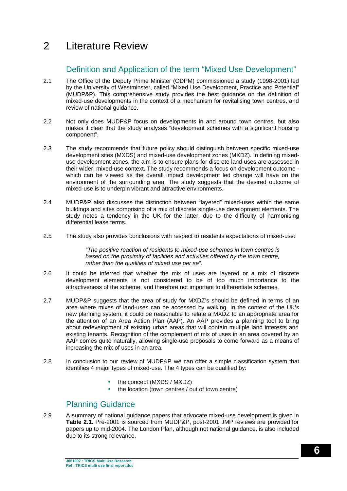## 2 Literature Review

## Definition and Application of the term "Mixed Use Development"

- 2.1 The Office of the Deputy Prime Minister (ODPM) commissioned a study (1998-2001) led by the University of Westminster, called "Mixed Use Development, Practice and Potential" (MUDP&P). This comprehensive study provides the best guidance on the definition of mixed-use developments in the context of a mechanism for revitalising town centres, and review of national guidance.
- 2.2 Not only does MUDP&P focus on developments in and around town centres, but also makes it clear that the study analyses "development schemes with a significant housing component".
- 2.3 The study recommends that future policy should distinguish between specific mixed-use development sites (MXDS) and mixed-use development zones (MXDZ). In defining mixeduse development zones, the aim is to ensure plans for discrete land-uses are assessed in their wider, mixed-use context. The study recommends a focus on development outcome which can be viewed as the overall impact development led change will have on the environment of the surrounding area. The study suggests that the desired outcome of mixed-use is to underpin vibrant and attractive environments.
- 2.4 MUDP&P also discusses the distinction between "layered" mixed-uses within the same buildings and sites comprising of a mix of discrete single-use development elements. The study notes a tendency in the UK for the latter, due to the difficulty of harmonising differential lease terms.
- 2.5 The study also provides conclusions with respect to residents expectations of mixed-use:

*"The positive reaction of residents to mixed-use schemes in town centres is based on the proximity of facilities and activities offered by the town centre, rather than the qualities of mixed use per se".*

- 2.6 It could be inferred that whether the mix of uses are layered or a mix of discrete development elements is not considered to be of too much importance to the attractiveness of the scheme, and therefore not important to differentiate schemes.
- 2.7 MUDP&P suggests that the area of study for MXDZ's should be defined in terms of an area where mixes of land-uses can be accessed by walking. In the context of the UK's new planning system, it could be reasonable to relate a MXDZ to an appropriate area for the attention of an Area Action Plan (AAP). An AAP provides a planning tool to bring about redevelopment of existing urban areas that will contain multiple land interests and existing tenants. Recognition of the complement of mix of uses in an area covered by an AAP comes quite naturally, allowing single-use proposals to come forward as a means of increasing the mix of uses in an area.
- 2.8 In conclusion to our review of MUDP&P we can offer a simple classification system that identifies 4 major types of mixed-use. The 4 types can be qualified by:
	- the concept (MXDS / MXDZ)
	- the location (town centres / out of town centre)

## Planning Guidance

2.9 A summary of national guidance papers that advocate mixed-use development is given in **Table 2.1**. Pre-2001 is sourced from MUDP&P, post-2001 JMP reviews are provided for papers up to mid-2004. The London Plan, although not national guidance, is also included due to its strong relevance.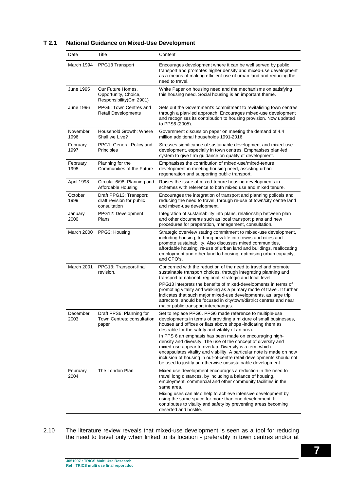#### **T 2.1 National Guidance on Mixed-Use Development**

| Date             | Title                                                                | Content                                                                                                                                                                                                                                                                                                                                                                                                                                                                                                                                                                                                                                                 |
|------------------|----------------------------------------------------------------------|---------------------------------------------------------------------------------------------------------------------------------------------------------------------------------------------------------------------------------------------------------------------------------------------------------------------------------------------------------------------------------------------------------------------------------------------------------------------------------------------------------------------------------------------------------------------------------------------------------------------------------------------------------|
| March 1994       | PPG13 Transport                                                      | Encourages development where it can be well served by public<br>transport and promotes higher density and mixed-use development<br>as a means of making efficient use of urban land and reducing the<br>need to travel.                                                                                                                                                                                                                                                                                                                                                                                                                                 |
| June 1995        | Our Future Homes,<br>Opportunity, Choice,<br>Responsibility(Cm 2901) | White Paper on housing need and the mechanisms on satisfying<br>this housing need. Social housing is an important theme.                                                                                                                                                                                                                                                                                                                                                                                                                                                                                                                                |
| June 1996        | PPG6: Town Centres and<br><b>Retail Developments</b>                 | Sets out the Government's commitment to revitalising town centres<br>through a plan-led approach. Encourages mixed-use development<br>and recognises its contribution to housing provision. Now updated<br>to PPS6 (2005).                                                                                                                                                                                                                                                                                                                                                                                                                              |
| November<br>1996 | Household Growth: Where<br>Shall we Live?                            | Government discussion paper on meeting the demand of 4.4<br>million additional households 1991-2016                                                                                                                                                                                                                                                                                                                                                                                                                                                                                                                                                     |
| February<br>1997 | PPG1: General Policy and<br>Principles                               | Stresses significance of sustainable development and mixed-use<br>development, especially in town centres. Emphasises plan-led<br>system to give firm guidance on quality of development.                                                                                                                                                                                                                                                                                                                                                                                                                                                               |
| February<br>1998 | Planning for the<br>Communities of the Future                        | Emphasises the contribution of mixed-use/mixed-tenure<br>development in meeting housing need, assisting urban<br>regeneration and supporting public transport.                                                                                                                                                                                                                                                                                                                                                                                                                                                                                          |
| April 1998       | Circular 6/98: Planning and<br>Affordable Housing                    | Raises the issue of mixed-tenure housing developments in<br>schemes with reference to both mixed use and mixed tenure.                                                                                                                                                                                                                                                                                                                                                                                                                                                                                                                                  |
| October<br>1999  | Draft PPG13: Transport;<br>draft revision for public<br>consultation | Encourages the integration of transport and planning policeis and<br>reducing the need to travel, through re-use of town/city centre land<br>and mixed-use development.                                                                                                                                                                                                                                                                                                                                                                                                                                                                                 |
| January<br>2000  | PPG12: Development<br>Plans                                          | Integration of sustainability into plans, relationship between plan<br>and other documents such as local transport plans and new<br>procedures for preparation, management, consultation.                                                                                                                                                                                                                                                                                                                                                                                                                                                               |
| March 2000       | PPG3: Housing                                                        | Strategic overview stating commitment to mixed-use development,<br>including housing, to bring new life into towns and cities and<br>promote sustainability. Also discusses mixed communities,<br>affordable housing, re-use of urban land and buildings, reallocating<br>employment and other land to housing, optimising urban capacity,<br>and CPO's.                                                                                                                                                                                                                                                                                                |
| March 2001       | PPG13: Transport-final<br>revision.                                  | Concerned with the reduction of the need to travel and promote<br>sustainable transport choices, through integrating planning and<br>transport at national, regional, strategic and local level.<br>PPG13 interprets the benefits of mixed-developments in terms of<br>promoting vitality and walking as a primary mode of travel. It further<br>indicates that such major mixed-use developments, as large trip<br>attractors, should be focused in city/town/district centres and near<br>major public transport interchanges.                                                                                                                        |
| December<br>2003 | Draft PPS6: Planning for<br>Town Centres; consultation<br>paper      | Set to replace PPG6. PPG6 made reference to multiple-use<br>developments in terms of providing a mixture of small businesses,<br>houses and offices or flats above shops -indicating them as<br>desirable for the safety and vitality of an area.<br>In PPS 6 an emphasis has been made on encouraging high-<br>density and diversity. The use of the concept of diversity and<br>mixed-use appear to overlap. Diversity is a term which<br>encapsulates vitality and viability. A particular note is made on how<br>inclusion of housing in out-of-centre retail developments should not<br>be used to justify an otherwise unsustainable development. |
| February<br>2004 | The London Plan                                                      | Mixed use development encourages a reduction in the need to<br>travel long distances, by including a balance of housing,<br>employment, commercial and other community facilities in the<br>same area.<br>Mixing uses can also help to achieve intensive development by<br>using the same space for more than one development. It<br>contributes to vitality and safety by preventing areas becoming<br>deserted and hostile.                                                                                                                                                                                                                           |

2.10 The literature review reveals that mixed-use development is seen as a tool for reducing the need to travel only when linked to its location - preferably in town centres and/or at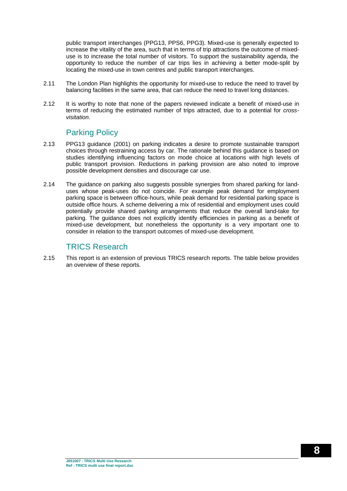public transport interchanges (PPG13, PPS6, PPG3). Mixed-use is generally expected to increase the vitality of the area, such that in terms of trip attractions the outcome of mixeduse is to increase the total number of visitors. To support the sustainability agenda, the opportunity to reduce the number of car trips lies in achieving a better mode-split by locating the mixed-use in town centres and public transport interchanges.

- 2.11 The London Plan highlights the opportunity for mixed-use to reduce the need to travel by balancing facilities in the same area, that can reduce the need to travel long distances.
- 2.12 It is worthy to note that none of the papers reviewed indicate a benefit of mixed-use in terms of reducing the estimated number of trips attracted, due to a potential for *crossvisitation*.

### Parking Policy

- 2.13 PPG13 guidance (2001) on parking indicates a desire to promote sustainable transport choices through restraining access by car. The rationale behind this guidance is based on studies identifying influencing factors on mode choice at locations with high levels of public transport provision. Reductions in parking provision are also noted to improve possible development densities and discourage car use.
- 2.14 The guidance on parking also suggests possible synergies from shared parking for landuses whose peak-uses do not coincide. For example peak demand for employment parking space is between office-hours, while peak demand for residential parking space is outside office hours. A scheme delivering a mix of residential and employment uses could potentially provide shared parking arrangements that reduce the overall land-take for parking. The guidance does not explicitly identify efficiencies in parking as a benefit of mixed-use development, but nonetheless the opportunity is a very important one to consider in relation to the transport outcomes of mixed-use development.

### TRICS Research

2.15 This report is an extension of previous TRICS research reports. The table below provides an overview of these reports.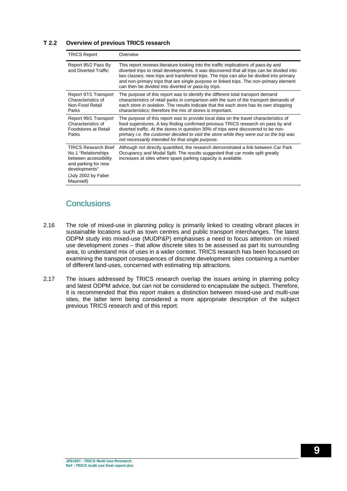#### **T 2.2 Overview of previous TRICS research**

| <b>TRICS Report</b>                                                                                                                                      | Overview                                                                                                                                                                                                                                                                                                                                                                                                                        |
|----------------------------------------------------------------------------------------------------------------------------------------------------------|---------------------------------------------------------------------------------------------------------------------------------------------------------------------------------------------------------------------------------------------------------------------------------------------------------------------------------------------------------------------------------------------------------------------------------|
| Report 95/2 Pass By<br>and Diverted Traffic                                                                                                              | This report reviews literature looking into the traffic implications of pass-by and<br>diverted trips to retail developments. It was discovered that all trips can be divided into<br>two classes; new trips and transferred trips. The trips can also be divided into primary<br>and non-primary trips that are single purpose or linked trips. The non-primary element<br>can then be divided into diverted or pass-by trips. |
| Report 97/1 Transport<br>Characteristics of<br>Non-Food Retail<br>Parks                                                                                  | The purpose of this report was to identify the different total transport demand<br>characteristics of retail parks in comparison with the sum of the transport demands of<br>each store in isolation. The results indicate that the each store has its own shopping<br>characteristics; therefore the mix of stores is important.                                                                                               |
| Report 99/1 Transport<br>Characteristics of<br>Foodstores at Retail<br>Parks                                                                             | The purpose of this report was to provide local data on the travel characteristics of<br>food superstores. A key finding confirmed previous TRICS research on pass by and<br>diverted traffic. At the stores in question 30% of trips were discovered to be non-<br>primary <i>i.e.</i> the customer decided to visit the store while they were out so the trip was<br>not necessarily intended for that single purpose.        |
| <b>TRICS Research Brief</b><br>No.1 "Relationships"<br>between accessibility<br>and parking for new<br>developments"<br>(July 2002 by Faber<br>Maunsell) | Although not directly quantified, the research demonstrated a link between Car Park<br>Occupancy and Modal Split. The results suggested that car mode split greatly<br>increases at sites where spare parking capacity is available.                                                                                                                                                                                            |

## **Conclusions**

- 2.16 The role of mixed-use in planning policy is primarily linked to creating vibrant places in sustainable locations such as town centres and public transport interchanges. The latest ODPM study into mixed-use (MUDP&P) emphasises a need to focus attention on mixed use development zones – that allow discrete sites to be assessed as part its surrounding area, to understand mix of uses in a wider context. TRICS research has been focussed on examining the transport consequences of discrete development sites containing a number of different land-uses, concerned with estimating trip attractions.
- 2.17 The issues addressed by TRICS research overlap the issues arising in planning policy and latest ODPM advice, but can not be considered to encapsulate the subject. Therefore, it is recommended that this report makes a distinction between mixed-use and multi-use sites, the latter term being considered a more appropriate description of the subject previous TRICS research and of this report.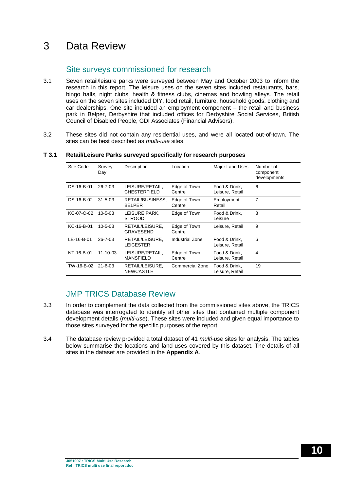## 3 Data Review

## Site surveys commissioned for research

- 3.1 Seven retail/leisure parks were surveyed between May and October 2003 to inform the research in this report. The leisure uses on the seven sites included restaurants, bars, bingo halls, night clubs, health & fitness clubs, cinemas and bowling alleys. The retail uses on the seven sites included DIY, food retail, furniture, household goods, clothing and car dealerships. One site included an employment component – the retail and business park in Belper, Derbyshire that included offices for Derbyshire Social Services, British Council of Disabled People, GDI Associates (Financial Advisors).
- 3.2 These sites did not contain any residential uses, and were all located out-of-town. The sites can be best described as *multi-use* sites.

#### Site Code Survey Day Description Location Major Land Uses Number of component developments DS-16-B-01 26-7-03 LEISURE/RETAIL, CHESTERFIELD Edge of Town **Centre** Food & Drink, Leisure, Retail 6 DS-16-B-02 31-5-03 RETAIL/BUSINESS, BELPER Edge of Town **Centre** Employment, Retail 7 KC-07-O-02 10-5-03 LEISURE PARK, **STROOD** Edge of Town Food & Drink, Leisure 8 KC-16-B-01 10-5-03 RETAIL/LEISURE, GRAVESEND Edge of Town Centre Leisure, Retail 9 LE-16-B-01 26-7-03 RETAIL/LEISURE, LEICESTER Industrial Zone Food & Drink, Leisure, Retail 6 NT-16-B-01 11-10-03 LEISURE/RETAIL, MANSFIELD Edge of Town Centre Food & Drink, Leisure, Retail 4 TW-16-B-02 21-6-03 RETAIL/LEISURE, NEWCASTLE Commercial Zone Food & Drink, Leisure, Retail 19

#### **T 3.1 Retail/Leisure Parks surveyed specifically for research purposes**

## JMP TRICS Database Review

- 3.3 In order to complement the data collected from the commissioned sites above, the TRICS database was interrogated to identify all other sites that contained multiple component development details (*multi-use*). These sites were included and given equal importance to those sites surveyed for the specific purposes of the report.
- 3.4 The database review provided a total dataset of 41 *multi-use* sites for analysis. The tables below summarise the locations and land-uses covered by this dataset. The details of all sites in the dataset are provided in the **Appendix A**.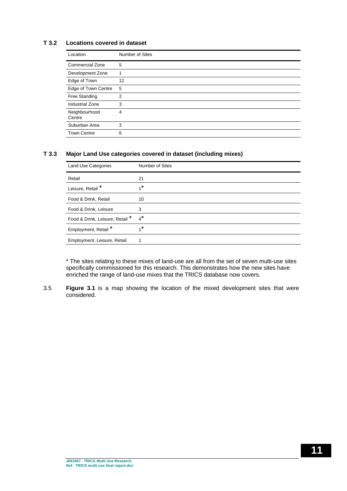#### **T 3.2 Locations covered in dataset**

| Location                | Number of Sites |
|-------------------------|-----------------|
| Commercial Zone         | 5               |
| Development Zone        |                 |
| Edge of Town            | 12              |
| Edge of Town Centre     | 5               |
| Free Standing           | $\overline{2}$  |
| <b>Industrial Zone</b>  | 3               |
| Neighbourhood<br>Centre | 4               |
| Suburban Area           | 3               |
| <b>Town Centre</b>      | 6               |

#### **T 3.3 Major Land Use categories covered in dataset (including mixes)**

| Number of Sites |
|-----------------|
| 21              |
| $1^*$           |
| 10              |
| 3               |
| $4^*$           |
| $1^*$           |
|                 |
|                 |

\* The sites relating to these mixes of land-use are all from the set of seven multi-use sites specifically commissioned for this research. This demonstrates how the new sites have enriched the range of land-use mixes that the TRICS database now covers.

3.5 **Figure 3.1** is a map showing the location of the mixed development sites that were considered.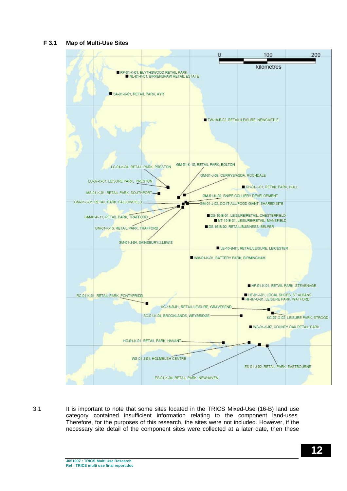#### **F 3.1 Map of Multi-Use Sites**



3.1 It is important to note that some sites located in the TRICS Mixed-Use (16-B) land use category contained insufficient information relating to the component land-uses. Therefore, for the purposes of this research, the sites were not included. However, if the necessary site detail of the component sites were collected at a later date, then these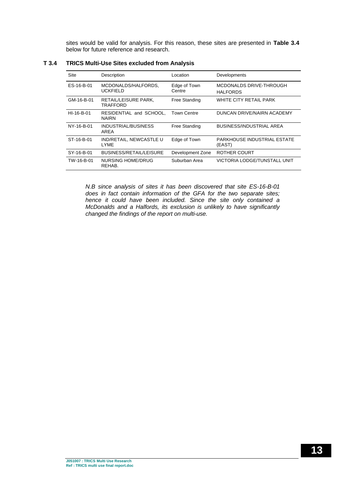sites would be valid for analysis. For this reason, these sites are presented in **Table 3.4** below for future reference and research.

| Site       | Description                             | Location               | Developments                               |
|------------|-----------------------------------------|------------------------|--------------------------------------------|
| ES-16-B-01 | MCDONALDS/HALFORDS,<br><b>UCKFIELD</b>  | Edge of Town<br>Centre | MCDONALDS DRIVE-THROUGH<br><b>HALFORDS</b> |
| GM-16-B-01 | RETAIL/LEISURE PARK,<br>TRAFFORD        | Free Standing          | WHITE CITY RETAIL PARK                     |
| HI-16-B-01 | RESIDENTIAL and SCHOOL.<br><b>NAIRN</b> | <b>Town Centre</b>     | DUNCAN DRIVE/NAIRN ACADEMY                 |
| NY-16-B-01 | INDUSTRIAL/BUSINESS<br>AREA             | Free Standing          | BUSINESS/INDUSTRIAL AREA                   |
| ST-16-B-01 | IND/RETAIL, NEWCASTLE U<br><b>LYME</b>  | Edge of Town           | PARKHOUSE INDUSTRIAL ESTATE<br>(EAST)      |
| SY-16-B-01 | BUSINESS/RETAIL/LEISURE                 | Development Zone       | ROTHER COURT                               |
| TW-16-B-01 | NURSING HOME/DRUG<br>REHAB.             | Suburban Area          | VICTORIA LODGE/TUNSTALL UNIT               |

#### **T 3.4 TRICS Multi-Use Sites excluded from Analysis**

*N.B since analysis of sites it has been discovered that site ES-16-B-01 does in fact contain information of the GFA for the two separate sites; hence it could have been included. Since the site only contained a McDonalds and a Halfords, its exclusion is unlikely to have significantly changed the findings of the report on multi-use.*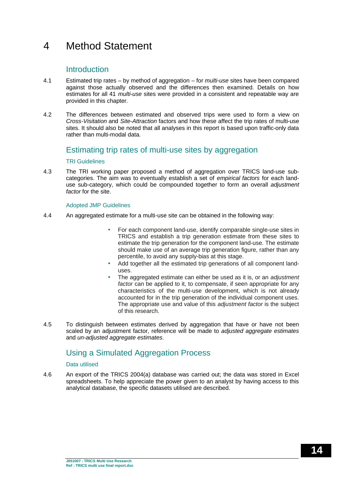## 4 Method Statement

### **Introduction**

- 4.1 Estimated trip rates by method of aggregation for *multi-use* sites have been compared against those actually observed and the differences then examined. Details on how estimates for all 41 *multi-use* sites were provided in a consistent and repeatable way are provided in this chapter.
- 4.2 The differences between estimated and observed trips were used to form a view on *Cross-Visitation* and *Site-Attraction* factors and how these affect the trip rates of multi-use sites. It should also be noted that all analyses in this report is based upon traffic-only data rather than multi-modal data.

### Estimating trip rates of multi-use sites by aggregation

#### TRI Guidelines

4.3 The TRI working paper proposed a method of aggregation over TRICS land-use subcategories. The aim was to eventually establish a set of *empirical factors* for each landuse sub-category, which could be compounded together to form an overall *adjustment factor* for the site.

#### Adopted JMP Guidelines

- 4.4 An aggregated estimate for a multi-use site can be obtained in the following way:
	- For each component land-use, identify comparable single-use sites in TRICS and establish a trip generation estimate from these sites to estimate the trip generation for the component land-use. The estimate should make use of an average trip generation figure, rather than any percentile, to avoid any supply-bias at this stage.
	- Add together all the estimated trip generations of all component landuses.
	- The aggregated estimate can either be used as it is, or an *adjustment factor* can be applied to it, to compensate, if seen appropriate for any characteristics of the multi-use development, which is not already accounted for in the trip generation of the individual component uses. The appropriate use and value of this *adjustment factor* is the subject of this research.
- 4.5 To distinguish between estimates derived by aggregation that have or have not been scaled by an adjustment factor, reference will be made to *adjusted aggregate estimates* and *un-adjusted aggregate estimates*.

## Using a Simulated Aggregation Process

#### Data utilised

4.6 An export of the TRICS 2004(a) database was carried out; the data was stored in Excel spreadsheets. To help appreciate the power given to an analyst by having access to this analytical database, the specific datasets utilised are described.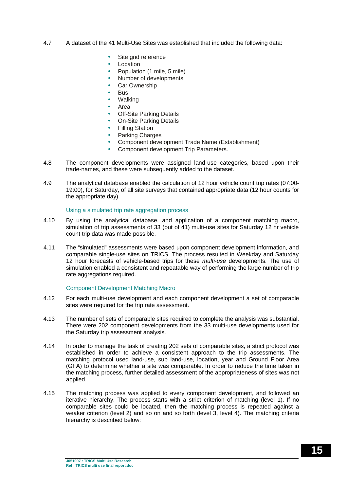- 4.7 A dataset of the 41 Multi-Use Sites was established that included the following data:
	- Site grid reference
	- Location
	- Population (1 mile, 5 mile)
	- Number of developments
	- Car Ownership
	- Bus
	- Walking
	- Area
	- **Off-Site Parking Details**
	- On-Site Parking Details
	- Filling Station
	- Parking Charges
	- Component development Trade Name (Establishment)
	- Component development Trip Parameters.
- 4.8 The component developments were assigned land-use categories, based upon their trade-names, and these were subsequently added to the dataset.
- 4.9 The analytical database enabled the calculation of 12 hour vehicle count trip rates (07:00- 19:00), for Saturday, of all site surveys that contained appropriate data (12 hour counts for the appropriate day).

#### Using a simulated trip rate aggregation process

- 4.10 By using the analytical database, and application of a component matching macro, simulation of trip assessments of 33 (out of 41) multi-use sites for Saturday 12 hr vehicle count trip data was made possible.
- 4.11 The "simulated" assessments were based upon component development information, and comparable single-use sites on TRICS. The process resulted in Weekday and Saturday 12 hour forecasts of vehicle-based trips for these *multi-use* developments. The use of simulation enabled a consistent and repeatable way of performing the large number of trip rate aggregations required.

#### Component Development Matching Macro

- 4.12 For each multi-use development and each component development a set of comparable sites were required for the trip rate assessment.
- 4.13 The number of sets of comparable sites required to complete the analysis was substantial. There were 202 component developments from the 33 multi-use developments used for the Saturday trip assessment analysis.
- 4.14 In order to manage the task of creating 202 sets of comparable sites, a strict protocol was established in order to achieve a consistent approach to the trip assessments. The matching protocol used land-use, sub land-use, location, year and Ground Floor Area (GFA) to determine whether a site was comparable. In order to reduce the time taken in the matching process, further detailed assessment of the appropriateness of sites was not applied.
- 4.15 The matching process was applied to every component development, and followed an iterative hierarchy. The process starts with a strict criterion of matching (level 1). If no comparable sites could be located, then the matching process is repeated against a weaker criterion (level 2) and so on and so forth (level 3, level 4). The matching criteria hierarchy is described below: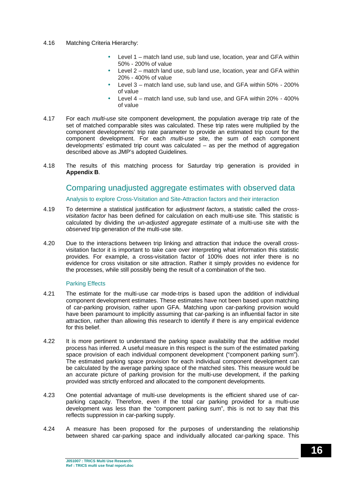#### 4.16 Matching Criteria Hierarchy:

- Level 1 match land use, sub land use, location, year and GFA within 50% - 200% of value
- Level 2 match land use, sub land use, location, year and GFA within 20% - 400% of value
- Level 3 match land use, sub land use, and GFA within 50% 200% of value
- Level 4 match land use, sub land use, and GFA within 20% 400% of value
- 4.17 For each *multi-use* site component development, the population average trip rate of the set of matched comparable sites was calculated. These trip rates were multiplied by the component developments' trip rate parameter to provide an estimated trip count for the component development. For each *multi-use* site, the sum of each component developments' estimated trip count was calculated – as per the method of aggregation described above as JMP's adopted Guidelines.
- 4.18 The results of this matching process for Saturday trip generation is provided in **Appendix B**.

### Comparing unadjusted aggregate estimates with observed data

#### Analysis to explore Cross-Visitation and Site-Attraction factors and their interaction

- 4.19 To determine a statistical justification for *adjustment factors*, a statistic called the *crossvisitation factor* has been defined for calculation on each multi-use site*.* This statistic is calculated by dividing the *un-adjusted aggregate estimate* of a multi-use site with the *observed* trip generation of the multi-use site.
- 4.20 Due to the interactions between trip linking and attraction that induce the overall crossvisitation factor it is important to take care over interpreting what information this statistic provides. For example, a cross-visitation factor of 100% does not infer there is no evidence for cross visitation or site attraction. Rather it simply provides no evidence for the processes, while still possibly being the result of a combination of the two.

#### Parking Effects

- 4.21 The estimate for the multi-use car mode-trips is based upon the addition of individual component development estimates. These estimates have not been based upon matching of car-parking provision, rather upon GFA. Matching upon car-parking provision would have been paramount to implicitly assuming that car-parking is an influential factor in site attraction, rather than allowing this research to identify if there is any empirical evidence for this belief.
- 4.22 It is more pertinent to understand the parking space availability that the additive model process has inferred. A useful measure in this respect is the sum of the estimated parking space provision of each individual component development ("component parking sum"). The estimated parking space provision for each individual component development can be calculated by the average parking space of the matched sites. This measure would be an accurate picture of parking provision for the multi-use development, if the parking provided was strictly enforced and allocated to the component developments.
- 4.23 One potential advantage of multi-use developments is the efficient shared use of carparking capacity. Therefore, even if the total car parking provided for a multi-use development was less than the "component parking sum", this is not to say that this reflects suppression in car-parking supply.
- 4.24 A measure has been proposed for the purposes of understanding the relationship between shared car-parking space and individually allocated car-parking space. This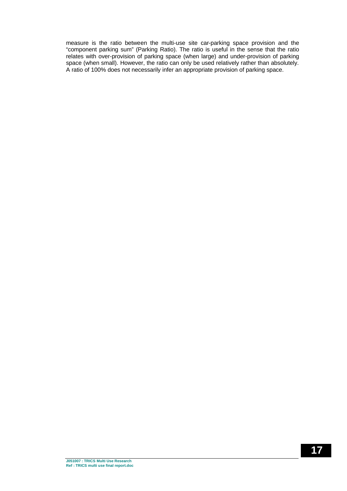measure is the ratio between the multi-use site car-parking space provision and the "component parking sum" (Parking Ratio). The ratio is useful in the sense that the ratio relates with over-provision of parking space (when large) and under-provision of parking space (when small). However, the ratio can only be used relatively rather than absolutely. A ratio of 100% does not necessarily infer an appropriate provision of parking space.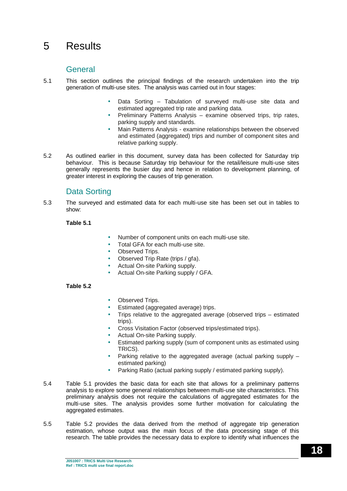## 5 Results

### General

- 5.1 This section outlines the principal findings of the research undertaken into the trip generation of multi-use sites. The analysis was carried out in four stages:
	- Data Sorting Tabulation of surveyed multi-use site data and estimated aggregated trip rate and parking data.
	- Preliminary Patterns Analysis examine observed trips, trip rates, parking supply and standards.
	- Main Patterns Analysis examine relationships between the observed and estimated (aggregated) trips and number of component sites and relative parking supply.
- 5.2 As outlined earlier in this document, survey data has been collected for Saturday trip behaviour. This is because Saturday trip behaviour for the retail/leisure multi-use sites generally represents the busier day and hence in relation to development planning, of greater interest in exploring the causes of trip generation.

## Data Sorting

5.3 The surveyed and estimated data for each multi-use site has been set out in tables to show:

#### **Table 5.1**

- Number of component units on each multi-use site.
- Total GFA for each multi-use site.
- Observed Trips.
- Observed Trip Rate (trips / gfa).
- Actual On-site Parking supply.
- Actual On-site Parking supply / GFA.

#### **Table 5.2**

- Observed Trips.
- Estimated (aggregated average) trips.
- Trips relative to the aggregated average (observed trips estimated trips).
- Cross Visitation Factor (observed trips/estimated trips).
- Actual On-site Parking supply.
- Estimated parking supply (sum of component units as estimated using TRICS).
- Parking relative to the aggregated average (actual parking supply estimated parking)
- Parking Ratio (actual parking supply / estimated parking supply).
- 5.4 Table 5.1 provides the basic data for each site that allows for a preliminary patterns analysis to explore some general relationships between multi-use site characteristics. This preliminary analysis does not require the calculations of aggregated estimates for the multi-use sites. The analysis provides some further motivation for calculating the aggregated estimates.
- 5.5 Table 5.2 provides the data derived from the method of aggregate trip generation estimation, whose output was the main focus of the data processing stage of this research. The table provides the necessary data to explore to identify what influences the

**J051007 : TRICS Multi Use Research Ref : TRICS multi use final report.doc**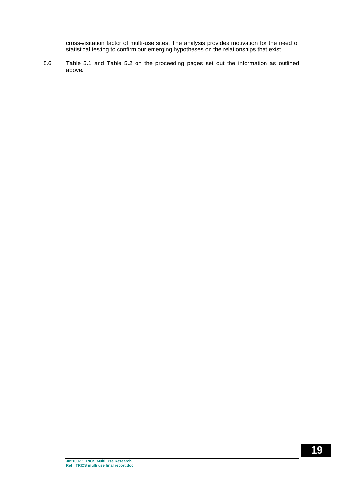cross-visitation factor of multi-use sites. The analysis provides motivation for the need of statistical testing to confirm our emerging hypotheses on the relationships that exist.

5.6 Table 5.1 and Table 5.2 on the proceeding pages set out the information as outlined above.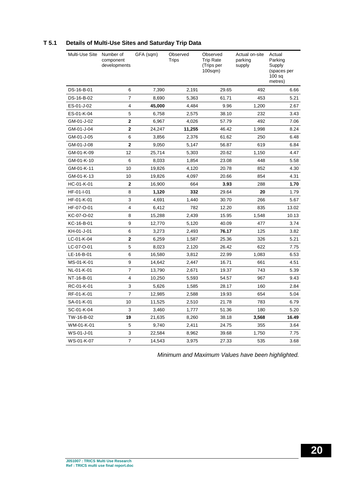| Multi-Use Site | Number of<br>component<br>developments | GFA (sqm) | Observed<br>Trips | Observed<br><b>Trip Rate</b><br>(Trips per<br>$100$ sqm $)$ | Actual on-site<br>parking<br>supply | Actual<br>Parking<br>Supply<br>(spaces per<br>100 <sub>sq</sub><br>metres) |
|----------------|----------------------------------------|-----------|-------------------|-------------------------------------------------------------|-------------------------------------|----------------------------------------------------------------------------|
| DS-16-B-01     | 6                                      | 7,390     | 2,191             | 29.65                                                       | 492                                 | 6.66                                                                       |
| DS-16-B-02     | $\overline{7}$                         | 8,690     | 5,363             | 61.71                                                       | 453                                 | 5.21                                                                       |
| ES-01-J-02     | 4                                      | 45,000    | 4,484             | 9.96                                                        | 1,200                               | 2.67                                                                       |
| ES-01-K-04     | 5                                      | 6,758     | 2,575             | 38.10                                                       | 232                                 | 3.43                                                                       |
| GM-01-J-02     | $\overline{2}$                         | 6,967     | 4,026             | 57.79                                                       | 492                                 | 7.06                                                                       |
| GM-01-J-04     | $\overline{2}$                         | 24,247    | 11,255            | 46.42                                                       | 1,998                               | 8.24                                                                       |
| GM-01-J-05     | 6                                      | 3,856     | 2,376             | 61.62                                                       | 250                                 | 6.48                                                                       |
| GM-01-J-08     | $\overline{2}$                         | 9,050     | 5,147             | 56.87                                                       | 619                                 | 6.84                                                                       |
| GM-01-K-09     | 12                                     | 25,714    | 5,303             | 20.62                                                       | 1,150                               | 4.47                                                                       |
| GM-01-K-10     | 6                                      | 8,033     | 1,854             | 23.08                                                       | 448                                 | 5.58                                                                       |
| GM-01-K-11     | 10                                     | 19,826    | 4,120             | 20.78                                                       | 852                                 | 4.30                                                                       |
| GM-01-K-13     | 10                                     | 19,826    | 4,097             | 20.66                                                       | 854                                 | 4.31                                                                       |
| HC-01-K-01     | $\overline{\mathbf{2}}$                | 16,900    | 664               | 3.93                                                        | 288                                 | 1.70                                                                       |
| HF-01-I-01     | 8                                      | 1,120     | 332               | 29.64                                                       | 20                                  | 1.79                                                                       |
| HF-01-K-01     | 3                                      | 4,691     | 1,440             | 30.70                                                       | 266                                 | 5.67                                                                       |
| HF-07-O-01     | 4                                      | 6,412     | 782               | 12.20                                                       | 835                                 | 13.02                                                                      |
| KC-07-O-02     | 8                                      | 15,288    | 2.439             | 15.95                                                       | 1,548                               | 10.13                                                                      |
| KC-16-B-01     | 9                                      | 12,770    | 5,120             | 40.09                                                       | 477                                 | 3.74                                                                       |
| KH-01-J-01     | 6                                      | 3,273     | 2,493             | 76.17                                                       | 125                                 | 3.82                                                                       |
| LC-01-K-04     | $\mathbf 2$                            | 6,259     | 1,587             | 25.36                                                       | 326                                 | 5.21                                                                       |
| LC-07-O-01     | 5                                      | 8,023     | 2,120             | 26.42                                                       | 622                                 | 7.75                                                                       |
| LE-16-B-01     | 6                                      | 16,580    | 3,812             | 22.99                                                       | 1,083                               | 6.53                                                                       |
| MS-01-K-01     | 9                                      | 14,642    | 2,447             | 16.71                                                       | 661                                 | 4.51                                                                       |
| NL-01-K-01     | $\overline{7}$                         | 13,790    | 2,671             | 19.37                                                       | 743                                 | 5.39                                                                       |
| NT-16-B-01     | 4                                      | 10,250    | 5,593             | 54.57                                                       | 967                                 | 9.43                                                                       |
| RC-01-K-01     | 3                                      | 5,626     | 1,585             | 28.17                                                       | 160                                 | 2.84                                                                       |
| RF-01-K-01     | $\overline{7}$                         | 12,985    | 2,588             | 19.93                                                       | 654                                 | 5.04                                                                       |
| SA-01-K-01     | 10                                     | 11,525    | 2,510             | 21.78                                                       | 783                                 | 6.79                                                                       |
| SC-01-K-04     | 3                                      | 3,460     | 1,777             | 51.36                                                       | 180                                 | 5.20                                                                       |
| TW-16-B-02     | 19                                     | 21,635    | 8,260             | 38.18                                                       | 3,568                               | 16.49                                                                      |
| WM-01-K-01     | 5                                      | 9,740     | 2,411             | 24.75                                                       | 355                                 | 3.64                                                                       |
| WS-01-J-01     | 3                                      | 22,584    | 8,962             | 39.68                                                       | 1,750                               | 7.75                                                                       |
| WS-01-K-07     | $\overline{7}$                         | 14,543    | 3,975             | 27.33                                                       | 535                                 | 3.68                                                                       |

#### **T 5.1 Details of Multi-Use Sites and Saturday Trip Data**

*Minimum and Maximum Values have been highlighted.*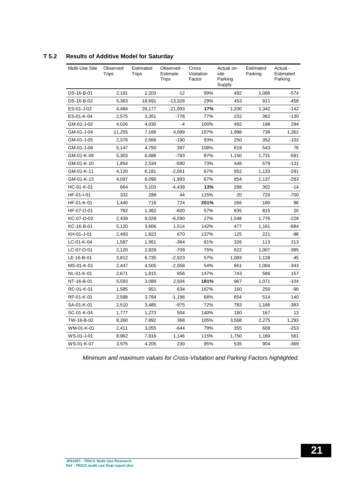| Multi-Use Site | Observed<br>Trips | Estimated<br>Trips | Observed -<br>Estimate<br><b>Trips</b> | Cross<br>Visitation<br>Factor | Actual on-<br>site<br>Parking<br>Supply | Estimated<br>Parking | Actual -<br>Estimated<br>Parking |
|----------------|-------------------|--------------------|----------------------------------------|-------------------------------|-----------------------------------------|----------------------|----------------------------------|
| DS-16-B-01     | 2.191             | 2.203              | $-12$                                  | 99%                           | 492                                     | 1.066                | $-574$                           |
| DS-16-B-02     | 5,363             | 18,691             | $-13,328$                              | 29%                           | 453                                     | 911                  | $-458$                           |
| ES-01-J-02     | 4,484             | 26,177             | $-21,693$                              | 17%                           | 1,200                                   | 1,342                | $-142$                           |
| ES-01-K-04     | 2,575             | 3,351              | $-776$                                 | 77%                           | 232                                     | 362                  | $-130$                           |
| GM-01-J-02     | 4,026             | 4,030              | $-4$                                   | 100%                          | 492                                     | 198                  | 294                              |
| GM-01-J-04     | 11,255            | 7,166              | 4,089                                  | 157%                          | 1,998                                   | 736                  | 1,262                            |
| GM-01-J-05     | 2,376             | 2,566              | $-190$                                 | 93%                           | 250                                     | 352                  | $-102$                           |
| GM-01-J-08     | 5,147             | 4,750              | 397                                    | 108%                          | 619                                     | 543                  | 76                               |
| GM-01-K-09     | 5,303             | 6,086              | $-783$                                 | 87%                           | 1,150                                   | 1,731                | -581                             |
| GM-01-K-10     | 1.854             | 2,534              | $-680$                                 | 73%                           | 448                                     | 579                  | -131                             |
| GM-01-K-11     | 4,120             | 6,181              | $-2,061$                               | 67%                           | 852                                     | 1,133                | -281                             |
| GM-01-K-13     | 4,097             | 6,090              | $-1,993$                               | 67%                           | 854                                     | 1,137                | $-283$                           |
| HC-01-K-01     | 664               | 5,103              | $-4,439$                               | 13%                           | 288                                     | 302                  | $-14$                            |
| HF-01-I-01     | 332               | 288                | 44                                     | 115%                          | 20                                      | 720                  | -700                             |
| HF-01-K-01     | 1,440             | 716                | 724                                    | 201%                          | 266                                     | 180                  | 86                               |
| HF-07-O-01     | 782               | 1,382              | $-600$                                 | 57%                           | 835                                     | 815                  | 20                               |
| KC-07-O-02     | 2.439             | 9,029              | $-6,590$                               | 27%                           | 1,548                                   | 1,776                | $-228$                           |
| KC-16-B-01     | 5.120             | 3,606              | 1,514                                  | 142%                          | 477                                     | 1,161                | $-684$                           |
| KH-01-J-01     | 2,493             | 1,823              | 670                                    | 137%                          | 125                                     | 221                  | -96                              |
| LC-01-K-04     | 1,587             | 1,951              | $-364$                                 | 81%                           | 326                                     | 113                  | 213                              |
| LC-07-O-01     | 2,120             | 2,829              | $-709$                                 | 75%                           | 622                                     | 1,007                | $-385$                           |
| LE-16-B-01     | 3,812             | 6,735              | $-2,923$                               | 57%                           | 1,083                                   | 1,128                | -45                              |
| MS-01-K-01     | 2,447             | 4,505              | $-2,058$                               | 54%                           | 661                                     | 1,004                | -343                             |
| NL-01-K-01     | 2,671             | 1,815              | 856                                    | 147%                          | 743                                     | 586                  | 157                              |
| NT-16-B-01     | 5,593             | 3,089              | 2,504                                  | 181%                          | 967                                     | 1,071                | $-104$                           |
| RC-01-K-01     | 1,585             | 951                | 634                                    | 167%                          | 160                                     | 250                  | -90                              |
| RF-01-K-01     | 2,588             | 3,784              | $-1,196$                               | 68%                           | 654                                     | 514                  | 140                              |
| SA-01-K-01     | 2,510             | 3,485              | $-975$                                 | 72%                           | 783                                     | 1,166                | -383                             |
| SC-01-K-04     | 1,777             | 1,273              | 504                                    | 140%                          | 180                                     | 167                  | 13                               |
| TW-16-B-02     | 8,260             | 7,892              | 368                                    | 105%                          | 3,568                                   | 2,275                | 1,293                            |
| WM-01-K-01     | 2,411             | 3,055              | $-644$                                 | 79%                           | 355                                     | 608                  | $-253$                           |
| WS-01-J-01     | 8,962             | 7,816              | 1,146                                  | 115%                          | 1,750                                   | 1,169                | 581                              |
| WS-01-K-07     | 3,975             | 4,205              | 230                                    | 95%                           | 535                                     | 904                  | $-369$                           |

#### **T 5.2 Results of Additive Model for Saturday**

*Minimum and maximum values for Cross-Visitation and Parking Factors highlighted.*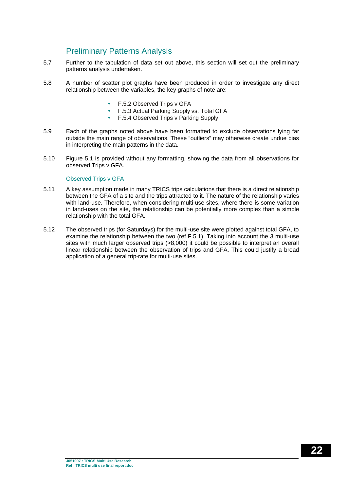## Preliminary Patterns Analysis

- 5.7 Further to the tabulation of data set out above, this section will set out the preliminary patterns analysis undertaken.
- 5.8 A number of scatter plot graphs have been produced in order to investigate any direct relationship between the variables, the key graphs of note are:
	- F.5.2 Observed Trips v GFA
	- F.5.3 Actual Parking Supply vs. Total GFA
	- F.5.4 Observed Trips v Parking Supply
- 5.9 Each of the graphs noted above have been formatted to exclude observations lying far outside the main range of observations. These "outliers" may otherwise create undue bias in interpreting the main patterns in the data.
- 5.10 Figure 5.1 is provided without any formatting, showing the data from all observations for observed Trips v GFA.

#### Observed Trips v GFA

- 5.11 A key assumption made in many TRICS trips calculations that there is a direct relationship between the GFA of a site and the trips attracted to it. The nature of the relationship varies with land-use. Therefore, when considering multi-use sites, where there is some variation in land-uses on the site, the relationship can be potentially more complex than a simple relationship with the total GFA.
- 5.12 The observed trips (for Saturdays) for the multi-use site were plotted against total GFA, to examine the relationship between the two (ref F.5.1). Taking into account the 3 multi-use sites with much larger observed trips (>8,000) it could be possible to interpret an overall linear relationship between the observation of trips and GFA. This could justify a broad application of a general trip-rate for multi-use sites.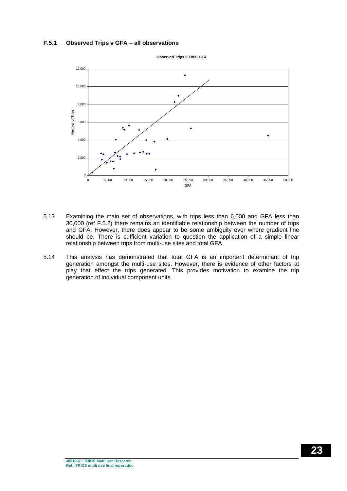#### **F.5.1 Observed Trips v GFA – all observations**



**Observed Trips v Total GFA**

- 5.13 Examining the main set of observations, with trips less than 6,000 and GFA less than 30,000 (ref F.5.2) there remains an identifiable relationship between the number of trips and GFA. However, there does appear to be some ambiguity over where gradient line should be. There is sufficient variation to question the application of a simple linear relationship between trips from multi-use sites and total GFA.
- 5.14 This analysis has demonstrated that total GFA is an important determinant of trip generation amongst the multi-use sites. However, there is evidence of other factors at play that effect the trips generated. This provides motivation to examine the trip generation of individual component units.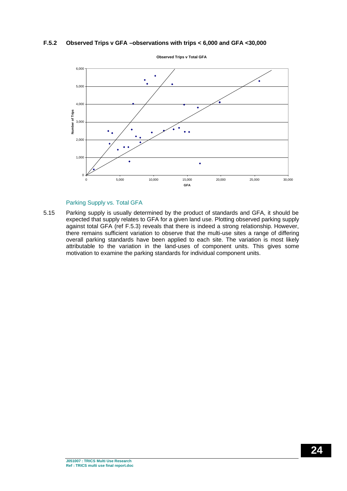#### **F.5.2 Observed Trips v GFA –observations with trips < 6,000 and GFA <30,000**



#### Parking Supply vs. Total GFA

5.15 Parking supply is usually determined by the product of standards and GFA, it should be expected that supply relates to GFA for a given land use. Plotting observed parking supply against total GFA (ref F.5.3) reveals that there is indeed a strong relationship. However, there remains sufficient variation to observe that the multi-use sites a range of differing overall parking standards have been applied to each site. The variation is most likely attributable to the variation in the land-uses of component units. This gives some motivation to examine the parking standards for individual component units.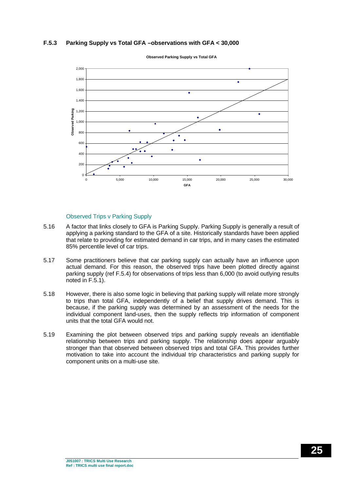#### **F.5.3 Parking Supply vs Total GFA –observations with GFA < 30,000**



**Observed Parking Supply vs Total GFA**

#### Observed Trips v Parking Supply

- 5.16 A factor that links closely to GFA is Parking Supply. Parking Supply is generally a result of applying a parking standard to the GFA of a site. Historically standards have been applied that relate to providing for estimated demand in car trips, and in many cases the estimated 85% percentile level of car trips.
- 5.17 Some practitioners believe that car parking supply can actually have an influence upon actual demand. For this reason, the observed trips have been plotted directly against parking supply (ref F.5.4) for observations of trips less than 6,000 (to avoid outlying results noted in F.5.1).
- 5.18 However, there is also some logic in believing that parking supply will relate more strongly to trips than total GFA, independently of a belief that supply drives demand. This is because, if the parking supply was determined by an assessment of the needs for the individual component land-uses, then the supply reflects trip information of component units that the total GFA would not.
- 5.19 Examining the plot between observed trips and parking supply reveals an identifiable relationship between trips and parking supply. The relationship does appear arguably stronger than that observed between observed trips and total GFA. This provides further motivation to take into account the individual trip characteristics and parking supply for component units on a multi-use site.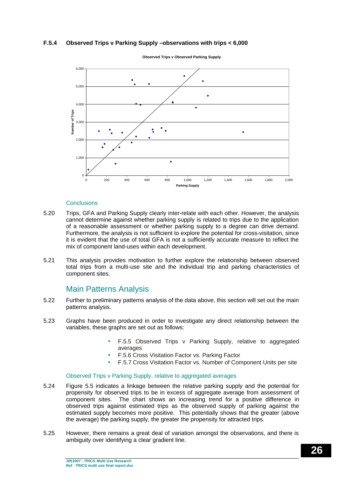#### **F.5.4 Observed Trips v Parking Supply –observations with trips < 6,000**



**Observed Trips v Observed Parking Supply**

#### **Conclusions**

- 5.20 Trips, GFA and Parking Supply clearly inter-relate with each other. However, the analysis cannot determine against whether parking supply is related to trips due to the application of a reasonable assessment or whether parking supply to a degree can drive demand. Furthermore, the analysis is not sufficient to explore the potential for cross-visitation, since it is evident that the use of total GFA is not a sufficiently accurate measure to reflect the mix of component land-uses within each development.
- 5.21 This analysis provides motivation to further explore the relationship between observed total trips from a multi-use site and the individual trip and parking characteristics of component sites.

### Main Patterns Analysis

- 5.22 Further to preliminary patterns analysis of the data above, this section will set out the main patterns analysis.
- 5.23 Graphs have been produced in order to investigate any direct relationship between the variables, these graphs are set out as follows:
	- F.5.5 Observed Trips v Parking Supply, relative to aggregated averages
	- F.5.6 Cross Visitation Factor vs. Parking Factor
	- F.5.7 Cross Visitation Factor vs. Number of Component Units per site

#### Observed Trips v Parking Supply, relative to aggregated averages

- 5.24 Figure 5.5 indicates a linkage between the relative parking supply and the potential for propensity for observed trips to be in excess of aggregate average from assessment of component sites. The chart shows an increasing trend for a positive difference in observed trips against estimated trips as the observed supply of parking against the estimated supply becomes more positive. This potentially shows that the greater (above the average) the parking supply, the greater the propensity for attracted trips.
- 5.25 However, there remains a great deal of variation amongst the observations, and there is ambiguity over identifying a clear gradient line.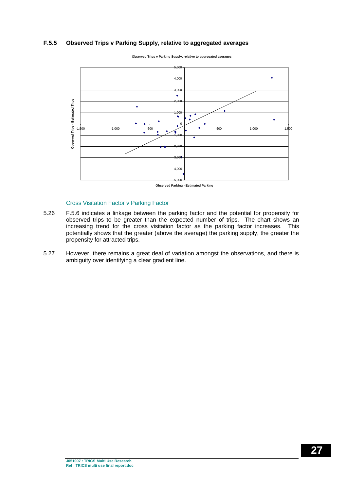#### **F.5.5 Observed Trips v Parking Supply, relative to aggregated averages**



**Observed Trips v Parking Supply, relative to aggregated averages**

#### Cross Visitation Factor v Parking Factor

- 5.26 F.5.6 indicates a linkage between the parking factor and the potential for propensity for observed trips to be greater than the expected number of trips. The chart shows an increasing trend for the cross visitation factor as the parking factor increases. This potentially shows that the greater (above the average) the parking supply, the greater the propensity for attracted trips.
- 5.27 However, there remains a great deal of variation amongst the observations, and there is ambiguity over identifying a clear gradient line.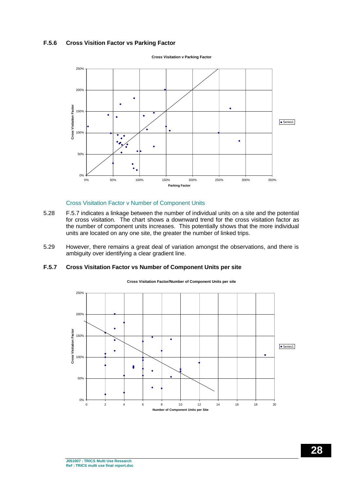#### **F.5.6 Cross Visition Factor vs Parking Factor**



**Cross Visitation v Parking Factor**

#### Cross Visitation Factor v Number of Component Units

- 5.28 F.5.7 indicates a linkage between the number of individual units on a site and the potential for cross visitation. The chart shows a downward trend for the cross visitation factor as the number of component units increases. This potentially shows that the more individual units are located on any one site, the greater the number of linked trips.
- 5.29 However, there remains a great deal of variation amongst the observations, and there is ambiguity over identifying a clear gradient line.

#### **F.5.7 Cross Visitation Factor vs Number of Component Units per site**



**Cross Visitation Factor/Number of Component Units per site**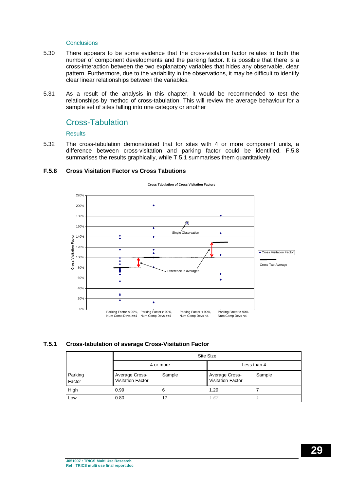#### Conclusions

- 5.30 There appears to be some evidence that the cross-visitation factor relates to both the number of component developments and the parking factor. It is possible that there is a cross-interaction between the two explanatory variables that hides any observable, clear pattern. Furthermore, due to the variability in the observations, it may be difficult to identify clear linear relationships between the variables.
- 5.31 As a result of the analysis in this chapter, it would be recommended to test the relationships by method of cross-tabulation. This will review the average behaviour for a sample set of sites falling into one category or another

#### Cross-Tabulation

#### **Results**

5.32 The cross-tabulation demonstrated that for sites with 4 or more component units, a difference between cross-visitation and parking factor could be identified. F.5.8 summarises the results graphically, while T.5.1 summarises them quantitatively.

#### **F.5.8 Cross Visitation Factor vs Cross Tabutions**



**Cross Tabulation of Cross Visitation Factors**

#### **T.5.1 Cross-tabulation of average Cross-Visitation Factor**

|                   |                                            | Site Size |                                                      |             |  |  |  |  |  |  |  |
|-------------------|--------------------------------------------|-----------|------------------------------------------------------|-------------|--|--|--|--|--|--|--|
|                   |                                            | 4 or more |                                                      | Less than 4 |  |  |  |  |  |  |  |
| Parking<br>Factor | Average Cross-<br><b>Visitation Factor</b> | Sample    | Average Cross-<br>Sample<br><b>Visitation Factor</b> |             |  |  |  |  |  |  |  |
| High              | 0.99                                       | 6         | 1.29                                                 |             |  |  |  |  |  |  |  |
| Low               | 0.80                                       |           | 1.67                                                 |             |  |  |  |  |  |  |  |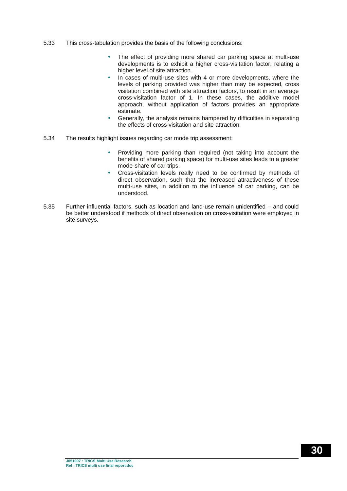- 5.33 This cross-tabulation provides the basis of the following conclusions:
	- The effect of providing more shared car parking space at multi-use developments is to exhibit a higher cross-visitation factor, relating a higher level of site attraction.
	- In cases of multi-use sites with 4 or more developments, where the levels of parking provided was higher than may be expected, cross visitation combined with site attraction factors, to result in an average cross-visitation factor of 1. In these cases, the additive model approach, without application of factors provides an appropriate estimate.
	- Generally, the analysis remains hampered by difficulties in separating the effects of cross-visitation and site attraction.
- 5.34 The results highlight issues regarding car mode trip assessment:
	- Providing more parking than required (not taking into account the benefits of shared parking space) for multi-use sites leads to a greater mode-share of car-trips.
	- Cross-visitation levels really need to be confirmed by methods of direct observation, such that the increased attractiveness of these multi-use sites, in addition to the influence of car parking, can be understood.
- 5.35 Further influential factors, such as location and land-use remain unidentified and could be better understood if methods of direct observation on cross-visitation were employed in site surveys.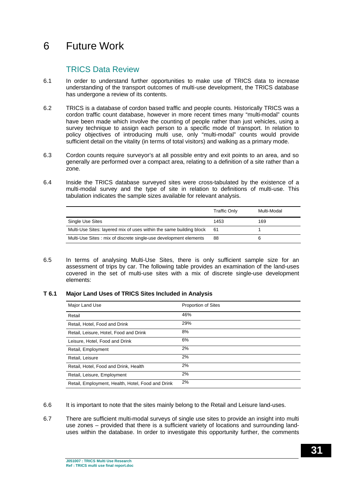## 6 Future Work

## TRICS Data Review

- 6.1 In order to understand further opportunities to make use of TRICS data to increase understanding of the transport outcomes of multi-use development, the TRICS database has undergone a review of its contents.
- 6.2 TRICS is a database of cordon based traffic and people counts. Historically TRICS was a cordon traffic count database, however in more recent times many "multi-modal" counts have been made which involve the counting of people rather than just vehicles, using a survey technique to assign each person to a specific mode of transport. In relation to policy objectives of introducing multi use, only "multi-modal" counts would provide sufficient detail on the vitality (in terms of total visitors) and walking as a primary mode.
- 6.3 Cordon counts require surveyor's at all possible entry and exit points to an area, and so generally are performed over a compact area, relating to a definition of a site rather than a zone.
- 6.4 Inside the TRICS database surveyed sites were cross-tabulated by the existence of a multi-modal survey and the type of site in relation to definitions of multi-use. This tabulation indicates the sample sizes available for relevant analysis.

|                                                                     | <b>Traffic Only</b> | Multi-Modal |
|---------------------------------------------------------------------|---------------------|-------------|
| Single Use Sites                                                    | 1453                | 169         |
| Multi-Use Sites: layered mix of uses within the same building block | 61                  |             |
| Multi-Use Sites: mix of discrete single-use development elements    | 88                  | 6           |

6.5 In terms of analysing Multi-Use Sites, there is only sufficient sample size for an assessment of trips by car. The following table provides an examination of the land-uses covered in the set of multi-use sites with a mix of discrete single-use development elements:

#### **T 6.1 Major Land Uses of TRICS Sites Included in Analysis**

| Major Land Use                                    | <b>Proportion of Sites</b> |
|---------------------------------------------------|----------------------------|
| Retail                                            | 46%                        |
| Retail, Hotel, Food and Drink                     | 29%                        |
| Retail, Leisure, Hotel, Food and Drink            | 8%                         |
| Leisure, Hotel, Food and Drink                    | 6%                         |
| Retail, Employment                                | 2%                         |
| Retail, Leisure                                   | 2%                         |
| Retail, Hotel, Food and Drink, Health             | 2%                         |
| Retail, Leisure, Employment                       | 2%                         |
| Retail, Employment, Health, Hotel, Food and Drink | 2%                         |

- 6.6 It is important to note that the sites mainly belong to the Retail and Leisure land-uses.
- 6.7 There are sufficient multi-modal surveys of single use sites to provide an insight into multi use zones – provided that there is a sufficient variety of locations and surrounding landuses within the database. In order to investigate this opportunity further, the comments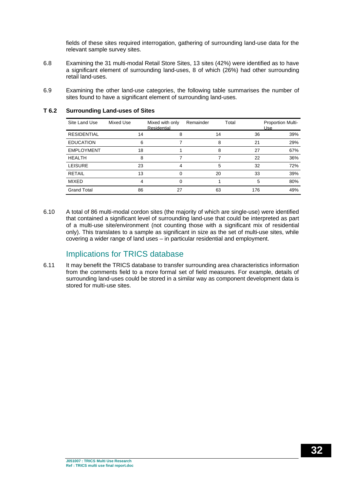fields of these sites required interrogation, gathering of surrounding land-use data for the relevant sample survey sites.

- 6.8 Examining the 31 multi-modal Retail Store Sites, 13 sites (42%) were identified as to have a significant element of surrounding land-uses, 8 of which (26%) had other surrounding retail land-uses.
- 6.9 Examining the other land-use categories, the following table summarises the number of sites found to have a significant element of surrounding land-uses.

| Site Land Use      | Mixed Use | Mixed with only<br>Residential | Remainder | Total | <b>Proportion Multi-</b><br>Use |
|--------------------|-----------|--------------------------------|-----------|-------|---------------------------------|
| <b>RESIDENTIAL</b> | 14        | 8                              | 14        | 36    | 39%                             |
| <b>EDUCATION</b>   | 6         |                                | 8         | 21    | 29%                             |
| <b>EMPLOYMENT</b>  | 18        |                                | 8         | 27    | 67%                             |
| <b>HEALTH</b>      | 8         |                                |           | 22    | 36%                             |
| <b>LEISURE</b>     | 23        | 4                              | 5         | 32    | 72%                             |
| <b>RETAIL</b>      | 13        | 0                              | 20        | 33    | 39%                             |
| <b>MIXED</b>       | 4         | 0                              |           | 5     | 80%                             |
| <b>Grand Total</b> | 86        | 27                             | 63        | 176   | 49%                             |

#### **T 6.2 Surrounding Land-uses of Sites**

6.10 A total of 86 multi-modal cordon sites (the majority of which are single-use) were identified that contained a significant level of surrounding land-use that could be interpreted as part of a multi-use site/environment (not counting those with a significant mix of residential only). This translates to a sample as significant in size as the set of multi-use sites, while covering a wider range of land uses – in particular residential and employment.

## Implications for TRICS database

6.11 It may benefit the TRICS database to transfer surrounding area characteristics information from the comments field to a more formal set of field measures. For example, details of surrounding land-uses could be stored in a similar way as component development data is stored for multi-use sites.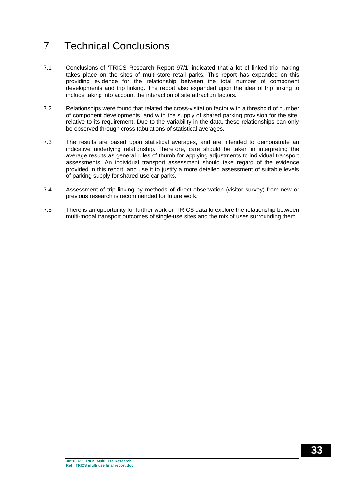## 7 Technical Conclusions

- 7.1 Conclusions of 'TRICS Research Report 97/1' indicated that a lot of linked trip making takes place on the sites of multi-store retail parks. This report has expanded on this providing evidence for the relationship between the total number of component developments and trip linking. The report also expanded upon the idea of trip linking to include taking into account the interaction of site attraction factors.
- 7.2 Relationships were found that related the cross-visitation factor with a threshold of number of component developments, and with the supply of shared parking provision for the site, relative to its requirement. Due to the variability in the data, these relationships can only be observed through cross-tabulations of statistical averages.
- 7.3 The results are based upon statistical averages, and are intended to demonstrate an indicative underlying relationship. Therefore, care should be taken in interpreting the average results as general rules of thumb for applying adjustments to individual transport assessments. An individual transport assessment should take regard of the evidence provided in this report, and use it to justify a more detailed assessment of suitable levels of parking supply for shared-use car parks.
- 7.4 Assessment of trip linking by methods of direct observation (visitor survey) from new or previous research is recommended for future work.
- 7.5 There is an opportunity for further work on TRICS data to explore the relationship between multi-modal transport outcomes of single-use sites and the mix of uses surrounding them.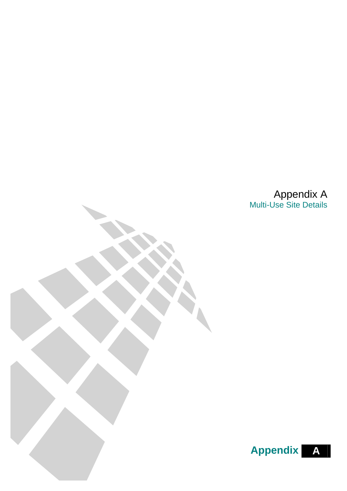Appendix A Multi-Use Site Details

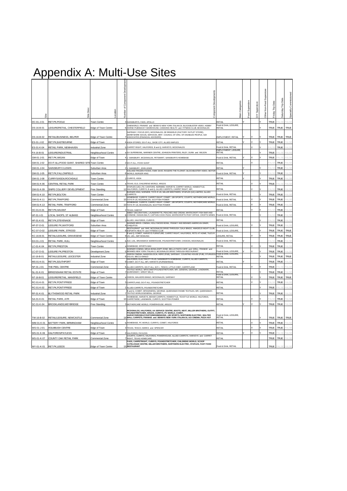## Appendix A: Multi-Use Sites

| ã          | <b>Desc</b><br>Site                           | postion                     | Jumber of Component Development | Component Developments                                                                                                                                                                                                                                                                        | <b>Aain Categories</b>                             | Superstor<br>Food | Superstore<br>à | ă<br>Superst<br>Non-Food<br>Other | Data<br><b>Friday Trip</b> | Data<br>Saturday Trip | Specially Commissioned    |
|------------|-----------------------------------------------|-----------------------------|---------------------------------|-----------------------------------------------------------------------------------------------------------------------------------------------------------------------------------------------------------------------------------------------------------------------------------------------|----------------------------------------------------|-------------------|-----------------|-----------------------------------|----------------------------|-----------------------|---------------------------|
| DC-01-J-01 | RET.PK,POOLE                                  | <b>Town Centre</b>          |                                 | 3 SAINSBURYS, FADS, APOLLO                                                                                                                                                                                                                                                                    | RFTAIL                                             |                   |                 |                                   | <b>TRUE</b>                |                       |                           |
| DS-16-B-01 | LEISURE/RETAIL, CHESTERFIELD                  | Edge of Town Centre         |                                 | CINEWORLD. FRANKIE and BENNYS NEW YORK ITALIAN DI. BLOCKBUSTER VIDEO, HOBBY<br>6 HORSE PUB/WACKY WAREHOUSE, CANNONS HEALTH and FITNESS CLUB, MCDONALDS                                                                                                                                        | Food & Drink, LEISURE.<br><b>RETAIL</b>            |                   |                 |                                   | TRUE                       | <b>TRUE</b>           | <b>TRUE</b>               |
|            |                                               |                             |                                 | SAFEWAY, FOCUS (DIY), MCDONALDS, DE BRADELEI (FACTORY OUTLET STORE)<br>DERBYSHIRE SOCIAL SERVICES, BRIT, COUNCIL OF ORG, OF DISABLED PEOPLE, GDI                                                                                                                                              |                                                    |                   |                 |                                   |                            |                       |                           |
| DS-16-B-02 | RETAIL/BUSINESS, BELPER                       | Edge of Town Centre         |                                 | ASSOCIATES (FINANCIAL ADVISORS)                                                                                                                                                                                                                                                               | EMPLOYMENT, RETAIL                                 |                   |                 |                                   | <b>TRUE</b>                | <b>TRUE</b>           | <b>TRUE</b>               |
| ES-01-J-02 | RET.PK,EASTBOURNE                             | Edge of Town                |                                 | 4 ASDA STORES, DO-IT-ALL, SHOE CITY, ALLIED MAPLES                                                                                                                                                                                                                                            | RETAIL                                             |                   |                 |                                   | <b>TRUE</b>                | <b>TRUE</b>           | $\triangle$   $\triangle$ |
| ES-01-K-04 | RETAIL PARK, NEWHAVEN                         | Industrial Zone             |                                 | 5 CARPET RIGHT, HALFORDS, B and Q, HARVEYS, MCDONALDS                                                                                                                                                                                                                                         | Food & Drink RETAIL<br><b>EMPLOYMENT, LEISURE,</b> |                   |                 |                                   |                            | TRUE                  |                           |
| FA-16-B-01 | EISURE/INDUSTRIAL                             | Neighbourhood Centre        |                                 | 4 GX SUPERBOWL. MARINER CENTRE. JOHNSON PRINTERS. RILEY. DUNN and WILSON                                                                                                                                                                                                                      | RETAIL                                             |                   |                 |                                   | <b>TRUE</b>                |                       | $\triangle$   $\triangle$ |
| GM-01-J-01 | RET.PK, WIGAN                                 | Edge of Town                |                                 | SAINSBURY, MCDONALDS, PETSMART, SAINSBURYS HOMEBASE                                                                                                                                                                                                                                           | ood & Drink, RETAIL                                |                   |                 |                                   | TRUE                       |                       | $\Delta$   S              |
| GM-01-J-02 | DO-IT-ALL/FOOD GIANT, SHARED SITE Town Centre |                             |                                 | DO-IT-ALL, FOOD GIANT                                                                                                                                                                                                                                                                         | RETAIL                                             |                   |                 |                                   |                            | <b>TRUE</b>           | AI S                      |
| 3M-01-J-04 | SAINSBURY/J.LEWIS                             | Suburban Area               |                                 | SAINSBURY, JOHN LEWIS<br>ICELAND FROZEN FOODS, KWIK SAVE, ROGERS THE FLORIST, BLOCKBUSTER VIDEO, MOTO                                                                                                                                                                                         | RETAIL                                             |                   |                 |                                   |                            | TRUE                  |                           |
| GM-01-J-05 | RET.PK,FALLOWFIELD                            | Suburban Area               |                                 | 6 WORLD, BURGER KING                                                                                                                                                                                                                                                                          | Food & Drink, RETAIL                               |                   |                 |                                   | $\Delta \mid S$            | <b>TRUF</b>           | $\Delta$   S              |
| GM-01-J-08 | CURRYS/ASDA, ROCHDALE                         | Town Centre                 |                                 | 2 CURRYS, ASDA                                                                                                                                                                                                                                                                                | <b>RETAIL</b>                                      |                   |                 |                                   | <b>TRUE</b>                | <b>TRUE</b>           | AI S                      |
| GM-01-K-06 | CENTRAL RETAIL PARK                           | Town Centre                 |                                 | 4 TEXAS, ELS, CHILDRENS WORLD, ARGOS                                                                                                                                                                                                                                                          | <b>RETAIL</b>                                      |                   |                 |                                   | <b>TRUE</b>                |                       | $\Delta \mid S$           |
| GM-01-K-09 | SNIPE COLLIERY DEVELOPMENT                    | <b>Free Standing</b>        |                                 | STAPLES (UK) LTD, CANTORS, NORWEB, HARVEYS, CARPET WORLD, HOMESTYLE,<br>12 HALFORDS, CURRYS, B and Q. ALLIED CARPETS, CARPET RIGHT, MFI                                                                                                                                                       | RFTAIL                                             |                   |                 |                                   | $\triangle$   $\triangle$  | <b>TRUE</b>           | $\Delta$   S              |
| GM-01-K-10 | RET.PK,BOLTON                                 | Town Centre                 |                                 | BURGER KING, NORWEB, TOYS R US, MILLER BROTHERS, STAPLES (UK) LIMITED, ALLIED<br><b>6 CARPETS</b>                                                                                                                                                                                             | Food & Drink, RETAIL                               |                   |                 |                                   | TRUE                       | <b>TRUE</b>           | ALS.                      |
| GM-01-K-11 | RET.PK,TRAFFORD                               | Commercial Zone             | 10                              | HOMEBASE, CURRYS, CARPET RIGHT, COMET, JJB SPORTS, COURTS, MOTHERCARE WORLD,<br>TOYS R US. MCDONALDS. SCOTTISH POWER                                                                                                                                                                          | ood & Drink, RETAIL                                |                   |                 |                                   | <b>TRUE</b>                | <b>TRUE</b>           | $\Delta \Gamma$ $\Omega$  |
| GM-01-K-13 | RETAIL PARK, TRAFFORD                         | Commercial Zone             |                                 | HOMEBASE, CURRYS, CARPET RIGHT, COMET, JJB SPOR<br>COURTS, MOTHERCARE WORLD<br>10 TOYS 'R' US. MCDONALDS, SCOTTISH POWER                                                                                                                                                                      | Food & Drink, RETAIL                               |                   |                 |                                   | <b>TRUE</b>                | <b>TRUE</b>           | ALS <sup></sup>           |
| HC-01-K-01 | RET.PK,HAVANT                                 | Edge of Town                |                                 | <b>TEXAS, HABITAT</b>                                                                                                                                                                                                                                                                         | RETAIL                                             |                   |                 |                                   |                            | <b>TRUE</b>           |                           |
| HF-01-I-01 | OCAL SHOPS, ST ALBANS                         | Neighbourhood Centre        |                                 | ABBEY DECORATORS, LAUNDERETTE, PEACHES AND CREAM, WHITECROFT FISH BAR AND<br>CHINESE. IHASAN BALTI, CAPTAIN COOK PIZZA, WHITECROFTS POST OFFICE, CROFTS WINES                                                                                                                                 | Food & Drink, RETAIL                               |                   |                 |                                   |                            | TRUE                  |                           |
| HF-01-K-01 | RET.PK,STEVENAGE                              | Edge of Town                |                                 | ALLIED, HALFORDS, CURRYS                                                                                                                                                                                                                                                                      | RETAIL                                             |                   |                 |                                   | $\Delta$ S                 | TRUE                  | $\Delta \mid S$           |
| HF-07-O-01 | LEISURE PK, WATFORD                           | Suburban Area               |                                 | WARNER BROS, CINEMA, HOLLYWOOD BOWL, FRANKY AND BENNIES AMERICAN DINER.<br>4 CHIQUITOS                                                                                                                                                                                                        | ood & Drink, LEISURE                               |                   |                 |                                   | TRUE                       | <b>TRUE</b>           | $\Delta$   S              |
| C-07-O-02  | <b>EISURE PARK, STROOD</b>                    | Edge of Town                |                                 | RESTAURANT and BAR, MCDONALDS DRIVE-THROUGH, GALA BINGO, AMADEUS NIGHT CLUB<br><b>8 ESPORTA HEALTH and FITNESS CLUB</b>                                                                                                                                                                       | ood & Drink, LEISURE                               |                   |                 |                                   | <b>TRUE</b>                | <b>TRUE</b>           | TRUE                      |
| KC-16-B-01 | RETAIL/LEISURE, GRAVESEND                     | Edge of Town Centre         |                                 | B and Q. COMET. HARVEYS FURNITURE, CARPET RIGHT, HALFORDS, PETS AT HOME. TILES R<br>9 US, LIDL, AMF BOWLING                                                                                                                                                                                   | LEISURE, RETAIL                                    |                   |                 |                                   | <b>TRUE</b>                | <b>TRUE</b>           | TRUE                      |
| KH-01-J-01 | RETAIL PARK, HULL                             | Neighbourhood Centre        |                                 | 6 A2Z, LIDL, BRUNSWICK WAREHOUSE, POUNDSTRETCHER, CHOICES, MCDONALDS                                                                                                                                                                                                                          | Food & Drink, RETAIL                               |                   |                 |                                   | $\Delta I$ $\Omega$        | TRUE                  | $\Delta \Gamma$           |
| C-01-K-04  | RET.PK,PRESTON                                | Town Centre                 |                                 | <b>4 HOMEBASE SPORTS MAX</b>                                                                                                                                                                                                                                                                  | RFTAIL                                             |                   |                 |                                   | <b>TRUE</b>                | <b>TRUE</b>           |                           |
| C-07-O-01  | LEISURE PK, PRESTON                           |                             |                                 | WARNER CINEMA. MEGA BOWL/ZAPP ZONE, BELLA PASTA CAFE and GRILL, FRANKIE and<br>5 BENNIES NEW YORK ITALIAN D. MCDONALDS DRIVE THROUGH RESTAURANT                                                                                                                                               | Tood & Drink, LEISURE                              |                   |                 |                                   | <b>TRUE</b>                | <b>TRUE</b>           | AI S                      |
|            |                                               | Development Zone            |                                 | ODEON CINEMA, NANDOS/LOCAL HERO (PUB), SAFEWAY, COUNTING HOUSE (PUB), STURGESS Food & Drink, LEISURE,                                                                                                                                                                                         |                                                    |                   |                 |                                   |                            |                       |                           |
| E-16-B-01  | RETAIL/LEISURE, LEICESTER                     | ndustrial Zone              |                                 | 6 VOLVO, MECCA BINGO<br>HALFORDS, ELECTRICITY PLUS, SAINSBURYS HOMEBASE, CURRYS, ALLIED CARPETS,                                                                                                                                                                                              | RETAIL                                             |                   |                 |                                   | TRUE                       | <b>TRUE</b>           | TRUE                      |
| MS-01-K-01 | RET.PK,SOUTHPORT                              | Edge of Town                |                                 | COMET, DO IT ALL, MFI, HARVEYS (FURNISHINGS)                                                                                                                                                                                                                                                  | RETAIL                                             |                   |                 |                                   | TRUE                       | <b>TRUE</b>           | $\Delta$   S              |
| VF-01-J-01 | THE PEEL CENTRE                               | Commercial Zone             |                                 | ALLIED CARPETS, DO-IT-ALL, M.F.I., TESCO, LITTLE CHEF, CARPETLAND<br>TEXTILE WORLD, MFI/COMET/POUNDSTRETCHER, MFI, GENERAL GEORGE, LANDMARK,                                                                                                                                                  | Food & Drink, RETAIL                               |                   |                 |                                   | TRUE                       |                       |                           |
| NL-01-K-01 | BIRKENSHAW RETAIL ESTATE                      | Edge of Town                |                                 | 7 QUEENSWAY, GREAT MILLS                                                                                                                                                                                                                                                                      | RETAIL<br>Food & Drink, LEISURE                    |                   |                 |                                   | <b>TRUE</b>                | <b>TRUE</b>           | $\Delta \Gamma$           |
| NT-16-B-01 | LEISURE/RETAIL, MANSFIELD                     | Edge of Town Centre         |                                 | 4 ODEON, WALKERS BINGO, MCDONALDS, SAFEWAY                                                                                                                                                                                                                                                    | <b>RETAIL</b>                                      |                   |                 |                                   | <b>TRUE</b>                | <b>TRUE</b>           | <b>TRUE</b>               |
| RC-01-K-01 | RET.PK.PONTYPRIDD                             | Edge of Town                |                                 | 3 CARPETLAND, DO-IT-ALL, POUNDSTRETCHER                                                                                                                                                                                                                                                       | <b>RETAIL</b>                                      |                   |                 |                                   | AI S                       | <b>TRUE</b>           |                           |
| RC-01-K-02 | RET.PK,PONTYPRIDD                             | Edge of Town                |                                 | ALLIED CARPETS, POUNDSTRETCHER<br>B and Q. COMET. MFI/GENERAL GEORGE, QUEENSWAY/HOME TEXTILES, MFI, QUEENSWAY.                                                                                                                                                                                | RETAIL                                             |                   |                 |                                   | <b>TRUE</b>                | <b>ALSI</b>           | $\triangle$   $\triangle$ |
| RF-01-K-01 | BLYTHSWOOD RETAIL PARK                        | Industrial Zone             |                                 | <b>7 TEXTILE WORLD/GENERAL GEORGE</b><br>HOMEBASE, HARVEYS, BEHAR CARPETS, HOMESTYLE, TEXSTYLE WORLD, HALFORDS.                                                                                                                                                                               | <b>RETAIL</b>                                      |                   |                 |                                   | <b>TRUE</b>                | TRUE                  |                           |
| SA-01-K-01 | RETAIL PARK, AYR                              | Edge of Town                |                                 | 10 CARPETWISE, LANDMARK, CURRYS, SCOTTISH POWER                                                                                                                                                                                                                                               | RETAIL                                             |                   |                 |                                   |                            | <b>TRUE</b>           | $\Delta$   S              |
| SC-01-K-04 | BROOKLANDS, WEYBRIDGE                         | Free Standing               |                                 | 3 MOTHERCARE WORLD, POWERHOUSE, ARGOS                                                                                                                                                                                                                                                         | <b>RETAIL</b>                                      |                   |                 |                                   | <b>TRUE</b>                | <b>TRUE</b>           | $\Delta$   S              |
| TW-16-B-02 | RETAIL/LEISURE, NEWCASTLE                     | Commercial Zone             |                                 | MCDONALDS, HALFORDS, AA SERVICE CENTRE, BOOTS, NEXT, MILLER BROTHERS, OUTFIT,<br>POUNDSTRETCHER, ARGOS, CURRYS, PC WORLD, COMET,<br>HARVEYS/ROSELEYS/STORIES/BENSONS, JJB SPORTS, NORTHERN ELECTRIC, WALTER<br>19 WALL CARPETS, FRANKIE and BENNYS NEW YORK ITALIAN DI, UCI CINEMA, PIZZA HUT | Food & Drink, LEISURE,<br><b>RETAIL</b>            |                   |                 |                                   | <b>TRUE</b>                | <b>TRUE</b>           | TRUE                      |
| WM-01-K-01 | BATTERY PARK, BIRMINGHAM                      | <b>Veighbourhood Centre</b> |                                 | 5 HOMEBASE, PC WORLD, CURRYS, COMET, HALFORDS                                                                                                                                                                                                                                                 | RETAIL                                             |                   |                 |                                   | TRUE                       | TRUE                  | $A + C$                   |
| WS-01-J-01 | HOLMBUSH CENTRE                               | Edge of Town                |                                 | 3 TEXAS, TESCO, MARKS and SPENCER                                                                                                                                                                                                                                                             | <b>RETAIL</b>                                      |                   |                 |                                   | <b>TRUE</b>                | TRUE                  |                           |
| WS-01-K-06 | HALFORDS/PAYLESS                              | Edge of Town                |                                 | 2 HALFORDS, PAYLESS                                                                                                                                                                                                                                                                           | RETAIL                                             |                   |                 |                                   | TRUE                       |                       | AI S                      |
| WS-01-K-07 | COUNTY OAK RETAIL PARK                        | Commercial Zone             |                                 | COURTS, CURRYS, HALFORDS, POWERHOUSE, ALLIED CARPETS, HARVEYS and CARPET<br><b>7 RIGHT. TEXAS HOMECARE</b>                                                                                                                                                                                    | <b>RETAIL</b>                                      |                   |                 |                                   | <b>TRUE</b>                | <b>TRUE</b>           | <b>ALS</b>                |
| WY-01-K-01 | RET.PK,LEEDS                                  | Edge of Town Centre         |                                 | FADS. CARPETRIGHT, CURRYS, POUNDSTRETCHER, CHILDRENS WORLD, SCOOP<br>CATELOGUE CENTRE, MILLER BROTHERS, NORTHERN ELECTRIC, STAPLES, FAST FOOD<br>15 RESTAURANT                                                                                                                                | Food & Drink, RETAIL                               |                   |                 |                                   | TRUE                       |                       |                           |

┓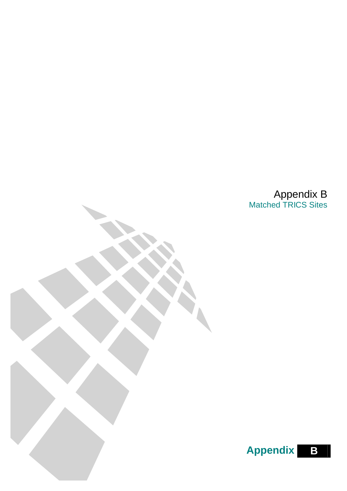Appendix B Matched TRICS Sites

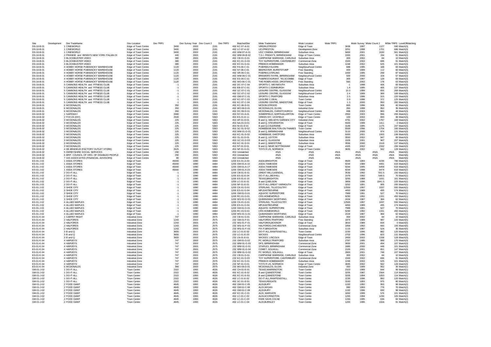| Site                     | Development | Dev TradeName                                                          | Dev Location                               | Dev TRP1 |              | Dev Survey Year Dev Count 2 | Dev TRP3     | MatchedSite                        | Msite Tradename                                               | Msite Location                         | Msite TRP1   |               |              | Msite Survey 'Msite Count 2 | MSite TRP3 LevelOfMatching       |
|--------------------------|-------------|------------------------------------------------------------------------|--------------------------------------------|----------|--------------|-----------------------------|--------------|------------------------------------|---------------------------------------------------------------|----------------------------------------|--------------|---------------|--------------|-----------------------------|----------------------------------|
| DS-16-B-01<br>DS-16-B-01 |             | 1 CINEWORLD<br>1 CINEWORLD                                             | Edge of Town Centre<br>Edge of Town Centre |          | 3400<br>3400 | 2003<br>2003                | 2191<br>2191 | 492 KC-07-A-01<br>492   C-07-A-02  | VIRGIN, STROOD<br><b>UCLPRESTON</b>                           | Edge of Town<br>Development Zone       |              | 3438<br>3251  | 1997<br>1998 | 1127<br>1701                | 590 Match(3)<br>686 Match(3)     |
| DS-16-B-01               |             | 1 CINEWORLD                                                            | Edge of Town Centre                        |          | 3400         | 2003                        | 2191         | 492 WM-07-A-01                     | UGC CINEMA, BIRMINGHAM                                        | Suburban Area                          |              | 5800          | 2001         | 1630                        | 561 Match(3)                     |
| DS-16-B-01               |             | 2 FRANKIE and BENNYS NEW YORK ITALIAN DI                               | Edge of Town Centre                        |          | 440          | 2003                        | 2191         | 492 WM-06-B-02                     | T.G.I. FRIDAY'S, BIRMINGHAM                                   | Edge of Town Centre                    |              | 1000          | 2001         | 194                         | 91 Match(2)                      |
| DS-16-B-01               |             | 3 BLOCKBUSTER VIDEO                                                    | Edge of Town Centre                        |          | 380          | 2003                        | 2191         | 492 CB-01-G-01                     | CARPHONE WAREHSE, CARLISLE                                    | Suburban Area                          |              | 300           | 2002         | 84                          | 10 Match(3)                      |
| DS-16-B-01               |             | 3 BLOCKBUSTER VIDEO                                                    | Edge of Town Centre                        |          | 380          | 2003                        | 2191         | 492 KC-01-G-03                     | TOY SUPERSTORE, CANTERBURY                                    | Commercial Zone                        |              | 1500          | 2002         | 696                         | 91 Match(3                       |
| DS-16-B-01               |             | 3 BLOCKBUSTER VIDEO                                                    | Edge of Town Centre                        |          | 380          | 2003                        | 2191         | 492 KC-01-G-01                     | PREMUS HOMEMAKER                                              | Suburban Area                          |              | 1248          | 2002         | 625                         | 101 Match(3)                     |
| DS-16-B-01               |             | 4 HOBBY HORSE PUB/WACKY WAREHOUSE                                      | Edge of Town Centre                        |          | 1120         | 2003                        | 2191         | 492 FA-06-C-01                     | PUB/RES.FALKIRK                                               | Neighbourhood Centre                   |              | 688           | 1995         | 168                         | 69 Match(3)                      |
| DS-16-B-01               |             | 4 HOBBY HORSE PUB/WACKY WAREHOUSE                                      | Edge of Town Centre                        |          | 1120         | 2003                        | 2191         | 492 NT-06-C-01                     | BEEFEATER, BURNTSTUMP                                         | Free Standing                          |              | 400           | 1999         | 112                         | 60 Match(3)                      |
| DS-16-B-01               |             | 4 HOBBY HORSE PUB/WACKY WAREHOUSE                                      | Edge of Town Centre                        |          | 1120         | 2003                        | 2191         | 492 SR-06-C-01                     | PUB/RES.STIRLING                                              | Free Standing                          |              | 1000          | 1995         | 299                         | 87 Match(3)                      |
| DS-16-B-01<br>DS-16-B-01 |             | 4 HOBBY HORSE PUB/WACKY WAREHOUSE<br>4 HOBBY HORSE PUB/WACKY WAREHOUSE | Edge of Town Centre                        |          | 1120<br>1120 | 2003<br>2003                | 2191<br>2191 | 492 WM-06-C-01<br>492 ES-06-C-01   | <b>BREWERS FAYRE, BIRMINGHAM</b><br>PUB/RESTAURANT, TELSCOMBE | Neighbourhood Centre                   |              | 500<br>369    | 2000<br>1997 | 104<br>129                  | 57 Match(3<br>69 Match(3         |
| DS-16-B-01               |             | 4 HOBBY HORSE PUB/WACKY WAREHOUSE                                      | Edge of Town Centre<br>Edge of Town Centre |          | 1120         | 2003                        | 2191         | 492 WO-06-C-01                     | THE ROBIN HOOD, DROITWICH                                     | Edge of Town<br>Free Standing          |              | 550           | 2002         | 178                         | 63 Match(3)                      |
| DS-16-B-01               |             | 5 CANNONS HEALTH and FITNESS CLUB                                      | Edge of Town Centre                        |          | $-1$         | 2003                        | 2191         | 492 DC-07-C-04                     | SPORTS C. WEYMOUTH                                            | Suburban Area                          |              | $-1$          | 1998         | 406                         | 83 Match(3)                      |
| DS-16-B-01               |             | 5 CANNONS HEALTH and FITNESS CLUE                                      | Edge of Town Centre                        |          | $-1$         | 2003                        | 2191         | 492 EB-07-C-01                     | SPORTS C.EDINBURGH                                            | Suburban Area                          |              | 1.8           | 1995         | 405                         | 137 Match(3)                     |
| DS-16-B-01               |             | 5 CANNONS HEALTH and FITNESS CLUE                                      | Edge of Town Centre                        |          | $-1$         | 2003                        | 2191         | 492 GC-07-C-01                     | LEISURE CENTRE, GLASGOW                                       | Neighbourhood Centre                   |              | 10.3          | 1999         | 655                         | 269 Match(3)                     |
| DS-16-B-01               |             | 5 CANNONS HEALTH and FITNESS CLUE                                      | Edge of Town Centre                        |          | $-1$         | 2003                        | 2191         | 492 GC-07-C-02                     | LEISURE CENTRE, GLASGOW                                       | Neighbourhood Centre                   |              | 2.4           | 1999         | 369                         | 189 Match(3)                     |
| DS-16-B-01               |             | 5 CANNONS HEALTH and FITNESS CLUE                                      | <b>Edge of Town Centre</b>                 |          | $-1$         | 2003                        | 2191         | 492 GM-07-C-01                     | SPORTS C.TRAFFORD                                             | Suburban Area                          |              | 2.5           | 1996         | 315                         | 220 Match(3                      |
| DS-16-B-01               |             | 5 CANNONS HEALTH and FITNESS CLUE                                      | Edge of Town Centre                        |          | $-1$         | 2003                        | 2191         | 492 KC-07-C-03                     | <b>I FISURE C.DEAL</b>                                        | Town Centre                            |              | 0.9           | 1996         | 372                         | 125 Match(3)                     |
| DS-16-B-01<br>DS-16-B-01 |             | 5 CANNONS HEALTH and FITNESS CLUB<br>6 MCDONALDS                       | Edge of Town Centre<br>Edge of Town Centre |          | $-1$<br>350  | 2003<br>2003                | 2191<br>2191 | 492 KC-07-C-04<br>492 KC-06-D-01   | LEISURE CENTRE, MAIDSTONE<br>MCDON STROOD                     | Edge of Town<br>Town Centre            |              | 1.3<br>800    | 2000<br>1996 | 950<br>908                  | 282 Match(3)<br>40 Match(3)      |
| DS-16-B-01               |             | 6 MCDONALDS                                                            | Edge of Town Centre                        |          | 350          | 2003                        | 2191         | 492 MO-06-D-01                     | MCDONALDS, ELGIN                                              | <b>Industrial Zone</b>                 |              | 350           | 1999         | 952                         | 36 Match(3)                      |
| DS-16-B-01               |             | 6 MCDONALDS                                                            | Edge of Town Centre                        |          | 350          | 2003                        | 2191         | 492 DC-06-D-01                     | MCDONALDS, CHRISTCHURCH                                       | Neighbourhood Centre                   |              | 498           | 2003         | 983                         | 48 Match(3)                      |
| DS-16-B-02               |             | 1 SAFEWAY                                                              | Edge of Town Centre                        |          | 2680         | 2003                        | 5363         | 453 NY-01-A-01                     | SOMERFIELD, NORTHALLERTON                                     | Edge of Town Centre                    |              | 2950          | 2003         | 996                         | 206 Match(1                      |
| DS-16-B-02               |             | 2 FOCUS (DIY)                                                          | Edge of Town Centre                        |          | 2500         | 2003                        | 5363         | 453 ES-01-E-11                     | <b>GREEN DIY, UCKFIELD</b>                                    | Edge of Town Centre                    |              | 100           | 2002         | 693                         | 38 Match(3                       |
| DS-16-B-02               |             | 3 MCDONALDS                                                            | Edge of Town Centre                        |          | 225          | 2003                        | 5363         | 453 HF-01-D-01                     | B and Q, WELWYN GARDEN CITY                                   | Industrial Zone                        |              | 4791          | 2002         | 1787                        | 169 Match(3)                     |
| DS-16-B-02               |             | 3 MCDONALDS                                                            | Edge of Town Centre                        |          | 225          | 2003                        | 5363         | 453 NA-01-D-01                     | B and Q, STEVENSTON                                           | Edge of Town                           |              | 5500          | 1999         | 1411                        | 0 Match(3)                       |
| DS-16-B-02               |             | 3 MCDONALDS                                                            | Edge of Town Centre                        |          | 225          | 2003                        | 5363         | 453 NI-01-D-01                     | B and Q.COLERAINE                                             | Edge of Town                           |              | 3148          | 1995         | 1175                        | 247 Match(3)                     |
| DS-16-B-02               |             | 3 MCDONALDS                                                            | Edge of Town Centre                        |          | 225          | 2003                        | 5363         | 453 SC-01-D-02                     | HOMEBASE, WALTON-ON-THAMES                                    | Town Centre                            |              | 5500          | 1996         | 1704                        | 160 Match(3)                     |
| DS-16-B-02               |             | 3 MCDONALDS                                                            | Edge of Town Centre                        |          | 225<br>225   | 2003                        | 5363         | 453 WM-01-D-01                     | B and Q, BIRMINGHAM                                           | Neighbourhood Centre                   |              | 3110          | 2000         | 974                         | 131 Match(3)                     |
| DS-16-B-02<br>DS-16-B-02 |             | 3 MCDONALDS<br>3 MCDONALDS                                             | Edge of Town Centre<br>Edge of Town Centre |          | 225          | 2003<br>2003                | 5363<br>5363 | 453 KC-01-D-02<br>453 GL-01-D-01   | HOMEBASE, DARTFORD<br>B and Q. LEYTON                         | Suburban Area<br>Suburban Area         |              | 5000<br>3550  | 2001<br>2002 | 1003<br>947                 | 138 Match(3)<br>89 Match(3)      |
| DS-16-B-02               |             | 3 MCDONALDS                                                            | Edge of Town Centre                        |          | 225          | 2003                        | 5363         | 453 GC-01-D-03                     | B and Q. GLASGOW                                              | Suburban Area                          |              | 1928          | 2001         | 967                         | 207 Match(3)                     |
| DS-16-B-02               |             | 3 MCDONALDS                                                            | Edge of Town Centre                        |          | 225          | 2003                        | 5363         | 453 KC-01-D-01                     | B and Q. MAIDSTONE                                            | Suburban Area                          |              | 3556          | 2000         | 1519                        | 137 Match(3)                     |
| DS-16-B-02               |             | 3 MCDONALDS                                                            | Edge of Town Centre                        |          | 225          | 2003                        | 5363         | 453 NT-01-D-01                     | B and Q, NEAR NOTTINGHAM                                      | Edge of Town                           |              | 4325          | 2002         | 2332                        | 206 Match(3)                     |
| DS-16-B-02               |             | 4 DE BRADELEI (FACTORY OUTLET STORE)                                   | Edge of Town Centre                        |          | 2625         | 2003                        | 5363         | 453 NF-01-G-01                     | TOYS R US, NORWICH                                            | Edge of Town Centre                    |              | 3835          | 2002         | 562                         | 128 Match(1)                     |
| DS-16-B-02               |             | 5 DERBYSHIRE SOCIAL SERVICES                                           | <b>Edge of Town Centre</b>                 |          | 290          | 2003                        | 5363         | 453 Unmatched                      | $HNI/\Delta$                                                  | #N/A                                   | #N/A         |               | #N/A         | #N/A                        | #N/A<br>Match(6                  |
| DS-16-B-02               |             | 6 BRIT. COUNCIL OF ORG. OF DISABLED PEOPLE                             | Edge of Town Centre                        |          | 290<br>80    | 2003                        | 5363         | 453 Unmatched                      | #N/A<br>#N/A                                                  | #N/A                                   | #N/A<br>#N/A |               | #N/A<br>#N/A | #N/A                        | #N/A<br>Match(6                  |
| DS-16-B-02<br>ES-01-J-02 |             | 7 GDI ASSOCIATES (FINANCIAL ADVISORS)<br>1 ASDA STORES                 | Edge of Town Centre                        |          | 45000        | 2003<br>1990                | 5363<br>4484 | 453 Unmatched<br>1200 ES-01-A-03   | ASDA, BRIGHTON                                                | #N/A                                   |              | 9500          | 1993         | #N/A<br>4235                | Match(6)<br>#N/A<br>780 Match(2) |
| ES-01-J-02               |             | 1 ASDA STORES                                                          | Edge of Town<br>Edge of Town               |          | 45000        | 1990                        | 4484         | 1200 GM-01-A-10                    | ASDA, TAMESIDE                                                | Edge of Town<br>Edge of Town           |              | 9244          | 1989         | 4491                        | 618 Match(2)                     |
| FS-01-J-02               |             | 1 ASDA STORES                                                          | Edge of Town                               |          | 45000        | 1990                        | 4484         | 1200 GM-01-A-17                    | ASDA.TAMESIDE                                                 | Edge of Town                           |              | 9244          | 1995         | 6459                        | 618 Match(2)                     |
| ES-01-J-02               |             | 1 ASDA STORES                                                          | Edge of Town                               |          | 45000        | 1990                        | 4484         | 1200 GM-01-A-23                    | ASDA, TAMESIDE                                                | Edge of Town                           |              | 9244          | 1998         | 6474                        | 618 Match(2)                     |
| ES-01-J-02               |             | 2 DO-IT-ALL                                                            | Edge of Town                               |          | $-1$         | 1990                        | 4484         | 1200 CB-01-E-01                    | <b>GREAT MILLS, KENDAL</b>                                    | Edge of Town                           |              | 3530          | 1992         | 931.5                       | 150 Match(1)                     |
| FS-01-J-02               |             | 2 DO-IT-ALL                                                            | Edge of Town                               |          | $-1$         | 1990                        | 4484         | 1200 FS-01-F-04                    | DO-IT-ALL BEXHILL                                             | Edge of Town                           |              | 1579          | 1992         | 548.5                       | 70 Match(1                       |
| ES-01-J-02               |             | 2 DO-IT-ALL                                                            | Edge of Town                               |          | $-1$         | 1990                        | 4484         | 1200 ES-01-E-10                    | <b>TEXAS, BRIGHTON</b>                                        | Edge of Town                           |              | 3250          | 1989         | 1031                        | 161 Match(1)                     |
| ES-01-J-02               |             | 2 DO-IT-ALL                                                            | Edge of Town                               |          | $-1$         | 1990                        | 4484         | 1200 LC-01-E-01                    | B and Q,NELSON                                                | Edge of Town                           |              | 3809          | 1996         | 1941.5                      | 225 Match(1)                     |
| ES-01-J-02<br>ES-01-J-02 |             | 2 DO-IT-ALL<br>3 SHOE CITY                                             | Edge of Town                               |          | $-1$         | 1990<br>1990                | 4484<br>4484 | 1200 NF-01-E-01<br>1200 CK-01-G-01 | DO-IT-ALL, GREAT YARMOUTH<br>STERLING, TILLICOULTRY           | Edge of Town                           |              | 3252<br>12500 | 1991<br>1997 | 905<br>1037                 | 200 Match(1)<br>550 Match(1)     |
| ES-01-J-02               |             | 3 SHOE CITY                                                            | Edge of Town<br>Edge of Town               |          | $-1$         | 1990                        | 4484         | 1200 ES-01-G-04                    | MFI,EASTBOURNE                                                | Edge of Town<br>Edge of Town           |              | 4450          | 1989         | 495                         | 174 Match(1)                     |
| ES-01-J-02               |             | 3 SHOE CITY                                                            | Edge of Town                               |          | $-1$         | 1990                        | 4484         | 1200 GM-01-G-01                    | <b>AQUATIC SUPERSTORE</b>                                     | Edge of Town                           |              | 7989          | 1991         | 527                         | 70 Match(1)                      |
| ES-01-J-02               |             | 3 SHOE CITY                                                            | Edge of Town                               |          | $-1$         | 1990                        | 4484         | 1200 RC-01-G-01                    | <b>CRS HOMEWORLD</b>                                          | Edge of Town                           |              | 9290          | 1992         | 1331                        | 450 Match(1)                     |
| FS-01-J-02               |             | 3 SHOF CITY                                                            | Edge of Town                               |          | $-1$         | 1990                        | 4484         | 1200 WS-01-G-01                    | OUFFNSWAY WORTHING                                            | Edge of Town                           |              | 2434          | 1987         | 384                         | 62 Match(1)                      |
| ES-01-J-02               |             | 4 ALLIED MAPLES                                                        | Edge of Town                               |          | $-1$         | 1990                        | 4484         | 1200 CK-01-G-01                    | STERLING, TILLICOULTRY                                        | Edge of Town                           |              | 12500         | 1997         | 1037                        | 550 Match(1)                     |
| ES-01-J-02               |             | 4 ALLIED MAPLES                                                        | Edge of Town                               |          | $-1$         | 1990                        | 4484         | 1200 ES-01-G-04                    | MFI,EASTBOURNE                                                | Edge of Town                           |              | 4450          | 1989         | 495                         | 174 Match(1)                     |
| FS-01-J-02<br>ES-01-J-02 |             | 4 ALLIED MAPLES<br>4 ALLIED MAPLES                                     | Edge of Town<br>Edge of Town               |          | $-1$<br>$-1$ | 1990<br>1990                | 4484<br>4484 | 1200 GM-01-G-01<br>1200 RC-01-G-01 | AOUATIC SUPERSTORE<br><b>CRS HOMEWORLD</b>                    | Edge of Town<br>Edge of Town           |              | 7989<br>9290  | 1991<br>1992 | 527<br>1331                 | 70 Match(1)<br>450 Match(1)      |
| FS-01-J-02               |             | 4 ALLIED MAPLES                                                        | <b>Edge of Town</b>                        |          | $-1$         | 1990                        | 4484         | 1200 WS-01-G-01                    | OUFFNSWAY WORTHING                                            | Frige of Town                          |              | 2434          | 1987         | 384                         | 62 Match(1)                      |
| ES-01-K-04               |             | 1 CARPET RIGHT                                                         | Industrial Zone                            |          | 747          | 2003                        | 2575         | 232 CB-01-G-01                     | CARPHONE WAREHSE, CARLISLE Suburban Area                      |                                        |              | 300           | 2002         | 84                          | 10 Match(3)                      |
| ES-01-K-04               |             | 2 HALFORDS                                                             | Industrial Zone                            |          | 1243         | 2003                        | 2575         | 232 GM-01-F-01                     | HAI FORDS TRAFFORD                                            | Free Standing                          |              | 1874          | 1989         | 987                         | 143 Match(5)                     |
| FS-01-K-04               |             | 2 HALFORDS                                                             | Industrial Zone                            |          | 1243         | 2003                        | 2575         | 232 WS-01-F-01                     | HAI FORDS BOGNOR                                              | Edge of Town                           |              | 3810          | 1989         | 834                         | 0 Match(5)                       |
| ES-01-K-04               |             | 2 HALFORDS                                                             | Industrial Zone                            |          | 1243         | 2003                        | 2575         | 232 WS-01-F-02                     | HALFORDS, CHICHESTER                                          | Commercial Zone                        |              | 1858          | 1992         | 660                         | 155 Match(5)                     |
| ES-01-K-04               |             | 2 HALFORDS                                                             | Industrial Zone                            |          | 1243         | 2003                        | 2575         | 232 WS-01-F-03                     | FIX IT, BRIGHTON                                              | Suburban Area                          |              | 1115          | 1987         | 524                         | 35 Match(5)                      |
| FS-01-K-04               |             | 3 B and Q                                                              | Industrial Zone                            |          | 3655         | 2003                        | 2575         | 232 LC-01-E-02                     | DO-IT-ALL,RAWTENSTALL                                         | Town Centre                            |              | 2230          | 1996         | 882                         | 120 Match(3)                     |
| ES-01-K-04<br>ES-01-K-04 |             | 3 B and Q<br>3 B and Q                                                 | Industrial Zone                            |          | 3655<br>3655 | 2003<br>2003                | 2575<br>2575 | 232 LC-01-E-03<br>232 LN-01-E-01   | <b>WICKES</b><br>WICKES, LINCOLN                              | Neighbourhood Centre<br>Edge of Town   |              | 2702<br>2400  | 1996<br>2002 | 823<br>1338                 | 131 Match(3)<br>128 Match(3)     |
| ES-01-K-04               |             | 4 HARVEYS                                                              | Industrial Zone<br>Industrial Zone         |          | 747          | 2003                        | 2575         | 232 GM-01-G-02                     | PC WORLD, TRAFFORD                                            | Suburban Area                          |              | 2787          | 1995         | 999                         | 170 Match(3)                     |
| ES-01-K-04               |             | 4 HARVEYS                                                              | Industrial Zone                            |          | 747          | 2003                        | 2575         | 232 WM-01-G-03                     | DFS, BIRMINGHAM                                               | Commercial Zone                        |              | 3600          | 2001         | 494                         | 107 Match(3)                     |
| FS-01-K-04               |             | 4 HARVEYS                                                              | Industrial Zone                            |          | 747          | 2003                        | 2575         | 232 WM-01-G-01                     | STAPLES BIRMINGHAM                                            | Commercial Zone                        |              | 1880          | 2000         | 448                         | 101 Match(3                      |
| ES-01-K-04               |             | 4 HARVEYS                                                              | Industrial Zone                            |          | 747          | 2003                        | 2575         | 232 WM-01-G-04                     | COMET, SOLIHULL                                               | Commercial Zone                        |              | 2100          | 2001         | 651                         | 147 Match(3)                     |
| ES-01-K-04               |             | 4 HARVEYS                                                              | Industrial Zone                            |          | 747          | 2003                        | 2575         | 232 WM-01-G-02                     | PC WORLD, SOLIHULL                                            | Edge of Town                           |              | 2800          | 2001         | 748                         | 107 Match(3)                     |
| FS-01-K-04               |             | 4 HARVEYS                                                              | Industrial Zone                            |          | 747          | 2003                        | 2575         | 232 CB-01-G-01                     | CARPHONE WAREHSE, CARLISLE                                    | Suburban Area                          |              | 300           | 2002         | 84                          | 10 Match(3)                      |
| ES-01-K-04               |             | 4 HARVEYS                                                              | Industrial Zone                            |          | 747          | 2003                        | 2575         | 232 KC-01-G-03                     | TOY SUPERSTORE, CANTERBURY                                    | Commercial Zone                        |              | 1500          | 2002         | 696                         | 91 Match(3)                      |
| FS-01-K-04               |             | 4 HARVEYS<br>4 HARVEYS                                                 | Industrial Zone                            |          | 747<br>747   | 2003                        | 2575         | 232 KC-01-G-01                     | PREMUS HOMEMAKER                                              | Suburban Area                          |              | 1248          | 2002<br>2002 | 625                         | 101 Match(3)                     |
| ES-01-K-04<br>ES-01-K-04 |             | 5 MCDONALDS                                                            | Industrial Zone<br><b>Industrial Zone</b>  |          | 366          | 2003<br>2003                | 2575<br>2575 | 232 NF-01-G-01<br>232 MO-06-D-01   | TOYS R US, NORWICH<br>MCDONALDS. FLGIN                        | Edge of Town Centre<br>Industrial Zone |              | 3835<br>350   | 1999         | 562<br>952                  | 128 Match(3)<br>36 Match(1)      |
| GM-01-J-02               |             | 1 DO-IT-ALL                                                            | Town Centre                                |          | 2322         | 1993                        | 4026         | 492 CH-01-E-01                     | <b>TEXAS.WARRINGTON</b>                                       | Town Centre                            |              | 2323          | 1989         | 644                         | 99 Match(1)                      |
| GM-01-J-02               |             | 1 DO-IT-ALL                                                            | Town Centre                                |          | 2322         | 1993                        | 4026         | 492 KC-01-E-02                     | B and Q,MAIDSTONE                                             | <b>Town Centre</b>                     |              | 3205          | 1987         | 1564                        | 114 Match(1)                     |
| GM-01-J-02               |             | 1 DO-IT-ALL                                                            | Town Centre                                |          | 2322         | 1993                        | 4026         | 492 KC-01-E-03                     | B and Q,MAIDSTONE                                             | <b>Town Centre</b>                     |              | 3205          | 1994         | 1053                        | 114 Match(1)                     |
| GM-01-J-02               |             | 1 DO-IT-ALL                                                            | Town Centre                                |          | 2322         | 1993                        | 4026         | 492 LC-01-E-02                     | DO-IT-ALL, RAWTENSTALL                                        | Town Centre                            |              | 2230          | 1996         | 882                         | 120 Match(1)                     |
| GM-01-J-02               |             | 1 DO-IT-ALL                                                            | Town Centre                                |          | 2322         | 1993                        | 4026         | 492 SC-01-E-01                     | TEXAS, REIGATE                                                | <b>Town Centre</b>                     |              | 3160          | 1993         | 975                         | 80 Match(1)                      |
| GM-01-J-02               |             | 2 FOOD GIANT                                                           | Town Centre                                |          | 4645         | 1993                        | 4026         | 492 GM-01-C-05                     | ALDI, BURY                                                    | <b>Town Centre</b>                     |              | 1192          | 1992         | 953                         | 98 Match(2)                      |
| GM-01-J-02<br>GM-01-J-02 |             | 2 FOOD GIANT<br>2 FOOD GIANT                                           | Town Centre<br><b>Town Centre</b>          |          | 4645<br>4645 | 1993<br>1993                | 4026<br>4026 | 492 GM-01-C-06<br>492 GM-01-C-08   | ALDI.WIGAN<br>ALDI.BURY                                       | Town Centre<br><b>Town Centre</b>      |              | 990<br>1192   | 1993<br>1996 | 776<br>690                  | 70 Match(2)<br>98 Match(2)       |
| GM-01-J-02               |             | 2 FOOD GIANT                                                           | <b>Town Centre</b>                         |          | 4645         | 1993                        | 4026         | 492 KC-01-C-01                     | ALDL MARGATE                                                  | <b>Town Centre</b>                     |              | 1650          | 1999         | 576                         | 101 Match(2)                     |
| GM-01-J-02               |             | 2 FOOD GIANT                                                           | <b>Town Centre</b>                         |          | 4645         | 1993                        | 4026         | 492 LC-01-C-02                     | ALDI.ACCRINGTON                                               | Town Centre                            |              | 1200          | 1994         | 1230                        | 105 Match(2)                     |
| GM-01-J-02               |             | 2 FOOD GIANT                                                           | Town Centre                                |          | 4645         | 1993                        | 4026         | 492 LC-01-C-03                     | KWIK SAVE, COLNE                                              | <b>Town Centre</b>                     |              | 1150          | 1995         | 636                         | 84 Match(2)                      |
|                          |             | 2 FOOD GIANT                                                           | Town Centre                                |          | 4645         | 1993                        | 4026         | 492 LC-01-C-04                     | ALDI, BURNLEY                                                 | Town Centre                            |              | 1200          | 1995         | 1024                        | 91 Match(2)                      |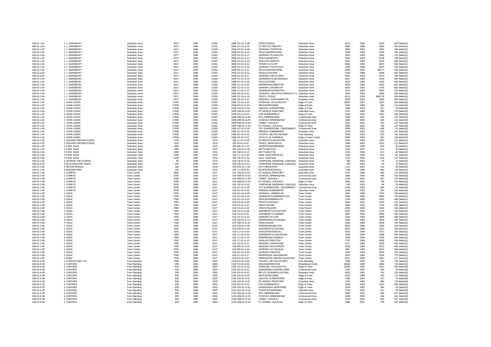| GM-01-J-04               | 1 J. SAINSBURY         | Suburban Area | 6317  | 1996         | 11255 | 1998 DC-01-A-08                  | TESCO,POOLE                              | Suburban Area       | 5574  | 1994 | 4545    | 620 Match(1) |
|--------------------------|------------------------|---------------|-------|--------------|-------|----------------------------------|------------------------------------------|---------------------|-------|------|---------|--------------|
| GM-01-J-04               | 1 J. SAINSBURY         | Suburban Area | 6317  | 1996         | 11255 | 1998 DV-01-A-06                  | PLYMCO,PLYMOUTH                          | Suburban Area       | 6980  | 1988 | 3689    | 550 Match(1) |
| GM-01-J-04               | 1 J. SAINSBURY         | Suburban Area | 6317  | 1996         | 11255 | 1998 DV-01-A-09                  | SAFEWAY, TIVERTON                        | Suburban Area       | 3550  | 1991 | 1860    | 400 Match(1) |
| GM-01-J-04               | 1 J. SAINSBURY         | Suburban Area | 6317  | 1996         | 11255 | 1998 DV-01-A-10                  | TESCO, BARNSTAPLE                        | Suburban Area       | 5198  | 1992 | 3228    | 465 Match(1) |
| GM-01-J-04               | 1 J. SAINSBURY         | Suburban Area | 6317  | 1996         | 11255 | 1998 DV-01-A-11                  | SAFEWAY.PLYMOUTH                         | Suburban Area       | 4370  | 1993 | 2855    | 470 Match(1) |
| GM-01-J-04               | 1 J. SAINSBURY         | Suburban Area | 6317  | 1996         | 11255 | 1998 DV-01-A-12                  | TESCO,EXMOUTH                            | Suburban Area       | 4900  | 1993 | 3738    | 430 Match(1) |
| GM-01-J-04               | 1 J. SAINSBURY         | Suburban Area | 6317  | 1996         | 11255 | 1998 DV-01-A-13                  | TESCO,PLYMOUTH                           | Suburban Area       | 6291  | 1993 | 4220    | 569 Match(1) |
| GM-01-J-04               | 1 J. SAINSBURY         | Suburban Area | 6317  | 1996         | 11255 | 1998 DV-01-A-14                  | PLYMCO (CO-OP)                           | Suburban Area       | 6980  | 1993 | 4874    | 550 Match(1) |
|                          |                        |               |       |              |       |                                  |                                          |                     |       |      |         |              |
| GM-01-J-04               | 1 J. SAINSBURY         | Suburban Area | 6317  | 1996         | 11255 | 1998 DV-01-A-19                  | SAFEWAY, TAVISTOCK                       | Suburban Area       | 4180  | 1995 | 3267    | 403 Match(1  |
| GM-01-J-04               | 1 J. SAINSBURY         | Suburban Area | 6317  | 1996         | 11255 | 1998 ES-01-A-10                  | TESCO,EASTBOURNE                         | Suburban Area       | 6500  | 1993 | 3327.5  | 652 Match(1) |
| GM-01-J-04               | 1 J. SAINSBURY         | Suburban Area | 6317  | 1996         | 11255 | 1998 GC-01-A-01                  | ASDA.GLASGOW                             | Suburban Area       | 7200  | 1988 | 5008    | 850 Match(1) |
| GM-01-J-04               | 1 J. SAINSBURY         | Suburban Area | 6317  | 1996         | 11255 | 1998 GL-01-A-11                  | SAFEWAY, HATCH END                       | Suburban Area       | 4631  | 1992 | 2073    | 396 Match(1) |
| GM-01-J-04               | 1 J. SAINSBURY         | Suburban Area | 6317  | 1996         | 11255 | 1998 KC-01-A-14                  | SAINSBURYS, SEVENOAKS                    | Suburban Area       | 6317  | 1994 | 4220    | 600 Match(1) |
| GM-01-J-04               | 1 J. SAINSBURY         | Suburban Area | 6317  | 1996         | 11255 | 1998 KC-01-A-16                  | TESCO,DOVER                              | Suburban Area       | 6225  | 1996 | 4429    | 640 Match(1) |
| GM-01-J-04               | 1 J. SAINSBURY         | Suburban Area | 6317  | 1996         | 11255 | 1998 LC-01-A-05                  | MORRISONS.PRESTON                        | Suburban Area       | 6875  | 1989 | 5442    | 802 Match(1  |
| GM-01-J-04               | 1 J. SAINSBURY         | Suburban Area | 6317  | 1996         | 11255 | 1998 LC-01-A-10                  | SAFFWAY THORNTON                         | Suburban Area       | 4831  | 1993 | 5145    | 562 Match(1) |
| GM-01-J-04               | 1 J. SAINSBURY         | Suburban Area | 6317  | 1996         | 11255 | 1998 LC-01-A-13                  | SAINSBURYS, PRESTON                      | Suburban Area       | 5574  | 1994 | 3635    | 575 Match(1) |
| GM-01-J-04               | 1 J. SAINSBURY         | Suburban Area | 6317  | 1996         | 11255 | 1998 HF-01-A-01                  | SAFEWAY, WELWYN GARDEN CTY Suburban Area |                     | 5300  | 2002 | 4566    | 393 Match(1) |
| GM-01-J-04               | 1 J. SAINSBURY         | Suburban Area | 6317  | 1996         | 11255 | 1998 DC-01-A-16                  | TESCO, POOLE                             | Suburban Area       | 5574  | 2000 | 6845.75 | 620 Match(1) |
| GM-01-J-04               | 1 J. SAINSBURY         | Suburban Area | 6317  | 1996         | 11255 | 1998 NR-01-A-01                  | SAFEWAY, NORTHAMPTON                     | Suburban Area       | 5900  | 2003 | 3926    | 580 Match(1) |
| GM-01-J-04               | 2 JOHN LEWIS           | Suburban Area | 17930 | 1996         | 11255 | 1998 CK-01-G-01                  | STERLING, TILLICOULTRY                   | Edge of Town        | 12500 | 1997 | 1037    | 550 Match(3) |
|                          | 2 JOHN LEWIS           | Suburban Area | 17930 | 1996         | 11255 | 1998 ES-01-G-04                  | <b>MFLEASTBOURNE</b>                     | Edge of Town        | 4450  | 1989 | 495     | 174 Match(3) |
| GM-01-J-04               |                        |               |       |              |       |                                  |                                          |                     |       |      |         |              |
| GM-01-J-04               | 2 JOHN LEWIS           | Suburban Area | 17930 | 1996         | 11255 | 1998 GM-01-G-01                  | <b>AQUATIC SUPERSTORE</b>                | Edge of Town        | 7989  | 1991 | 527     | 70 Match(3)  |
| GM-01-J-04               | 2 JOHN LEWIS           | Suburban Area | 17930 | 1996         | 11255 | 1998 GM-01-G-02                  | PC WORLD, TRAFFORD                       | Suburban Area       | 2787  | 1995 | 999     | 170 Match(3) |
| GM-01-J-04               | 2 JOHN LEWIS           | Suburban Area | 17930 | 1996         | 11255 | 1998 RC-01-G-01                  | <b>CRS HOMEWORLD</b>                     | Edge of Town        | 9290  | 1992 | 1331    | 450 Match(3) |
| GM-01-J-04               | 2 JOHN LEWIS           | Suburban Area | 17930 | 1996         | 11255 | 1998 WM-01-G-03                  | DFS, BIRMINGHAM                          | Commercial Zone     | 3600  | 2001 | 494     | 107 Match(3) |
| GM-01-J-04               | 2 JOHN LEWIS           | Suburban Area | 17930 | 1996         | 11255 | 1998 WM-01-G-01                  | STAPI FS. BIRMINGHAM                     | Commercial Zone     | 1880  | 2000 | 448     | 101 Match(3) |
| GM-01-J-04               | 2 JOHN LEWIS           | Suburban Area | 17930 | 1996         | 11255 | 1998 WM-01-G-04                  | COMET, SOLIHULL                          | Commercial Zone     | 2100  | 2001 | 651     | 147 Match(3) |
| GM-01-J-04               | 2 JOHN LEWIS           | Suburban Area | 17930 | 1996         | 11255 | 1998 WM-01-G-02                  | PC WORLD, SOLIHULL                       | Edge of Town        | 2800  | 2001 | 748     | 107 Match(3) |
| GM-01-J-04               | 2 JOHN LEWIS           | Suburban Area | 17930 | 1996         | 11255 | 1998 KC-01-G-03                  | TOY SUPERSTORE, CANTERBURY               | Commercial Zone     | 1500  | 2002 | 696     | 91 Match(3)  |
| GM-01-J-04               | 2 JOHN LEWIS           | Suburban Area | 17930 | 1996         | 11255 | 1998 KC-01-G-01                  | <b>PREMUS HOMEMAKER</b>                  | Suburban Area       | 1248  | 2002 | 625     | 101 Match(3) |
| GM-01-J-04               | 2 JOHN LEWIS           | Suburban Area | 17930 | 1996         | 11255 | 1998 BU-01-G-01                  | COURTS, MILTON KEYNES                    | Free Standing       | 7900  | 2002 | 503     | 145 Match(3) |
| GM-01-J-04               | 2 JOHN LEWIS           | Suburban Area | 17930 | 1996         | 11255 | 1998 NF-01-G-01                  | TOYS R US NORWICH                        | Edge of Town Centre | 3835  | 2002 | 562     | 128 Match(3) |
| GM-01-J-05               | 1 ICELAND FROZEN FOODS | Suburban Area | 1150  | 1995         | 2376  | 250 LC-01-A-08                   | E.H.BOOTH,LANCASTER                      | Suburban Area       | 2010  | 1991 | 1253    | 113 Match(1  |
| GM-01-J-05               | 1 ICELAND FROZEN FOODS | Suburban Area | 1150  | 1995         | 2376  | 250 NI-01-A-03                   | TESCO, NEWCASTLE                         | Suburban Area       | 1580  | 2002 | 1531    | 171 Match(1) |
| GM-01-J-05               | 2 KWIK SAVE            | Suburban Area | 1390  | 1995         | 2376  | 250 EB-01-C-01                   | SHOPRITE.EDINBURGH                       | Suburban Area       | 1300  | 1992 | 600     | 94 Match(1)  |
| GM-01-J-05               | 2 KWIK SAVE            | Suburban Area | 1390  | 1995         | 2376  | 250 GM-01-C-01                   | NETTO.BOLTON                             | Suburban Area       | 1022  | 1997 | 813     | 82 Match(1)  |
| GM-01-J-05               | 2 KWIK SAVE            | Suburban Area | 1390  | 1995         | 2376  | 250 GM-01-C-07                   | NETTO,BOLTON                             | Suburban Area       | 1022  | 1994 | 671     | 82 Match(1)  |
| GM-01-J-05               | 2 KWIK SAVE            | Suburban Area | 1390  | 1995         | 2376  | 250 LC-01-C-05                   | <b>KWIK SAVE PRESTON</b>                 | Suburban Area       | 1360  | 1996 | 622     | 81 Match(1)  |
| GM-01-J-05               | 2 KWIK SAVE            | Suburban Area | 1390  | 1995         | 2376  |                                  | ALDI. CARLISLE                           | Suburban Area       | 1216  | 2002 | 640     | 117 Match(1) |
| GM-01-J-05               | 3 ROGERS THE FLORIST   |               |       | 1995         | 2376  | 250 CB-01-C-01<br>250 CB-01-G-01 | CARPHONE WAREHSE, CARLISLE Suburban Area |                     |       | 2002 |         | 10 Match(2)  |
|                          |                        | Suburban Area | 80    |              |       |                                  |                                          |                     | 300   |      | 84      |              |
| GM-01-J-05               | 4 BLOCKBUSTER VIDEO    | Suburban Area | 492   | 1995         | 2376  | 250 CB-01-G-01                   | CARPHONE WAREHSE, CARLISLE               | Suburban Area       | 300   | 2002 | 84      | 10 Match(1)  |
| GM-01-J-05               | 5 MOTOR WORLD          | Suburban Area | 490   | 1995         | 2376  | 250 WS-01-F-03                   | FIX IT, BRIGHTON                         | Suburban Area       | 1115  | 1987 | 524     | 35 Match(2)  |
| GM-01-J-05               | 6 BURGER KING          | Suburban Area | 254   | 1995         | 2376  | 250 LC-06-D-02                   | MCDON BLACKPOOL                          | Suburban Area       | 500   | 1994 | 981     | 64 Match(1)  |
| GM-01-J-08               | 1 CURRYS               | Town Centre   | 2000  | 1998         | 5147  | 619 GM-01-G-02                   | PC WORLD, TRAFFORD                       | Suburban Area       | 2787  | 1995 | 999     | 170 Match(3) |
| GM-01-J-08               | 1 CURRYS               | Town Centre   | 2000  | 1998         | 5147  | 619 WM-01-G-01                   | STAPLES, BIRMINGHAM                      | Commercial Zone     | 1880  | 2000 | 448     | 101 Match(3) |
| GM-01-J-08               | 1 CURRYS               | Town Centre   | 2000  | 1998         | 5147  | 619 WM-01-G-04                   | COMET. SOLIHULL                          | Commercial Zone     | 2100  | 2001 | 651     | 147 Match(3) |
| GM-01-J-08               | 1 CURRYS               | Town Centre   | 2000  | 1998         | 5147  | 619 WM-01-G-02                   | PC WORLD, SOLIHULL                       | Edge of Town        | 2800  | 2001 | 748     | 107 Match(3) |
| GM-01-J-08               | 1 CURRYS               | Town Centre   | 2000  | 1998         | 5147  | 619 CB-01-G-01                   | CARPHONE WAREHSE, CARLISLE               | Suburban Area       | 300   | 2002 | 84      | 10 Match(3)  |
| GM-01-J-08               | 1 CURRYS               | Town Centre   | 2000  | 1998         | 5147  | 619 KC-01-G-03                   | TOY SUPERSTORE, CANTERBURY               | Commercial Zone     | 1500  | 2002 | 696     | 91 Match(3)  |
| GM-01-J-08               | 1 CURRYS               | Town Centre   | 2000  | 1998         | 5147  | 619 KC-01-G-01                   | PREMUS HOMEMAKER                         | Suburban Area       | 1248  | 2002 | 625     | 101 Match(3) |
| GM-01-J-08               | 2 ASDA                 | Town Centre   | 7050  | 1998         | 5147  | 619 AG-01-A-05                   | SAFFWAY, ARBROATH                        | Town Centre         | 4491  | 1999 | 2793    | 393 Match(1) |
| GM-01-J-08               | 2 ASDA                 | Town Centre   | 7050  | 1998         | 5147  | 619 CH-01-A-04                   | SAINSBURYS.WARRINGTON                    | Town Centre         | 5208  | 1990 | 3955    | 470 Match(1) |
| GM-01-J-08               | 2 ASDA                 | Town Centre   | 7050  | 1998         | 5147  | 619 DC-01-A-02                   | ASDA, BOURNEMOUTH                        | Town Centre         | 7432  | 1992 | 2919    | 640 Match(1) |
| GM-01-J-08               | 2 ASDA                 | Town Centre   | 7050  | 1998         | 5147  | 619 FS-01-A-09                   | TESCO.UCKFIELD                           | Town Centre         | 3819  | 1991 | 2252    | 307 Match(1) |
| GM-01-J-08               | 2 ASDA                 | Town Centre   | 7050  | 1998         | 5147  | 619 FA-01-A-01                   | <b>ASDA FALKIRK</b>                      | <b>Town Centre</b>  | 5483  | 1991 | 1732    | 325 Match(1) |
| GM-01-J-08               | 2 ASDA                 | Town Centre   | 7050  | 1998         | 5147  | 619 FA-01-A-02                   | <b>TESCO,FALKIRK</b>                     | Town Centre         | 4092  | 1993 | 1920    | 226 Match(1) |
| GM-01-J-08               | 2 ASDA                 | Town Centre   | 7050  | 1998         | 5147  | 619 GL-01-A-06                   | SAINSBURYS.ISLINGTON                     | Town Centre         | 3902  | 1991 | 1115    | 133 Match(1) |
| GM-01-J-08               | 2 ASDA                 | Town Centre   | 7050  | 1998         | 5147  | 619 GL-01-A-07                   | SAINSBURYS, CAMDEN                       | <b>Town Centre</b>  | 6046  | 1991 | 3066    | 292 Match(1  |
| GM-01-J-08               | 2 ASDA                 | Town Centre   | 7050  | 1998         | 5147  | 619 GL-01-A-10                   | SAFEWAY, ACTON                           | <b>Town Centre</b>  | 4125  | 1992 | 2868    | 306 Match(1) |
| GM-01-J-08               | 2 ASDA                 | Town Centre   | 7050  | 1998         | 5147  | 619 GM-01-A-13                   | MORRISONS ROCHDALE                       | <b>Town Centre</b>  | 4836  | 1993 | 3000    | 400 Match(1) |
| GM-01-J-08               | 2 ASDA                 | Town Centre   | 7050  | 1998         | 5147  | 619 GM-01-A-18                   | ASDA, WIGAN                              | <b>Town Centre</b>  | 6500  | 1995 | 5438    | 700 Match(1) |
| GM-01-J-08               | 2 ASDA                 | Town Centre   | 7050  | 1998         | 5147  | 619 GM-01-A-20                   | MORRISONS, BOLTON                        | <b>Town Centre</b>  | 6503  | 1998 | 3286    | 540 Match(1) |
|                          | 2 ASDA                 |               |       | 1998         | 5147  |                                  | SAINSBURYS OI DHAM                       |                     | 4645  | 100R | 3321    |              |
| GM-01-J-08               |                        | Town Centre   | 7050  |              |       | 619 GM-01-A-22                   |                                          | <b>Town Centre</b>  |       |      |         | 250 Match(1) |
| GM-01-J-08               | 2 ASDA                 | Town Centre   | 7050  | 1998         | 5147  | 619 LC-01-A-03                   | ASDA, RAWTENSTALL                        | <b>Town Centre</b>  | 5202  | 1996 | 4147    | 355 Match(1  |
| GM-01-J-08               | 2 ASDA                 | Town Centre   | 7050  | 1998         | 5147  | 619   C-01-A-06                  | SAINSBURYS LANCASTER                     | Town Centre         | 4699  | 1990 | 2389    | 289 Match(1) |
| GM-01-J-08               | 2 ASDA                 | Town Centre   | 7050  | 1998         | 5147  | 619 LC-01-A-14                   | MORRISONS.CHORLEY                        | Town Centre         | 6594  | 1996 | 4238    | 604 Match(1) |
| GM-01-J-08               | 2 ASDA                 | Town Centre   | 7050  | 1998         | 5147  | 619 LC-01-A-15                   | ASDA, ACCRINGTON                         | Town Centre         | 7757  | 1996 | 4609    | 626 Match(1) |
| GM-01-J-08               | 2 ASDA                 | Town Centre   | 7050  | 1998         | 5147  | 619   N-01-A-01                  | SAFFWAY GRANTHAM                         | Town Centre         | 4371  | 1993 | 2928    | 483 Match(1) |
| GM-01-J-08               | 2 ASDA                 | Town Centre   | 7050  | 1998         | 5147  | 619 MS-01-A-01                   | SAFEWAY, SOUTHPORT                       | Town Centre         | 5338  | 1994 | 3531    | 480 Match(1) |
| GM-01-J-08               | 2 ASDA                 | Town Centre   | 7050  | 1998         | 5147  | 619 MS-01-A-02                   | SAFEWAY, ST.HELENS                       | Town Centre         | 5687  | 1994 | 3267    | 580 Match(1  |
| GM-01-J-08               | 2 ASDA                 | Town Centre   | 7050  | 1998         | 5147  | 619 SC-01-A-04                   | SAFFWAY REIGATE                          | Town Centre         | 4782  | 1994 | 3504    | 420 Match(1) |
| GM-01-J-08               | 2 ASDA                 | Town Centre   | 7050  | 1998         | 5147  | 619 LC-01-A-17                   | MORRISONS, BLACKBURN                     | Town Centre         | 9223  | 2000 | 2918    | 770 Match(1) |
| GM-01-J-08               | 2 ASDA                 | Town Centre   | 7050  | 1998         | 5147  | 619 DH-01-A-01                   | MORRISONS, BISHOP AUCKLAND               | Town Centre         | 6721  | 2000 | 4487    | 517 Match(1) |
| GM-01-K-09               | 1 STAPLES (UK) LTD     | Free Standing | 2323  | 1995         | 5303  | 1150 BU-01-G-01                  | COURTS, MILTON KEYNES                    | Free Standing       | 7900  | 2002 | 503     | 145 Match(2) |
| GM-01-K-09               | 2 CANTORS              | Free Standing | 929   | 1995         | 5303  | 1150 CH-01-G-01                  | <b>IKEA, WARRINGTON</b>                  | Development Zone    | 16600 | 1990 | 4583    | 720 Match(3) |
| GM-01-K-09               | 2 CANTORS              | Free Standing | 929   | 1995         | 5303  | 1150 CK-01-G-01                  | STERLING, TILLICOULTRY                   | Edge of Town        | 12500 | 1997 | 1037    | 550 Match(3) |
| GM-01-K-09               | 2 CANTORS              | Free Standing | 929   | 1995         | 5303  | 1150 ES-01-G-01                  | OUFFNSWAY FASTBOURNE                     | Commercial Zone     | 2787  | 1987 | 364     | 53 Match(3)  |
| GM-01-K-09               | 2 CANTORS              | Free Standing | 929   | 1995         | 5303  | 1150 ES-01-G-02                  | MFI,ST.LEONARDS-ON-SEA                   | Suburban Area       | 4552  | 1987 | 742     | 150 Match(3) |
| GM-01-K-09               | 2 CANTORS              | Free Standing | 929   | 1995         | 5303  | 1150 FS-01-G-04                  | MFI.EASTBOURNE                           | <b>Edge of Town</b> | 4450  | 1989 | 495     | 174 Match(3) |
| GM-01-K-09               | 2 CANTORS              | Free Standing | 929   | 1995         | 5303  | 1150 GM-01-G-01                  | <b>AQUATIC SUPERSTORE</b>                | Edge of Town        | 7989  | 1991 | 527     | 70 Match(3)  |
| GM-01-K-09               | 2 CANTORS              | Free Standing | 929   | 1995         | 5303  | 1150 GM-01-G-02                  | PC WORLD, TRAFFORD                       | Suburban Area       | 2787  | 1995 | 999     | 170 Match(3) |
| GM-01-K-09               | 2 CANTORS              | Free Standing | 929   | 1995         | 5303  | 1150 RC-01-G-01                  | CRS HOMEWORLD                            | <b>Edge of Town</b> | 9290  | 1992 | 1331    | 450 Match(3) |
|                          |                        |               |       |              |       |                                  |                                          |                     |       | 1987 | 384     | 62 Match(3)  |
| GM-01-K-09<br>GM-01-K-09 | 2 CANTORS              | Free Standing | 929   | 1995         | 5303  | 1150 WS-01-G-01                  | QUEENSWAY, WORTHING<br>COURTS SHORFHAM   | Edge of Town        | 2434  | 1987 |         | 55 Match(3)  |
|                          | 2 CANTORS              | Free Standing | 929   | 1995<br>1995 | 5303  | 1150 WS-01-G-02                  | DES BIRMINGHAM                           | Industrial Zone     | 2750  |      | 311     |              |
| GM-01-K-09               | 2 CANTORS              | Free Standing | 929   |              | 5303  | 1150 WM-01-G-03                  |                                          | Commercial Zone     | 3600  | 2001 | 494     | 107 Match(3) |
| GM-01-K-09               | 2 CANTORS              | Free Standing | 929   | 1995         | 5303  | 1150 WM-01-G-01                  | STAPLES, BIRMINGHAM                      | Commercial Zone     | 1880  | 2000 | 448     | 101 Match(3) |
| GM-01-K-09               | 2 CANTORS              | Free Standing | 929   | 1995         | 5303  | 1150 WM-01-G-04                  | COMET. SOLIHULL                          | Commercial Zone     | 2100  | 2001 | 651     | 147 Match(3) |
| GM-01-K-09               | 2 CANTORS              | Free Standing | 929   | 1995         | 5303  | 1150 WM-01-G-02                  | PC WORLD, SOLIHULL                       | Edge of Town        | 2800  | 2001 | 748     | 107 Match(3) |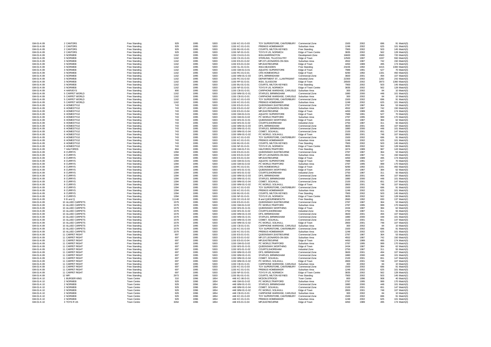| GM-01-K-09 | 2 CANTORS         | Free Standing | 929   | 1995 | 5303 | 1150 KC-01-G-03 | TOY SUPERSTORE, CANTERBURY                 | Commercial Zone     | 1500  | 2002 | 696  | 91 Match(3)   |
|------------|-------------------|---------------|-------|------|------|-----------------|--------------------------------------------|---------------------|-------|------|------|---------------|
| GM-01-K-09 | 2 CANTORS         | Free Standing | 929   | 1995 | 5303 | 1150 KC-01-G-01 | PREMUS HOMEMAKER                           | Suburban Area       | 1248  | 2002 | 625  | 101 Match(3)  |
| GM-01-K-09 | 2 CANTORS         | Free Standing | 929   | 1995 | 5303 | 1150 BU-01-G-01 | <b>COURTS, MILTON KEYNES</b>               | Free Standing       | 7900  | 2002 | 503  | 145 Match(3)  |
| GM-01-K-09 | 2 CANTORS         | Free Standing | 929   | 1995 | 5303 | 1150 NF-01-G-01 | TOYS R US, NORWICH                         | Edge of Town Centre | 3835  | 2002 | 562  | 128 Match(3)  |
|            |                   |               |       |      |      |                 |                                            |                     |       |      |      |               |
| GM-01-K-09 | 3 NORWEB          | Free Standing | 1162  | 1995 | 5303 | 1150 CH-01-G-01 | <b>IKEA, WARRINGTON</b>                    | Development Zone    | 16600 | 1990 | 4583 | 720 Match(3)  |
| GM-01-K-09 | 3 NORWEB          | Free Standing | 1162  | 1995 | 5303 | 1150 CK-01-G-01 | STERLING. TILLICOULTRY                     | Edge of Town        | 12500 | 1997 | 1037 | 550 Match(3)  |
| GM-01-K-09 | 3 NORWEB          | Free Standing | 1162  | 1995 | 5303 | 1150 ES-01-G-02 | MFI,ST.LEONARDS-ON-SEA                     | Suburban Area       | 4552  | 1987 | 742  | 150 Match(3)  |
| GM-01-K-09 | 3 NORWEB          | Free Standing | 1162  | 1995 | 5303 | 1150 ES-01-G-04 | MFI.EASTBOURNE                             | Edge of Town        | 4450  | 1989 | 495  | 174 Match(3)  |
|            | 3 NORWEB          |               |       |      |      |                 |                                            |                     |       | 1992 |      | 1300 Match(3) |
| GM-01-K-09 |                   | Free Standing | 1162  | 1995 | 5303 | 1150 GL-01-G-01 | <b>IKEA, NEASDEN</b>                       | Free Standing       | 23226 |      | 4415 |               |
| GM-01-K-09 | 3 NORWEB          | Free Standing | 1162  | 1995 | 5303 | 1150 GM-01-G-01 | AQUATIC SUPERSTORE                         | Edge of Town        | 7989  | 1991 | 527  | 70 Match(3)   |
| GM-01-K-09 | 3 NORWEB          | Free Standing | 1162  | 1995 | 5303 | 1150 RC-01-G-01 | CRS HOMEWORLD                              | Edge of Town        | 9290  | 1992 | 1331 | 450 Match(3)  |
| GM-01-K-09 | 3 NORWEB          | Free Standing | 1162  | 1995 | 5303 | 1150 WM-01-G-03 | DFS, BIRMINGHAM                            | Commercial Zone     | 3600  | 2001 | 494  | 107 Match(3)  |
| GM-01-K-09 | 3 NORWEB          | Free Standing | 1162  | 1995 | 5303 | 1150 RC-01-G-02 | DEPARTMENT ST., LLANTRISANT                | Industrial Zone     | 22300 | 2002 | 1282 | 242 Match(3)  |
|            |                   |               |       |      |      |                 |                                            |                     |       |      |      |               |
| GM-01-K-09 | 3 NORWEB          | Free Standing | 1162  | 1995 | 5303 | 1150 RF-01-G-01 | <b>IKEA, GLASGOW</b>                       | Edge of Town        | 26500 | 2002 | 3973 | 1360 Match(3) |
| GM-01-K-09 | 3 NORWEB          | Free Standing | 1162  | 1995 | 5303 | 1150 BU-01-G-01 | COURTS, MILTON KEYNES                      | Free Standing       | 7900  | 2002 | 503  | 145 Match(3)  |
| GM-01-K-09 | 3 NORWEB          | Free Standing | 1162  | 1995 | 5303 | 1150 NF-01-G-01 | TOYS R US, NORWICH                         | Edge of Town Centre | 3835  | 2002 | 562  | 128 Match(3)  |
| GM-01-K-09 | 4 HARVEYS         | Free Standing | 800   | 1995 | 5303 | 1150 CB-01-G-01 | CARPHONE WAREHSE, CARLISLE                 | Suburban Area       | 300   | 2002 | 84   | 10 Match(3)   |
|            |                   |               |       |      |      |                 |                                            |                     |       |      |      |               |
| GM-01-K-09 | 5 CARPET WORLD    | Free Standing | 1162  | 1995 | 5303 | 1150 WM-01-G-01 | STAPLES, BIRMINGHAM                        | Commercial Zone     | 1880  | 2000 | 448  | 101 Match(3)  |
| GM-01-K-09 | 5 CARPET WORLD    | Free Standing | 1162  | 1995 | 5303 | 1150 CB-01-G-01 | CARPHONE WAREHSE, CARLISLE Suburban Area   |                     | 300   | 2002 | 84   | 10 Match(3)   |
| GM-01-K-09 | 5 CARPET WORLD    | Free Standing | 1162  | 1995 | 5303 | 1150 KC-01-G-03 | TOY SUPERSTORE, CANTERBURY                 | Commercial Zone     | 1500  | 2002 | 696  | 91 Match(3)   |
| GM-01-K-09 | 5 CARPET WORLD    | Free Standing | 1162  | 1995 | 5303 | 1150 KC-01-G-01 | PREMUS HOMEMAKER                           | Suburban Area       | 1248  | 2002 | 625  | 101 Match(3)  |
|            | 6 HOMESTYLE       | Free Standing |       |      |      | 1150 ES-01-G-01 |                                            |                     |       |      |      |               |
| GM-01-K-09 |                   |               | 743   | 1995 | 5303 |                 | QUEENSWAY, EASTBOURNE                      | Commercial Zone     | 2787  | 1987 | 364  | 53 Match(3)   |
| GM-01-K-09 | 6 HOMESTYLE       | Free Standing | 743   | 1995 | 5303 | 1150 ES-01-G-02 | MFI,ST.LEONARDS-ON-SEA                     | Suburban Area       | 4552  | 1987 | 742  | 150 Match(3)  |
| GM-01-K-09 | 6 HOMESTYLE       | Free Standing | 743   | 1995 | 5303 | 1150 ES-01-G-04 | MFI,EASTBOURNE                             | Edge of Town        | 4450  | 1989 | 495  | 174 Match(3)  |
| GM-01-K-09 | 6 HOMESTYLE       | Free Standing | 743   | 1995 | 5303 | 1150 GM-01-G-01 | AQUATIC SUPERSTORE                         | Edge of Town        | 7989  | 1991 | 527  | 70 Match(3)   |
|            |                   |               |       |      |      |                 |                                            |                     |       |      |      |               |
| GM-01-K-09 | 6 HOMESTYLE       | Free Standing | 743   | 1995 | 5303 | 1150 GM-01-G-02 | PC WORLD, TRAFFORD                         | Suburban Area       | 2787  | 1995 | 999  | 170 Match(3)  |
| GM-01-K-09 | 6 HOMESTYLE       | Free Standing | 743   | 1995 | 5303 | 1150 WS-01-G-01 | QUEENSWAY, WORTHING                        | Edge of Town        | 2434  | 1987 | 384  | 62 Match(3)   |
| GM-01-K-09 | 6 HOMESTYLE       | Free Standing | 743   | 1995 | 5303 | 1150 WS-01-G-02 | COURTS.SHOREHAM                            | Industrial Zone     | 2750  | 1987 | 311  | 55 Match(3)   |
| GM-01-K-09 | 6 HOMESTYLE       | Free Standing | 743   | 1995 | 5303 | 1150 WM-01-G-03 | DFS, BIRMINGHAM                            | Commercial Zone     | 3600  | 2001 | 494  | 107 Match(3)  |
|            |                   |               |       |      |      |                 |                                            |                     |       |      |      |               |
| GM-01-K-09 | 6 HOMESTYLE       | Free Standing | 743   | 1995 | 5303 | 1150 WM-01-G-01 | STAPLES, BIRMINGHAM                        | Commercial Zone     | 1880  | 2000 | 448  | 101 Match(3)  |
| GM-01-K-09 | 6 HOMESTYLE       | Free Standing | 743   | 1995 | 5303 | 1150 WM-01-G-04 | COMET, SOLIHULL                            | Commercial Zone     | 2100  | 2001 | 651  | 147 Match(3)  |
| GM-01-K-09 | 6 HOMESTYLE       | Free Standing | 743   | 1995 | 5303 | 1150 WM-01-G-02 | PC WORLD, SOLIHULL                         | Edge of Town        | 2800  | 2001 | 748  | 107 Match(3)  |
| GM-01-K-09 | 6 HOMESTYLE       | Free Standing | 743   | 1995 | 5303 | 1150 KC-01-G-03 | TOY SUPERSTORE, CANTERBURY                 | Commercial Zone     | 1500  | 2002 | 696  | 91 Match(3)   |
|            |                   |               |       |      |      |                 |                                            |                     |       |      |      |               |
| GM-01-K-09 | 6 HOMESTYLE       | Free Standing | 743   | 1995 | 5303 | 1150 KC-01-G-01 | PREMUS HOMEMAKER                           | Suburban Area       | 1248  | 2002 | 625  | 101 Match(3)  |
| GM-01-K-09 | 6 HOMESTYLE       | Free Standing | 743   | 1995 | 5303 | 1150 BU-01-G-01 | COURTS, MILTON KEYNES                      | Free Standing       | 7900  | 2002 | 503  | 145 Match(3)  |
| GM-01-K-09 | 6 HOMESTYLE       | Free Standing | 743   | 1995 | 5303 | 1150 NF-01-G-01 | TOYS R US, NORWICH                         | Edge of Town Centre | 3835  | 2002 | 562  | 128 Match(3)  |
| GM-01-K-09 | 7 HALFORDS        | Free Standing | 804   | 1995 | 5303 | 1150 GM-01-F-01 | HALFORDS, TRAFFORD                         | Free Standing       | 1874  | 1989 | 987  | 143 Match(2)  |
|            |                   |               | 1394  |      |      |                 |                                            |                     |       | 1987 | 364  | 53 Match(3)   |
| GM-01-K-09 | 8 CURRYS          | Free Standing |       | 1995 | 5303 | 1150 ES-01-G-01 | QUEENSWAY, EASTBOURNE                      | Commercial Zone     | 2787  |      |      |               |
| GM-01-K-09 | 8 CURRYS          | Free Standing | 1394  | 1995 | 5303 | 1150 ES-01-G-02 | MFI.ST.LEONARDS-ON-SEA                     | Suburban Area       | 4552  | 1987 | 742  | 150 Match(3)  |
| GM-01-K-09 | 8 CURRYS          | Free Standing | 1394  | 1995 | 5303 | 1150 ES-01-G-04 | MFI,EASTBOURNE                             | Edge of Town        | 4450  | 1989 | 495  | 174 Match(3)  |
| GM-01-K-09 | 8 CURRYS          | Free Standing | 1394  | 1995 | 5303 | 1150 GM-01-G-01 | <b>AQUATIC SUPERSTORE</b>                  | Edge of Town        | 7989  | 1991 | 527  | 70 Match(3)   |
| GM-01-K-09 | 8 CURRYS          | Free Standing | 1394  | 1995 | 5303 | 1150 GM-01-G-02 | PC WORLD TRAFFORD                          | Suburban Area       | 2787  | 1995 | 999  | 170 Match(3)  |
|            |                   |               |       |      |      |                 |                                            |                     |       |      |      |               |
| GM-01-K-09 | 8 CURRYS          | Free Standing | 1394  | 1995 | 5303 | 1150 RC-01-G-01 | <b>CRS HOMEWORLD</b>                       | Edge of Town        | 9290  | 1992 | 1331 | 450 Match(3)  |
| GM-01-K-09 | 8 CURRYS          | Free Standing | 1394  | 1995 | 5303 | 1150 WS-01-G-01 | QUEENSWAY, WORTHING                        | Edge of Town        | 2434  | 1987 | 384  | 62 Match(3)   |
| GM-01-K-09 | 8 CURRYS          | Free Standing | 1394  | 1995 | 5303 | 1150 WS-01-G-02 | COURTS, SHOREHAM                           | Industrial Zone     | 2750  | 1987 | 311  | 55 Match(3)   |
| GM-01-K-09 | 8 CURRYS          | Free Standing | 1394  | 1995 | 5303 | 1150 WM-01-G-03 | DFS. BIRMINGHAM                            | Commercial Zone     | 3600  | 2001 | 494  | 107 Match(3)  |
|            |                   |               |       |      |      |                 |                                            |                     |       |      |      |               |
| GM-01-K-09 | 8 CURRYS          | Free Standing | 1394  | 1995 | 5303 | 1150 WM-01-G-01 | STAPLES, BIRMINGHAM                        | Commercial Zone     | 1880  | 2000 | 448  | 101 Match(3)  |
| GM-01-K-09 | 8 CURRYS          | Free Standing | 1394  | 1995 | 5303 | 1150 WM-01-G-04 | COMET, SOLIHULL                            | Commercial Zone     | 2100  | 2001 | 651  | 147 Match(3)  |
| GM-01-K-09 | 8 CURRYS          | Free Standing | 1394  | 1995 | 5303 | 1150 WM-01-G-02 | PC WORLD, SOLIHULL                         | Edge of Town        | 2800  | 2001 | 748  | 107 Match(3)  |
| GM-01-K-09 | 8 CURRYS          | Free Standing | 1394  | 1995 | 5303 | 1150 KC-01-G-03 | TOY SUPERSTORE, CANTERBURY Commercial Zone |                     | 1500  | 2002 | 696  | 91 Match(3)   |
|            |                   |               |       |      |      |                 |                                            |                     |       |      |      |               |
| GM-01-K-09 | 8 CURRYS          | Free Standing | 1394  | 1995 | 5303 | 1150 KC-01-G-01 | PREMUS HOMEMAKER                           | Suburban Area       | 1248  | 2002 | 625  | 101 Match(3)  |
| GM-01-K-09 | 8 CURRYS          | Free Standing | 1394  | 1995 | 5303 | 1150 BU-01-G-01 | <b>COURTS. MILTON KEYNES</b>               | Free Standing       | 7900  | 2002 | 503  | 145 Match(3)  |
| GM-01-K-09 | 8 CURRYS          | Free Standing | 1394  | 1995 | 5303 | 1150 NF-01-G-01 | TOYS R US, NORWICH                         | Edge of Town Centre | 3835  | 2002 | 562  | 128 Match(3)  |
| GM-01-K-09 | 9 B and Q         | Free Standing | 11148 | 1995 | 5303 | 1150 DC-01-E-02 | B and Q.BOURNEMOUTH                        | Free Standing       | 2660  | 1992 | 830  | 137 Match(2)  |
| GM-01-K-09 | 10 ALLIED CARPETS | Free Standing | 1579  | 1995 | 5303 | 1150 ES-01-G-01 | QUEENSWAY, EASTBOURNE                      |                     | 2787  | 1987 | 364  | 53 Match(3)   |
|            |                   |               |       |      |      |                 |                                            | Commercial Zone     |       |      |      |               |
| GM-01-K-09 | 10 ALLIED CARPETS | Free Standing | 1579  | 1995 | 5303 | 1150 GM-01-G-02 | PC WORLD.TRAFFORD                          | Suburban Area       | 2787  | 1995 | 999  | 170 Match(3)  |
| GM-01-K-09 | 10 ALLIED CARPETS | Free Standing | 1579  | 1995 | 5303 | 1150 WS-01-G-01 | QUEENSWAY, WORTHING                        | Edge of Town        | 2434  | 1987 | 384  | 62 Match(3)   |
| GM-01-K-09 | 10 ALLIED CARPETS | Free Standing | 1579  | 1995 | 5303 | 1150 WS-01-G-02 | COURTS, SHOREHAM                           | Industrial Zone     | 2750  | 1987 | 311  | 55 Match(3)   |
| GM-01-K-09 | 10 ALLIED CARPETS | Free Standing | 1579  | 1995 | 5303 | 1150 WM-01-G-03 | DFS, BIRMINGHAM                            | Commercial Zone     | 3600  | 2001 | 494  | 107 Match(3)  |
|            |                   |               |       |      |      |                 |                                            |                     |       |      |      |               |
| GM-01-K-09 | 10 ALLIED CARPETS | Free Standing | 1579  | 1995 | 5303 | 1150 WM-01-G-01 | STAPLES, BIRMINGHAM                        | Commercial Zone     | 1880  | 2000 | 448  | 101 Match(3)  |
| GM-01-K-09 | 10 ALLIED CARPETS | Free Standing | 1579  | 1995 | 5303 | 1150 WM-01-G-04 | COMET. SOLIHULL                            | Commercial Zone     | 2100  | 2001 | 651  | 147 Match(3)  |
| GM-01-K-09 | 10 ALLIED CARPETS | Free Standing | 1579  | 1995 | 5303 | 1150 WM-01-G-02 | PC WORLD, SOLIHULL                         | Edge of Town        | 2800  | 2001 | 748  | 107 Match(3)  |
| GM-01-K-09 | 10 ALLIED CARPETS | Free Standing | 1579  | 1995 | 5303 | 1150 CB-01-G-01 | CARPHONE WAREHSE, CARLISLE Suburban Area   |                     | 300   | 2002 | 84   | 10 Match(3)   |
| GM-01-K-09 | 10 ALLIED CARPETS | Free Standing | 1579  | 1995 | 5303 | 1150 KC-01-G-03 | TOY SUPERSTORE, CANTERBURY                 | Commercial Zone     | 1500  | 2002 | 696  | 91 Match(3)   |
|            |                   |               |       |      |      |                 |                                            |                     |       |      |      |               |
| GM-01-K-09 | 10 ALLIED CARPETS | Free Standing | 1579  | 1995 | 5303 | 1150 KC-01-G-01 | PREMUS HOMEMAKER                           | Suburban Area       | 1248  | 2002 | 625  | 101 Match(3)  |
| GM-01-K-09 | 11 CARPET RIGHT   | Free Standing | 697   | 1995 | 5303 | 1150 ES-01-G-01 | QUEENSWAY, EASTBOURNE                      | Commercial Zone     | 2787  | 1987 | 364  | 53 Match(3)   |
| GM-01-K-09 | 11 CARPET RIGHT   | Free Standing | 697   | 1995 | 5303 | 1150 ES-01-G-02 | MFI.ST.LEONARDS-ON-SEA                     | Suburban Area       | 4552  | 1987 | 742  | 150 Match(3)  |
| GM-01-K-09 | 11 CARPET RIGHT   | Free Standing | 697   | 1995 | 5303 | 1150 ES-01-G-04 | MFI,EASTBOURNE                             | Edge of Town        | 4450  | 1989 | 495  | 174 Match(3)  |
| GM-01-K-09 | 11 CARPET RIGHT   | Free Standing | 697   | 1995 | 5303 | 1150 GM-01-G-02 | PC WORLD, TRAFFORD                         | Suburban Area       | 2787  | 1995 | 999  | 170 Match(3)  |
|            |                   |               |       |      |      |                 |                                            |                     |       |      |      |               |
| GM-01-K-09 | 11 CARPET RIGHT   | Free Standing | 697   | 1995 | 5303 | 1150 WS-01-G-01 | QUEENSWAY, WORTHING                        | Edge of Town        | 2434  | 1987 | 384  | 62 Match(3)   |
| GM-01-K-09 | 11 CARPET RIGHT   | Free Standing | 697   | 1995 | 5303 | 1150 WS-01-G-02 | COURTS.SHOREHAM                            | Industrial Zone     | 2750  | 1987 | 311  | 55 Match(3)   |
| GM-01-K-09 | 11 CARPET RIGHT   | Free Standing | 697   | 1995 | 5303 | 1150 WM-01-G-03 | DFS, BIRMINGHAM                            | Commercial Zone     | 3600  | 2001 | 494  | 107 Match(3)  |
| GM-01-K-09 | 11 CARPET RIGHT   | Free Standing | 697   | 1995 | 5303 | 1150 WM-01-G-01 | STAPLES, BIRMINGHAM                        | Commercial Zone     | 1880  | 2000 | 448  | 101 Match(3)  |
|            |                   |               |       |      |      |                 |                                            |                     |       |      |      |               |
| GM-01-K-09 | 11 CARPET RIGHT   | Free Standing | 697   | 1995 | 5303 | 1150 WM-01-G-04 | COMET, SOLIHULL                            | Commercial Zone     | 2100  | 2001 | 651  | 147 Match(3)  |
| GM-01-K-09 | 11 CARPET RIGHT   | Free Standing | 697   | 1995 | 5303 | 1150 WM-01-G-02 | PC WORLD, SOLIHULL                         | Edge of Town        | 2800  | 2001 | 748  | 107 Match(3)  |
| GM-01-K-09 | 11 CARPET RIGHT   | Free Standing | 697   | 1995 | 5303 | 1150 CB-01-G-01 | CARPHONE WAREHSE, CARLISLE                 | Suburban Area       | 300   | 2002 | 84   | 10 Match(3)   |
| GM-01-K-09 | 11 CARPET RIGHT   | Free Standing | 697   | 1995 | 5303 | 1150 KC-01-G-03 | TOY SUPERSTORE, CANTERBURY                 | Commercial Zone     | 1500  | 2002 | 696  | 91 Match(3)   |
| GM-01-K-09 | 11 CARPET RIGHT   |               | 697   | 1995 | 5303 | 1150 KC-01-G-01 | PREMUS HOMEMAKER                           |                     | 1248  | 2002 | 625  |               |
|            |                   | Free Standing |       |      |      |                 |                                            | Suburban Area       |       |      |      | 101 Match(3)  |
| GM-01-K-09 | 11 CARPET RIGHT   | Free Standing | 697   | 1995 | 5303 | 1150 NF-01-G-01 | TOYS R US, NORWICH                         | Edge of Town Centre | 3835  | 2002 | 562  | 128 Match(3)  |
| GM-01-K-09 | 12 MFI            | Free Standing | 2973  | 1995 | 5303 | 1150 BU-01-G-01 | COURTS, MILTON KEYNES                      | Free Standing       | 7900  | 2002 | 503  | 145 Match(2)  |
| GM-01-K-10 | 1 BURGER KING     | Town Centre   | 310   | 1996 | 1854 | 448 KC-06-D-01  | MCDON STROOD                               | Town Centre         | 800   | 1996 | 908  | 40 Match(2)   |
|            |                   |               | 929   |      |      |                 |                                            |                     |       |      |      | 170 Match(3)  |
|            |                   |               |       | 1996 | 1854 | 448 GM-01-G-02  | PC WORLD, TRAFFORD                         | Suburban Area       | 2787  | 1995 | 999  |               |
| GM-01-K-10 | 2 NORWEB          | Town Centre   |       |      |      |                 |                                            |                     |       |      |      |               |
| GM-01-K-10 | 2 NORWEB          | Town Centre   | 929   | 1996 | 1854 | 448 WM-01-G-01  | STAPLES, BIRMINGHAM                        | Commercial Zone     | 1880  | 2000 | 448  | 101 Match(3)  |
|            |                   |               |       |      |      |                 |                                            |                     |       | 2001 | 651  |               |
| GM-01-K-10 | 2 NORWEB          | Town Centre   | 929   | 1996 | 1854 | 448 WM-01-G-04  | COMET, SOLIHULL                            | Commercial Zone     | 2100  |      |      | 147 Match(3)  |
| GM-01-K-10 | 2 NORWEB          | Town Centre   | 929   | 1996 | 1854 | 448 WM-01-G-02  | PC WORLD, SOLIHULL                         | Edge of Town        | 2800  | 2001 | 748  | 107 Match(3)  |
| GM-01-K-10 | 2 NORWER          | Town Centre   | 929   | 1996 | 1854 | 448 CB-01-G-01  | CARPHONE WAREHSE, CARLISLE                 | Suburban Area       | 300   | 2002 | 84   | 10 Match(3)   |
| GM-01-K-10 | 2 NORWEB          | Town Centre   | 929   | 1996 | 1854 | 448 KC-01-G-03  | TOY SUPERSTORE, CANTERBURY                 | Commercial Zone     | 1500  | 2002 | 696  | 91 Match(3)   |
| GM-01-K-10 | 2 NORWEB          | Town Centre   | 929   | 1996 | 1854 | 448 KC-01-G-01  | PREMUS HOMEMAKER                           | Suburban Area       | 1248  | 2002 | 625  | 101 Match(3)  |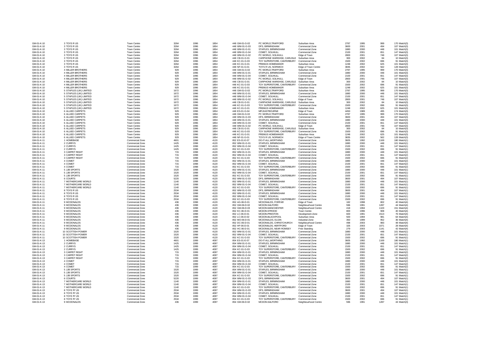| GM-01-K-10 | 3 TOYS R US              | Town Centre        | 3264 | 1996 | 1854 | 448 GM-01-G-02 | PC WORLD, TRAFFORD                         | Suburban Area        | 2787 | 1995 | 999  | 170 Match(3) |
|------------|--------------------------|--------------------|------|------|------|----------------|--------------------------------------------|----------------------|------|------|------|--------------|
| GM-01-K-10 | 3 TOYS R US              | Town Centre        | 3264 | 1996 | 1854 | 448 WM-01-G-03 | DFS. BIRMINGHAM                            | Commercial Zone      | 3600 | 2001 | 494  | 107 Match(3) |
| GM-01-K-10 | 3 TOYS R US              | Town Centre        | 3264 | 1996 | 1854 | 448 WM-01-G-01 | STAPI FS. BIRMINGHAM                       | Commercial Zone      | 1880 | 2000 | 448  | 101 Match(3) |
| GM-01-K-10 | 3 TOYS R US              | Town Centre        | 3264 | 1996 | 1854 | 448 WM-01-G-04 | COMET, SOLIHULL                            | Commercial Zone      | 2100 | 2001 | 651  | 147 Match(3) |
| GM-01-K-10 | 3 TOYS R US              | Town Centre        | 3264 | 1996 | 1854 | 448 WM-01-G-02 | PC WORLD, SOLIHULL                         | Edge of Town         | 2800 | 2001 | 748  | 107 Match(3) |
| GM-01-K-10 | 3 TOYS R US              | Town Centre        | 3264 | 1996 | 1854 | 448 CB-01-G-01 | CARPHONE WAREHSE, CARLISLE                 | Suburban Area        | 300  | 2002 | 84   | 10 Match(3)  |
| GM-01-K-10 | 3 TOYS R US              | Town Centre        | 3264 | 1996 | 1854 | 448 KC-01-G-03 | TOY SUPERSTORE, CANTERBURY Commercial Zone |                      | 1500 | 2002 | 696  | 91 Match(3)  |
| GM-01-K-10 | 3 TOYS R US              | <b>Town Centre</b> | 3264 | 1996 | 1854 | 448 KC-01-G-01 | PREMUS HOMEMAKER                           | Suburban Area        | 1248 | 2002 | 625  | 101 Match(3) |
| GM-01-K-10 | 3 TOYS R US              | Town Centre        | 3264 | 1996 | 1854 | 448 NF-01-G-01 | TOYS R US, NORWICH                         | Edge of Town Centre  | 3835 | 2002 | 562  | 128 Match(3) |
| GM-01-K-10 | <b>4 MILLER BROTHERS</b> | Town Centre        | 929  | 1996 | 1854 | 448 GM-01-G-02 | PC WORLD.TRAFFORD                          | Suburban Area        | 2787 | 1995 | 999  | 170 Match(3) |
| GM-01-K-10 | 4 MILLER BROTHERS        | <b>Town Centre</b> | 929  | 1996 | 1854 | 448 WM-01-G-01 | STAPLES, BIRMINGHAM                        | Commercial Zone      | 1880 | 2000 | 448  | 101 Match(3) |
| GM-01-K-10 | 4 MILLER BROTHERS        | Town Centre        | 929  | 1996 | 1854 | 448 WM-01-G-04 | COMET, SOLIHULL                            | Commercial Zone      | 2100 | 2001 | 651  | 147 Match(3) |
| GM-01-K-10 | <b>4 MILLER BROTHERS</b> | Town Centre        | 929  | 1996 | 1854 | 448 WM-01-G-02 | PC WORLD, SOLIHULL                         | Edge of Town         | 2800 | 2001 | 748  | 107 Match(3) |
| GM-01-K-10 | <b>4 MILLER BROTHERS</b> | Town Centre        | 929  | 1996 | 1854 | 448 CB-01-G-01 | CARPHONE WAREHSE, CARLISLE                 | Suburban Area        | 300  | 2002 | 84   | 10 Match(3)  |
| GM-01-K-10 | 4 MILLER BROTHERS        | Town Centre        | 929  | 1996 | 1854 | 448 KC-01-G-03 | TOY SUPERSTORE, CANTERBURY                 | Commercial Zone      | 1500 | 2002 | 696  | 91 Match(3)  |
| GM-01-K-10 | 4 MILLER BROTHERS        | Town Centre        | 929  | 1996 | 1854 | 448 KC-01-G-01 | PREMUS HOMEMAKER                           | Suburban Area        | 1248 | 2002 | 625  | 101 Match(3) |
| GM-01-K-10 | 5 STAPLES (UK) LIMITED   | Town Centre        | 1672 | 1996 | 1854 | 448 GM-01-G-02 | PC WORLD.TRAFFORD                          | Suburban Area        | 2787 | 1995 | 999  | 170 Match(3) |
| GM-01-K-10 | 5 STAPLES (UK) LIMITED   | Town Centre        | 1672 | 1996 | 1854 | 448 WM-01-G-01 | STAPLES, BIRMINGHAM                        | Commercial Zone      | 1880 | 2000 | 448  | 101 Match(3) |
| GM-01-K-10 | 5 STAPLES (UK) LIMITED   | Town Centre        | 1672 | 1996 | 1854 | 448 WM-01-G-04 | COMET. SOLIHULL                            | Commercial Zone      | 2100 | 2001 | 651  | 147 Match(3) |
| GM-01-K-10 | 5 STAPLES (UK) LIMITED   | Town Centre        | 1672 | 1996 | 1854 | 448 WM-01-G-02 | PC WORLD, SOLIHULL                         | Edge of Town         | 2800 | 2001 | 748  | 107 Match(3) |
| GM-01-K-10 | 5 STAPLES (UK) LIMITED   | Town Centre        | 1672 | 1996 | 1854 | 448 CB-01-G-01 | CARPHONE WAREHSE, CARLISLE                 | Suburban Area        | 300  | 2002 | 84   | 10 Match(3)  |
| GM-01-K-10 | 5 STAPLES (UK) LIMITED   | Town Centre        | 1672 | 1996 | 1854 | 448 KC-01-G-03 | TOY SUPERSTORE, CANTERBURY Commercial Zone |                      | 1500 | 2002 | 696  | 91 Match(3)  |
| GM-01-K-10 | 5 STAPLES (UK) LIMITED   | Town Centre        | 1672 | 1996 | 1854 | 448 KC-01-G-01 | PREMUS HOMEMAKER                           | Suburban Area        | 1248 | 2002 | 625  | 101 Match(3) |
| GM-01-K-10 | 6 ALLIED CARPETS         | Town Centre        | 929  | 1996 | 1854 | 448 ES-01-G-04 | MFI FASTBOURNE                             | Edge of Town         | 4450 | 1989 | 495  | 174 Match(3) |
| GM-01-K-10 | 6 ALLIED CARPETS         | Town Centre        | 929  | 1996 | 1854 | 448 GM-01-G-02 | PC WORLD, TRAFFORD                         | Suburban Area        | 2787 | 1995 | 999  | 170 Match(3) |
| GM-01-K-10 | 6 ALLIED CARPETS         | Town Centre        | 929  | 1996 | 1854 | 448 WM-01-G-03 | DFS, BIRMINGHAM                            | Commercial Zone      | 3600 | 2001 | 494  | 107 Match(3) |
| GM-01-K-10 | 6 ALLIED CARPETS         | Town Centre        | 929  | 1996 | 1854 | 448 WM-01-G-01 | STAPLES, BIRMINGHAM                        | Commercial Zone      | 1880 | 2000 | 448  | 101 Match(3) |
| GM-01-K-10 | 6 ALLIED CARPETS         | Town Centre        | 929  | 1996 | 1854 | 448 WM-01-G-04 | COMET. SOLIHULL                            | Commercial Zone      | 2100 | 2001 | 651  | 147 Match(3) |
| GM-01-K-10 | 6 ALLIED CARPETS         | Town Centre        | 929  | 1996 | 1854 | 448 WM-01-G-02 | PC WORLD, SOLIHULL                         | Edge of Town         | 2800 | 2001 | 748  | 107 Match(3) |
| GM-01-K-10 | 6 ALLIED CARPETS         | Town Centre        | 929  | 1996 | 1854 | 448 CB-01-G-01 | CARPHONE WAREHSE, CARLISLE Suburban Area   |                      | 300  | 2002 | 84   | 10 Match(3)  |
| GM-01-K-10 | 6 ALLIED CARPETS         | Town Centre        | 929  | 1996 | 1854 | 448 KC-01-G-03 | TOY SUPERSTORE, CANTERBURY                 | Commercial Zone      | 1500 | 2002 | 696  | 91 Match(3)  |
| GM-01-K-10 | 6 ALLIED CARPETS         | Town Centre        | 929  | 1996 | 1854 | 448 KC-01-G-01 | PREMUS HOMEMAKER                           | Suburban Area        | 1248 | 2002 | 625  | 101 Match(3) |
| GM-01-K-10 | 6 ALLIED CARPETS         | Town Centre        | 929  | 1996 | 1854 | 448 NF-01-G-01 | TOYS R US, NORWICH                         | Edge of Town Centre  | 3835 | 2002 | 562  | 128 Match(3) |
| GM-01-K-11 | 1 HOMEBASE               | Commercial Zone    | 4601 | 1998 | 4120 | 852 ES-01-E-07 | DO-IT-ALL, WORTHING                        | Commercial Zone      | 3605 | 1992 | 1169 | 180 Match(1) |
| GM-01-K-11 | 2 CURRYS                 | Commercial Zone    | 1425 | 1998 | 4120 | 852 WM-01-G-01 | STAPLES, BIRMINGHAM                        | Commercial Zone      | 1880 | 2000 | 448  | 101 Match(1) |
| GM-01-K-11 | 2 CURRYS                 | Commercial Zone    | 1425 | 1998 | 4120 | 852 WM-01-G-04 | COMET. SOLIHULL                            | Commercial Zone      | 2100 | 2001 | 651  | 147 Match(1) |
| GM-01-K-11 | 2 CURRYS                 | Commercial Zone    | 1425 | 1998 | 4120 | 852 KC-01-G-03 | TOY SUPERSTORE, CANTERBURY Commercial Zone |                      | 1500 | 2002 | 696  | 91 Match(1)  |
| GM-01-K-11 | 3 CARPET RIGHT           | Commercial Zone    | 715  | 1998 | 4120 | 852 WM-01-G-01 | STAPLES, BIRMINGHAM                        | Commercial Zone      | 1880 | 2000 | 448  | 101 Match(2) |
| GM-01-K-11 | 3 CARPET RIGHT           | Commercial Zone    | 715  | 1998 | 4120 | 852 WM-01-G-04 | COMET, SOLIHULL                            | Commercial Zone      | 2100 | 2001 | 651  | 147 Match(2) |
| GM-01-K-11 | 3 CARPET RIGHT           | Commercial Zone    | 715  | 1998 | 4120 | 852 KC-01-G-03 | TOY SUPERSTORE, CANTERBURY Commercial Zone |                      | 1500 | 2002 | 696  | 91 Match(2)  |
| GM-01-K-11 | 4 COMET                  | Commercial Zone    | 715  | 1998 | 4120 | 852 WM-01-G-01 | STAPLES, BIRMINGHAM                        | Commercial Zone      | 1880 | 2000 | 448  | 101 Match(2) |
| GM-01-K-11 | 4 COMET                  | Commercial Zone    | 715  | 1998 | 4120 | 852 WM-01-G-04 | COMET. SOLIHULL                            | Commercial Zone      | 2100 | 2001 | 651  | 147 Match(2) |
| GM-01-K-11 | 4 COMET                  | Commercial Zone    | 715  | 1998 | 4120 | 852 KC-01-G-03 | TOY SUPERSTORE, CANTERBURY                 | Commercial Zone      | 1500 | 2002 | 696  | 91 Match(2)  |
| GM-01-K-11 | 5 JJB SPORTS             | Commercial Zone    | 1520 | 1998 | 4120 | 852 WM-01-G-01 | STAPLES, BIRMINGHAM                        | Commercial Zone      | 1880 | 2000 | 448  | 101 Match(1) |
| GM-01-K-11 | 5 JJB SPORTS             | Commercial Zone    | 1520 | 1998 | 4120 | 852 WM-01-G-04 | COMET, SOLIHULL                            | Commercial Zone      | 2100 | 2001 | 651  | 147 Match(1) |
| GM-01-K-11 | 5 JJB SPORTS             | Commercial Zone    | 1520 | 1998 | 4120 | 852 KC-01-G-03 | TOY SUPERSTORE, CANTERBURY                 | Commercial Zone      | 1500 | 2002 | 696  | 91 Match(1   |
| GM-01-K-11 | 6 COURTS                 | Commercial Zone    | 5220 | 1998 | 4120 | 852 WM-01-G-03 | DFS, BIRMINGHAM                            | Commercial Zone      | 3600 | 2001 | 494  | 107 Match(1  |
| GM-01-K-11 | 7 MOTHERCARE WORLD       | Commercial Zone    | 1140 | 1998 | 4120 | 852 WM-01-G-01 | STAPLES, BIRMINGHAM                        | Commercial Zone      | 1880 | 2000 | 448  | 101 Match(1) |
| GM-01-K-11 | 7 MOTHERCARE WORLD       | Commercial Zone    | 1140 | 1998 | 4120 | 852 WM-01-G-04 | COMET. SOLIHULL                            | Commercial Zone      | 2100 | 2001 | 651  | 147 Match(1) |
| GM-01-K-11 | 7 MOTHERCARE WORLD       | Commercial Zone    | 1140 | 1998 | 4120 | 852 KC-01-G-03 | TOY SUPERSTORE, CANTERBURY Commercial Zone |                      | 1500 | 2002 | 696  | 91 Match(1)  |
| GM-01-K-11 | 8 TOYS R US              | Commercial Zone    | 2534 | 1998 | 4120 | 852 WM-01-G-03 | DFS, BIRMINGHAM                            | Commercial Zone      | 3600 | 2001 | 494  | 107 Match(1) |
| GM-01-K-11 | 8 TOYS R US              | Commercial Zone    | 2534 | 1998 | 4120 | 852 WM-01-G-01 | STAPLES, BIRMINGHAM                        | Commercial Zone      | 1880 | 2000 | 448  | 101 Match(1  |
| GM-01-K-11 | 8 TOYS R US              | Commercial Zone    | 2534 | 1998 | 4120 | 852 WM-01-G-04 | COMET. SOLIHULL                            | Commercial Zone      | 2100 | 2001 | 651  | 147 Match(1) |
| GM-01-K-11 | 8 TOYS R US              | Commercial Zone    | 2534 | 1998 | 4120 | 852 KC-01-G-03 | TOY SUPERSTORE, CANTERBURY Commercial Zone |                      | 1500 | 2002 | 696  | 91 Match(1)  |
| GM-01-K-11 | 9 MCDONALDS              | Commercial Zone    | 436  | 1998 | 4120 | 852 AG-06-D-01 | MCDONALDS, FORFAR                          | Edge of Town         | 182  | 1998 | 802  | 40 Match(4)  |
| GM-01-K-11 | 9 MCDONALDS              | Commercial Zone    | 436  | 1998 | 4120 | 852 GM-06-D-02 | MCDON.SALFORD                              | Neighbourhood Centre | 596  | 1991 | 1287 | 44 Match(4)  |
| GM-01-K-11 | 9 MCDONALDS              | Commercial Zone    | 436  | 1998 | 4120 | 852 GM-06-D-03 | MCDON.MANCHESTER                           | Neighbourhood Centre | 418  | 1994 | 1103 | 151 Match(4) |
| GM-01-K-11 | 9 MCDONALDS              | Commercial Zone    | 436  | 1998 | 4120 | 852 KC-06-D-01 | MCDON.STROOD                               | <b>Town Centre</b>   | 800  | 1996 | 908  | 40 Match(4)  |
| GM-01-K-11 | 9 MCDONALDS              | Commercial Zone    | 436  | 1998 | 4120 | 852 LC-06-D-01 | MCDON.PRESTON                              | Development Zone     | 600  | 1991 | 1513 | 76 Match(4)  |
| GM-01-K-11 | 9 MCDONALDS              | Commercial Zone    | 436  | 1998 | 4120 | 852 LC-06-D-02 | MCDON.BLACKPOOL                            | Suburban Area        | 500  | 1994 | 981  | 64 Match(4)  |
| GM-01-K-11 | 9 MCDONALDS              | Commercial Zone    | 436  | 1998 | 4120 | 852 MO-06-D-01 | MCDONALDS, ELGIN                           | Industrial Zone      | 350  | 1999 | 952  | 36 Match(4)  |
| GM-01-K-11 | 9 MCDONALDS              | Commercial Zone    | 436  | 1998 | 4120 | 852 DC-06-D-01 | MCDONALDS, CHRISTCHURCH                    | Neighbourhood Centre | 498  | 2003 | 983  | 48 Match(4)  |
| GM-01-K-11 | 9 MCDONALDS              | Commercial Zone    | 436  | 1998 | 4120 | 852 HF-06-D-01 | MCDONALDS, HERTFORD                        | Edge of Town         | 326  | 2003 | 1071 | 28 Match(4)  |
| GM-01-K-11 | 9 MCDONALDS              | Commercial Zone    | 436  | 1998 | 4120 | 852 HC-06-D-01 | MCDONALDS, NEAR ROMSEY                     | Free Standing        | 279  | 2003 | 1141 | 42 Match(4)  |
| GM-01-K-11 | 10 SCOTTISH POWER        | Commercial Zone    | 1520 | 1998 | 4120 | 852 WM-01-G-01 | STAPLES, BIRMINGHAM                        | Commercial Zone      | 1880 | 2000 | 448  | 101 Match(1) |
| GM-01-K-11 | 10 SCOTTISH POWER        | Commercial Zone    | 1520 | 1998 | 4120 | 852 WM-01-G-04 | COMET, SOLIHULL                            | Commercial Zone      | 2100 | 2001 | 651  | 147 Match(1) |
| GM-01-K-11 | 10 SCOTTISH POWER        | Commercial Zone    | 1520 | 1998 | 4120 | 852 KC-01-G-03 | TOY SUPERSTORE, CANTERBURY Commercial Zone |                      | 1500 | 2002 | 696  | 91 Match(1)  |
| GM-01-K-13 | 1 HOMEBASE               | Commercial Zone    | 4601 | 1999 | 4097 | 854 ES-01-E-07 | DO-IT-ALL, WORTHING                        | Commercial Zone      | 3605 | 1992 | 1169 | 180 Match(1) |
| GM-01-K-13 | 2 CURRYS                 | Commercial Zone    | 1425 | 1999 | 4097 | 854 WM-01-G-01 | STAPLES, BIRMINGHAM                        | Commercial Zone      | 1880 | 2000 | 448  | 101 Match(1) |
| GM-01-K-13 | 2 CURRYS                 | Commercial Zone    | 1425 | 1999 | 4097 | 854 WM-01-G-04 | COMET, SOLIHULL                            | Commercial Zone      | 2100 | 2001 | 651  | 147 Match(1) |
| GM-01-K-13 | 2 CURRYS                 | Commercial Zone    | 1425 | 1999 | 4097 | 854 KC-01-G-03 | TOY SUPERSTORE, CANTERBURY                 | Commercial Zone      | 1500 | 2002 | 696  | 91 Match(1   |
| GM-01-K-13 | 3 CARPET RIGHT           | Commercial Zone    | 715  | 1999 | 4097 | 854 WM-01-G-01 | STAPLES, BIRMINGHAM                        | Commercial Zone      | 1880 | 2000 | 448  | 101 Match(2) |
| GM-01-K-13 | 3 CARPET RIGHT           | Commercial Zone    | 715  | 1999 | 4097 | 854 WM-01-G-04 | COMET, SOLIHULL                            | Commercial Zone      | 2100 | 2001 | 651  | 147 Match(2) |
| GM-01-K-13 | 3 CARPET RIGHT           | Commercial Zone    | 715  | 1999 | 4097 | 854 KC-01-G-03 | TOY SUPERSTORE, CANTERBURY                 | Commercial Zone      | 1500 | 2002 | 696  | 91 Match(2)  |
| GM-01-K-13 | 4 COMET                  | Commercial Zone    | 715  | 1999 | 4097 | 854 WM-01-G-01 | STAPLES, BIRMINGHAM                        | Commercial Zone      | 1880 | 2000 | 448  | 101 Match(2) |
| GM-01-K-13 | 4 COMET                  | Commercial Zone    | 715  | 1999 | 4097 | 854 WM-01-G-04 | COMET, SOLIHULL                            | Commercial Zone      | 2100 | 2001 | 651  | 147 Match(2) |
| GM-01-K-13 | 4 COMET                  | Commercial Zone    | 715  | 1999 | 4097 | 854 KC-01-G-03 | TOY SUPERSTORE, CANTERBURY                 | Commercial Zone      | 1500 | 2002 | 696  | 91 Match(2)  |
| GM-01-K-13 | 5 JJB SPORTS             | Commercial Zone    | 1520 | 1999 | 4097 | 854 WM-01-G-01 | STAPLES, BIRMINGHAM                        | Commercial Zone      | 1880 | 2000 | 448  | 101 Match(1) |
| GM-01-K-13 | 5 JJB SPORTS             | Commercial Zone    | 1520 | 1999 | 4097 | 854 WM-01-G-04 | COMET. SOLIHULL                            | Commercial Zone      | 2100 | 2001 | 651  | 147 Match(1) |
| GM-01-K-13 | 5 JJB SPORTS             | Commercial Zone    | 1520 | 1999 | 4097 | 854 KC-01-G-03 | TOY SUPERSTORE, CANTERBURY                 | Commercial Zone      | 1500 | 2002 | 696  | 91 Match(1)  |
| GM-01-K-13 | 6 COURTS                 | Commercial Zone    | 5220 | 1999 | 4097 | 854 WM-01-G-03 | DFS, BIRMINGHAM                            | Commercial Zone      | 3600 | 2001 | 494  | 107 Match(1) |
| GM-01-K-13 | 7 MOTHERCARE WORLD       | Commercial Zone    | 1140 | 1999 | 4097 | 854 WM-01-G-01 | STAPLES, BIRMINGHAM                        | Commercial Zone      | 1880 | 2000 | 448  | 101 Match(1) |
| GM-01-K-13 | 7 MOTHERCARE WORLD       | Commercial Zone    | 1140 | 1999 | 4097 | 854 WM-01-G-04 | COMET. SOLIHULL                            | Commercial Zone      | 2100 | 2001 | 651  | 147 Match(1) |
| GM-01-K-13 | 7 MOTHERCARE WORLD       | Commercial Zone    | 1140 | 1999 | 4097 | 854 KC-01-G-03 | TOY SUPERSTORE, CANTERBURY                 | Commercial Zone      | 1500 | 2002 | 696  | 91 Match(1)  |
| GM-01-K-13 | 8 TOYS 'R' US            | Commercial Zone    | 2534 | 1999 | 4097 | 854 WM-01-G-03 | DFS. BIRMINGHAM                            | Commercial Zone      | 3600 | 2001 | 494  | 107 Match(1) |
| GM-01-K-13 | 8 TOYS 'R' US            | Commercial Zone    | 2534 | 1999 | 4097 | 854 WM-01-G-01 | STAPLES BIRMINGHAM                         | Commercial Zone      | 1880 | 2000 | 448  | 101 Match(1) |
| GM-01-K-13 | 8 TOYS 'R' US            | Commercial Zone    | 2534 | 1999 | 4097 | 854 WM-01-G-04 | COMET, SOLIHULL                            | Commercial Zone      | 2100 | 2001 | 651  | 147 Match(1) |
| GM-01-K-13 | 8 TOYS 'R' US            | Commercial Zone    | 2534 | 1999 | 4097 | 854 KC-01-G-03 | TOY SUPERSTORE, CANTERBURY Commercial Zone |                      | 1500 | 2002 | 696  | 91 Match(1)  |
| GM-01-K-13 | 9 MCDONALDS              | Commercial Zone    | 436  | 1999 | 4097 | 854 GM-06-D-02 | MCDON.SALFORD                              | Neighbourhood Centre | 596  | 1991 | 1287 | 44 Match(3)  |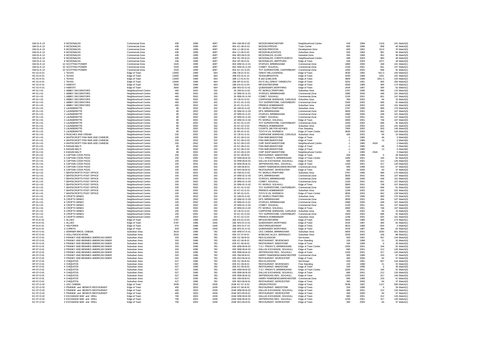| GM-01-K-13               | 9 MCDONALDS                         | Commercial Zone                              | 436          | 1999 | 4097        | 854 GM-06-D-03                   | MCDON.MANCHESTER                                         | Neighbourhood Centre                 | 418          | 1994         | 1103   | 151 Match(3)               |
|--------------------------|-------------------------------------|----------------------------------------------|--------------|------|-------------|----------------------------------|----------------------------------------------------------|--------------------------------------|--------------|--------------|--------|----------------------------|
| GM-01-K-13               | 9 MCDONALDS                         | Commercial Zone                              | 436          | 1999 | 4097        | 854 KC-06-D-01                   | MCDON.STROOD                                             | Town Centre                          | 800          | 1996         | 908    | 40 Match(3)                |
| GM-01-K-13               | 9 MCDONALDS                         | Commercial Zone                              | 436          | 1999 | 4097        | 854 LC-06-D-01                   | MCDON.PRESTON                                            | Development Zone                     | 600          | 1991         | 1513   | 76 Match(3)                |
| GM-01-K-13               | 9 MCDONALDS                         | Commercial Zone                              | 436          | 1999 | 4097        | 854 LC-06-D-02                   | MCDON.BLACKPOOL                                          | Suburban Area                        | 500          | 1994         | 981    | 64 Match(3)                |
| GM-01-K-13               | 9 MCDONALDS                         | Commercial Zone                              | 436          | 1999 | 4097        | 854 MO-06-D-01                   | MCDONALDS, ELGIN                                         | Industrial Zone                      | 350          | 1999         | 952    | 36 Match(3)                |
| GM-01-K-13               | 9 MCDONALDS                         | Commercial Zone                              | 436          | 1999 | 4097        | 854 DC-06-D-01                   | MCDONALDS, CHRISTCHURCH                                  |                                      | 498          | 2003         | 983    | 48 Match(3)                |
| GM-01-K-13               | 9 MCDONALDS                         | Commercial Zone                              | 436          | 1999 | 4097        | 854 HF-06-D-01                   | MCDONALDS, HERTFORD                                      | Neighbourhood Centre<br>Edge of Town | 326          | 2003         | 1071   | 28 Match(3)                |
| GM-01-K-13               | 10 SCOTTISH POWER                   | Commercial Zone                              | 1520         | 1999 | 4097        | 854 WM-01-G-01                   | STAPLES, BIRMINGHAM                                      | Commercial Zone                      | 1880         | 2000         | 448    | 101 Match(1                |
|                          |                                     |                                              |              | 1999 |             |                                  |                                                          |                                      |              |              | 651    |                            |
| GM-01-K-13<br>GM-01-K-13 | 10 SCOTTISH POWER                   | Commercial Zone                              | 1520<br>1520 | 1999 | 4097        | 854 WM-01-G-04                   | COMET, SOLIHULL                                          | Commercial Zone                      | 2100         | 2001         | 696    | 147 Match(1<br>91 Match(1) |
| HC-01-K-01               | 10 SCOTTISH POWER<br>1 TEXAS        | Commercial Zone                              | 13400        | 1989 | 4097<br>664 | 854 KC-01-G-03<br>288 CB-01-E-01 | TOY SUPERSTORE, CANTERBURY<br><b>GREAT MILLS, KENDAL</b> | Commercial Zone                      | 1500<br>3530 | 2002<br>1992 | 931.5  | 150 Match(2)               |
|                          |                                     | Edge of Town                                 |              |      |             |                                  |                                                          | Edge of Town                         |              |              |        |                            |
| HC-01-K-01               | 1 TEXAS                             | Edge of Town                                 | 13400        | 1989 | 664         | 288 ES-01-E-10                   | <b>TEXAS, BRIGHTON</b>                                   | Edge of Town                         | 3250         | 1989         | 1031   | 161 Match(2)               |
| HC-01-K-01               | 1 TEXAS                             | Edge of Town                                 | 13400        | 1989 | 664         | 288 LC-01-E-01                   | B and Q,NELSON                                           | Edge of Town                         | 3809         | 1996         | 1941.5 | 225 Match(2)               |
| HC-01-K-01               | 1 TEXAS                             | Edge of Town                                 | 13400        | 1989 | 664         | 288 NF-01-E-01                   | DO-IT-ALL, GREAT YARMOUTH                                | Edge of Town                         | 3252         | 1991         | 905    | 200 Match(2)               |
| HC-01-K-01               | 2 HABITAT                           | Edge of Town                                 | 3500         | 1989 | 664         | 288 ES-01-G-04                   | MFI.EASTBOURNE                                           | Edge of Town                         | 4450         | 1989         | 495    | 174 Match(1                |
| HC-01-K-01               | 2 HABITAT                           | Edge of Town                                 | 3500         | 1989 | 664         | 288 WS-01-G-01                   | QUEENSWAY, WORTHING                                      | Edge of Town                         | 2434         | 1987         | 384    | 62 Match(1)                |
| HF-01-I-01               | 1 ABBEY DECORATORS                  | Neighbourhood Centre                         | 460          | 2002 | 332         | 20 GM-01-G-02                    | PC WORLD, TRAFFORD                                       | Suburban Area                        | 2787         | 1995         | 999    | 170 Match(3)               |
| HF-01-I-01               | 1 ABBEY DECORATORS                  | Neighbourhood Centre                         | 460          | 2002 | 332         | 20 WM-01-G-01                    | STAPLES, BIRMINGHAM                                      | Commercial Zone                      | 1880         | 2000         | 448    | 101 Match(3)               |
| HF-01-I-01               | 1 ABBEY DECORATORS                  | Neighbourhood Centre                         | 460          | 2002 | 332         | 20 WM-01-G-04                    | COMET. SOLIHULL                                          | Commercial Zone                      | 2100         | 2001         | 651    | 147 Match(3)               |
| HF-01-I-01               | 1 ABBEY DECORATORS                  | Neighbourhood Centre                         | 460          | 2002 | 332         | 20 CB-01-G-01                    | CARPHONE WAREHSE, CARLISLE                               | Suburban Area                        | 300          | 2002         | 84     | 10 Match(3)                |
| HF-01-I-01               | 1 ABBEY DECORATORS                  | Neighbourhood Centre                         | 460          | 2002 | 332         | 20 KC-01-G-03                    | TOY SUPERSTORE, CANTERBURY                               | Commercial Zone                      | 1500         | 2002         | 696    | 91 Match(3)                |
| HF-01-I-01               | 1 ABBEY DECORATORS                  | Neighbourhood Centre                         | 460          | 2002 | 332         | 20 KC-01-G-01                    | PREMUS HOMEMAKER                                         | Suburban Area                        | 1248         | 2002         | 625    | 101 Match(3)               |
| HF-01-I-01               | 2 LAUNDERETTE                       | Neighbourhood Centre                         | 80           | 2002 | 332         | 20 GM-01-G-02                    | PC WORLD.TRAFFORD                                        | Suburban Area                        | 2787         | 1995         | 999    | 170 Match(3)               |
| HF-01-I-01               | 2 LAUNDERETTE                       | Neighbourhood Centre                         | 80           | 2002 | 332         | 20 WM-01-G-03                    | DFS. BIRMINGHAM                                          | Commercial Zone                      | 3600         | 2001         | 494    | 107 Match(3)               |
| HF-01-I-01               | 2 LAUNDERETTE                       | Neighbourhood Centre                         | 80           | 2002 | 332         | 20 WM-01-G-01                    | STAPLES, BIRMINGHAM                                      | Commercial Zone                      | 1880         | 2000         | 448    | 101 Match(3)               |
| HF-01-I-01               | 2 LAUNDERETTE                       | Neighbourhood Centre                         | 80           | 2002 | 332         | 20 WM-01-G-04                    | COMET, SOLIHULL                                          | Commercial Zone                      | 2100         | 2001         | 651    | 147 Match(3)               |
| HF-01-I-01               | 2 LAUNDERETTE                       | Neighbourhood Centre                         | 80           | 2002 | 332         | 20 WM-01-G-02                    | PC WORLD, SOLIHULL                                       | Edge of Town                         | 2800         | 2001         | 748    | 107 Match(3)               |
| HF-01-I-01               | 2 LAUNDERETTE                       | Neighbourhood Centre                         | 80           | 2002 | 332         | 20 KC-01-G-03                    | TOY SUPERSTORE, CANTERBURY                               | Commercial Zone                      | 1500         | 2002         | 696    | 91 Match(3)                |
| HF-01-I-01               | 2 LAUNDERETTE                       | Neighbourhood Centre                         | 80           | 2002 | 332         | 20 KC-01-G-01                    | PREMUS HOMEMAKER                                         | Suburban Area                        | 1248         | 2002         | 625    | 101 Match(3)               |
| HF-01-I-01               | 2 LAUNDERETTE                       | Neighbourhood Centre                         | 80           | 2002 | 332         | 20 BU-01-G-01                    | COURTS, MILTON KEYNES                                    | Free Standing                        | 7900         | 2002         | 503    | 145 Match(3)               |
| HF-01-I-01               | 2 LAUNDERETTE                       |                                              | 80           | 2002 | 332         | 20 NF-01-G-01                    | TOYS R US, NORWICH                                       | Edge of Town Centre                  | 3835         | 2002         | 562    | 128 Match(3)               |
| HF-01-I-01               | 3 PEACHES AND CREAM                 | Neighbourhood Centre                         | 100          | 2002 | 332         | 20 CB-01-G-01                    | CARPHONE WAREHSE, CARLISLE Suburban Area                 |                                      | 300          | 2002         | 84     | 10 Match(3)                |
| HF-01-I-01               | 4 WHITECROFT FISH BAR AND CHINESE   | Neighbourhood Centre                         | 100          | 2002 | 332         | 20 KC-06-G-01                    | FISH BAR, MAIDSTONE                                      | Edge of Town                         | $-1$         | 1985         | 46     | 0 Match(6)                 |
|                          |                                     | Neighbourhood Centre                         |              |      |             |                                  |                                                          |                                      |              |              |        |                            |
| HF-01-I-01               | 4 WHITECROFT FISH BAR AND CHINESE   | Neighbourhood Centre                         | 100          | 2002 | 332         | 20 KC-06-G-02                    | <b>FISH BAR MAIDSTONE</b>                                | Edge of Town                         | $-1$         | 1985         | 13     | 0 Match(6)                 |
| HF-01-I-01               | 4 WHITECROFT FISH BAR AND CHINESE   | Neighbourhood Centre                         | 100          | 2002 | 332         | 20 KC-06-G-03                    | CHIP SHOP, MAIDSTONE                                     | Neighbourhood Centre                 | $-1$         | 1985         | #N/A   | 0 Match(6)                 |
| HF-01-I-01               | 5 IHASAN BAI TI                     | Neighbourhood Centre                         | 80           | 2002 | 332         | 20 KC-06-G-01                    | <b>FISH BAR MAIDSTONE</b>                                | Edge of Town                         | $-1$         | 1985         | 46     | 0 Match(6)                 |
| HF-01-I-01               | 5 IHASAN BALTI                      | Neighbourhood Centre                         | 80           | 2002 | 332         | 20 KC-06-G-02                    | FISH BAR, MAIDSTONE                                      | Edge of Town                         | $-1$         | 1985         | 13     | 0 Match(6)                 |
| HF-01-I-01               | 5 IHASAN BALTI                      | Neighbourhood Centre                         | 80           | 2002 | 332         | 20 KC-06-G-03                    | CHIP SHOP, MAIDSTONE                                     | Neighbourhood Centre                 | $\cdot$ 1    | 1985         | #N/A   | 0 Match(6)                 |
| HF-01-I-01               | 6 CAPTAIN COOK PIZZA                | Neighbourhood Centre                         | 100          | 2002 | 332         | 20 KC-06-B-02                    | RESTAURANT, MAIDSTONE                                    | Edge of Town                         | 334          | 1999         | -6     | 28 Match(3)                |
| HF-01-I-01               | 6 CAPTAIN COOK PIZZA                | Neighbourhood Centre                         | 100          | 2002 | 332         | 20 WM-06-B-02                    | T.G.I. FRIDAY'S. BIRMINGHAM                              | Edge of Town Centre                  | 1000         | 2001         | 194    | 91 Match(3)                |
| HF-01-I-01               | 6 CAPTAIN COOK PIZZA                | Neighbourhood Centre                         | 100          | 2002 | 332         | 20 WM-06-B-03                    | DALLAS EXCHANGE, SOLIHULL                                | Edge of Town                         | 680          | 2001         | 212    | 126 Match(3)               |
| HF-01-I-01               | 6 CAPTAIN COOK PIZZA                | Neighbourhood Centre                         | 100          | 2002 | 332         | 20 WM-06-B-01                    | JEFFERSONS RES., SOLIHULL                                | Edge of Town                         | 1200         | 2001         | 317    | 140 Match(3)               |
| HF-01-I-01               | 6 CAPTAIN COOK PIZZA                | Neighbourhood Centre                         | 100          | 2002 | 332         | 20 GM-06-B-01                    | HARRY RAMSDENS, MANCHESTER                               | Commercial Zone                      | 900          | 1999         | 233    | 67 Match(3)                |
| HF-01-I-01               | 6 CAPTAIN COOK PIZZA                | Neighbourhood Centre                         | 100          | 2002 | 332         | 20 WO-06-B-01                    | RESTAURANT, WORCESTER                                    | Edge of Town                         | 360          | 2000         | 84     | 37 Match(3)                |
| HF-01-I-01               | 7 WHITECROFTS POST OFFICE           | Neighbourhood Centre                         | 100          | 2002 | 332         | 20 GM-01-G-02                    | PC WORLD.TRAFFORD                                        | Suburban Area                        | 2787         | 1995         | 999    | 170 Match(3)               |
| HF-01-I-01               | 7 WHITECROFTS POST OFFICE           | Neighbourhood Centre                         | 100          | 2002 | 332         | 20 WM-01-G-03                    | DFS. BIRMINGHAM                                          | Commercial Zone                      | 3600         | 2001         | 494    | 107 Match(3)               |
| HF-01-I-01               | 7 WHITECROFTS POST OFFICE           | Neighbourhood Centre                         | 100          | 2002 | 332         | 20 WM-01-G-01                    | STAPLES, BIRMINGHAM                                      | Commercial Zone                      | 1880         | 2000         | 448    | 101 Match(3)               |
| HF-01-I-01               | 7 WHITECROFTS POST OFFICE           | Neighbourhood Centre                         | 100          | 2002 | 332         | 20 WM-01-G-04                    | COMET. SOLIHULL                                          | Commercial Zone                      | 2100         | 2001         | 651    | 147 Match(3)               |
| HF-01-I-01               | 7 WHITECROFTS POST OFFICE           | Neighbourhood Centre                         | 100          | 2002 | 332         | 20 WM-01-G-02                    | PC WORLD, SOLIHULL                                       | Edge of Town                         | 2800         | 2001         | 748    | 107 Match(3)               |
| HF-01-I-01               | 7 WHITECROFTS POST OFFICE           | Neighbourhood Centre                         | 100          | 2002 | 332         | 20 KC-01-G-03                    | TOY SUPERSTORE, CANTERBURY Commercial Zone               |                                      | 1500         | 2002         | 696    | 91 Match(3)                |
| HF-01-I-01               | 7 WHITECROFTS POST OFFICE           | Neighbourhood Centre                         | 100          | 2002 | 332         | 20 KC-01-G-01                    | <b>PREMUS HOMEMAKER</b>                                  | Suburban Area                        | 1248         | 2002         | 625    | 101 Match(3)               |
| HF-01-I-01               | 7 WHITECROFTS POST OFFICE           | Neighbourhood Centre                         | 100          | 2002 | 332         | 20 NF-01-G-01                    | TOYS R US, NORWICH                                       | Edge of Town Centre                  | 3835         | 2002         | 562    | 128 Match(3)               |
| HF-01-I-01               | 8 CROFTS WINES                      | Neighbourhood Centre                         | 100          | 2002 | 332         | 20 GM-01-G-02                    | PC WORLD.TRAFFORD                                        | Suburban Area                        | 2787         | 1995         | 999    | 170 Match(3)               |
| HF-01-I-01               | 8 CROFTS WINES                      | Neighbourhood Centre                         | 100          | 2002 | 332         | 20 WM-01-G-03                    | DFS, BIRMINGHAM                                          | Commercial Zone                      | 3600         | 2001         | 494    | 107 Match(3)               |
| HF-01-I-01               | 8 CROFTS WINES                      | Neighbourhood Centre                         | 100          | 2002 | 332         | 20 WM-01-G-01                    | STAPLES, BIRMINGHAM                                      | Commercial Zone                      | 1880         | 2000         | 448    | 101 Match(3)               |
| HF-01-I-01               | 8 CROFTS WINES                      |                                              | 100          | 2002 | 332         | 20 WM-01-G-04                    | COMET, SOLIHULL                                          | Commercial Zone                      | 2100         | 2001         | 651    | 147 Match(3)               |
| HF-01-I-01               | 8 CROFTS WINES                      | Neighbourhood Centre                         | 100          | 2002 | 332         | 20 WM-01-G-02                    | PC WORLD, SOLIHULL                                       | Edge of Town                         | 2800         | 2001         | 748    | 107 Match(3)               |
| HF-01-I-01               | 8 CROFTS WINES                      | Neighbourhood Centre<br>Neighbourhood Centre | 100          | 2002 | 332         | 20 CB-01-G-01                    | CARPHONE WAREHSE, CARLISLE                               | Suburban Area                        | 300          | 2002         | 84     | 10 Match(3)                |
|                          | 8 CROFTS WINES                      |                                              |              |      |             |                                  |                                                          |                                      |              |              |        |                            |
| HF-01-I-01               |                                     | Neighbourhood Centre                         | 100          | 2002 | 332         | 20 KC-01-G-03                    | TOY SUPERSTORE, CANTERBURY Commercial Zone               |                                      | 1500         | 2002         | 696    | 91 Match(3)                |
| HF-01-I-01               | 8 CROFTS WINES                      | Neighbourhood Centre                         | 100          | 2002 | 332         | 20 KC-01-G-01                    | PREMUS HOMEMAKER                                         | Suburban Area                        | 1248         | 2002         | 625    | 101 Match(3)               |
| HF-01-K-01               | 1 ALLIED                            | Edge of Town                                 | 2787         | 1988 | 1440        | 266 FS-01-G-04                   | MFI FASTBOURNE                                           | Frige of Town                        | 4450         | 1989         | 495    | 174 Match(1)               |
| HF-01-K-01               | 1 ALLIED                            | Edge of Town                                 | 2787         | 1988 | 1440        | 266 WS-01-G-01                   | QUEENSWAY.WORTHING                                       | Edge of Town                         | 2434         | 1987         | 384    | 62 Match(1                 |
| HF-01-K-01               | 2 HALFORDS                          | Edge of Town                                 | 975          | 1988 | 1440        | 266 WS-01-F-01                   | HALFORDS.BOGNOR                                          | Edge of Town                         | 381C         | 1989         | 834    | 0 Match(2)                 |
| HF-01-K-01               | 3 CURRYS                            | Edge of Town                                 | 929          | 1988 | 1440        | 266 WS-01-G-01                   | <b>OUFFNSWAY WORTHING</b>                                | Edge of Town                         | 2434         | 1987         | 384    | 62 Match(2)                |
| HF-07-O-01               | 1 WARNER BROS. CINEMA               | Suburban Area                                | 3019         | 1996 | 782         | 835 WM-07-A-01                   | <b>UGC CINEMA, BIRMINGHAM</b>                            | Suburban Area                        | 5800         | 2001         | 1630   | 561 Match(1                |
| HF-07-O-01               | 2 HOLLYWOOD BOWL                    | Suburban Area                                | 2533         | 1996 | 782         | 835 SY-07-B-01                   | BOWLING ALLEY, BARSNLEY                                  | Suburban Area                        | 1500         | 2003         | 166    | 88 Match(1)                |
| HF-07-Q-01               | 3 FRANKY AND BENNIES AMERICAN DINER | Suburban Area                                | 333          | 1996 | 782         | 835 GC-06-B-01                   | RES GLASGOW                                              | Not Known                            | 929          | 1991         | 567    | 144 Match(3)               |
| HF-07-O-01               | 3 FRANKY AND BENNIES AMERICAN DINER | Suburban Area                                | 333          | 1996 | 782         | 835 KC-06-B-01                   | RESTAURANT, SEVENOAKS                                    | Free Standing                        | 150          | 1998         | 21     | 32 Match(3)                |
| HF-07-O-01               | 3 FRANKY AND BENNIES AMERICAN DINER | Suburban Area                                | 333          | 1996 | 782         | 835 KC-06-B-02                   | RESTAURANT, MAIDSTONE                                    | Edge of Town                         | 334          | 1999         | -6     | 28 Match(3)                |
| HF-07-Q-01               | 3 FRANKY AND BENNIES AMERICAN DINER | Suburban Area                                | 333          | 1996 | 782         | 835 WM-06-B-02                   | T.G.I. FRIDAY'S. BIRMINGHAM                              | Edge of Town Centre                  | 1000         | 2001         | 194    | 91 Match(3)                |
| HF-07-O-01               | 3 FRANKY AND BENNIES AMERICAN DINER | Suburban Area                                | 333          | 1996 | 782         | 835 WM-06-B-03                   | DALLAS EXCHANGE, SOLIHULL                                | Edge of Town                         | 680          | 2001         | 212    | 126 Match(3)               |
| HF-07-O-01               | 3 FRANKY AND BENNIES AMERICAN DINER | Suburban Area                                | 333          | 1996 | 782         | 835 WM-06-B-01                   | JEFFERSONS RES., SOLIHULL                                | Edge of Town                         | 1200         | 2001         | 317    | 140 Match(3)               |
| HF-07-Q-01               | 3 FRANKY AND BENNIES AMERICAN DINER | Suburban Area                                | 333          | 1996 | 782         | 835 GM-06-B-01                   | HARRY RAMSDENS, MANCHESTER                               | Commercial Zone                      | 900          | 1999         | 233    | 67 Match(3)                |
| HF-07-O-01               | 3 FRANKY AND BENNIES AMERICAN DINER | Suburban Area                                | 333          | 1996 | 782         | 835 WO-06-B-01                   | RESTAURANT, WORCESTER                                    | Edge of Town                         | 360          | 2000         | 84     | 37 Match(3)                |
| HF-07-O-01               | 4 CHIQUITOS                         | Suburban Area                                | 527          | 1996 | 782         | 835 GC-06-B-01                   | RES GLASGOW                                              | Not Known                            | 929          | 1991         | 567    | 144 Match(3)               |
| HF-07-O-01               | 4 CHIQUITOS                         | Suburban Area                                | 527          | 1996 | 782         | 835 KC-06-B-01                   | <b>RESTAURANT, SEVENOAKS</b>                             | Free Standing                        | 150          | 1998         | 21     | 32 Match(3)                |
| HF-07-O-01               | 4 CHIOLITOS                         | Suburban Area                                | 527          | 1996 | 782         | 835 KC-06-B-02                   | RESTAURANT, MAIDSTONE                                    | Edge of Town                         | 334          | 1999         | -6     | 28 Match(3)                |
| HF-07-O-01               | 4 CHIQUITOS                         | Suburban Area                                | 527          | 1996 | 782         | 835 WM-06-B-02                   | T.G.I. FRIDAY'S, BIRMINGHAM                              | Edge of Town Centre                  | 1000         | 2001         | 194    | 91 Match(3)                |
| HF-07-O-01               | 4 CHIQUITOS                         | Suburban Area                                | 527          | 1996 | 782         | 835 WM-06-B-03                   | DALLAS EXCHANGE, SOLIHULL                                | Edge of Town                         | 680          | 2001         | 212    | 126 Match(3)               |
| HF-07-O-01               | 4 CHIQUITOS                         | Suburban Area                                | 527          | 1996 | 782         | 835 WM-06-B-01                   | JEFFERSONS RES., SOLIHULL                                | Edge of Town                         | 1200         | 2001         | 317    | 140 Match(3)               |
| HF-07-O-01               | 4 CHIQUITOS                         | Suburban Area                                | 527          | 1996 | 782         | 835 GM-06-B-01                   | HARRY RAMSDENS MANCHESTER                                | Commercial Zone                      | 900          | 1999         | 233    | 67 Match(3)                |
| HF-07-O-01               | 4 CHIQUITOS                         | Suburban Area                                | 527          | 1996 | 782         | 835 WO-06-B-01                   | RESTAURANT, WORCESTER                                    | Edge of Town                         | 360          | 2000         | 84     | 37 Match(3)                |
| KC-07-O-02               | 1 UGC CINEMA                        | Edge of Town                                 | 3438         | 2003 | 2439        | 1548 KC-07-A-01                  | VIRGIN, STROOD                                           | Edge of Town                         | 3438         | 1997         | 1127   | 590 Match(1)               |
|                          | 2 FRANKIE and BENNYS RESTAURANT     |                                              | 400          |      |             |                                  |                                                          |                                      | 334          | 1999         | -6     |                            |
| KC-07-O-02               |                                     | Edge of Town                                 |              | 2003 | 2439        | 1548 KC-06-B-02                  | RESTAURANT, MAIDSTONE                                    | Edge of Town                         |              |              |        | 28 Match(1)                |
| KC-07-O-02               | 2 FRANKIE and BENNYS RESTAURANT     | Edge of Town                                 | 400          | 2003 | 2439        | 1548 WM-06-B-03                  | DALLAS EXCHANGE, SOLIHULL                                | Edge of Town                         | 680          | 2001         | 212    | 126 Match(1                |
| KC-07-O-02               | 2 FRANKIE and BENNYS RESTAURANT     | Edge of Town                                 | 400          | 2003 | 2439        | 1548 WO-06-B-01                  | RESTAURANT, WORCESTER                                    | <b>Edge of Town</b>                  | 360          | 2000         | 84     | 37 Match(1                 |
| KC-07-O-02               | 3 FXCHANGE BAR and GRILL            | Edge of Town                                 | 700          | 2003 | 2439        | 1548 WM-06-B-03                  | DALLAS EXCHANGE. SOLIHULL                                | Edge of Town                         | 680          | 2001         | 212    | 126 Match(1)               |
| KC-07-O-02               | 3 EXCHANGE BAR and GRILL            | Edge of Town                                 | 700          | 2003 | 2439        | 1548 WM-06-B-01                  | JEFFERSONS RES. SOLIHULL                                 | Edge of Town                         | 1200         | 2001         | 317    | 140 Match(1)               |
| KC-07-O-02               | 3 EXCHANGE BAR and GRILL            | Edge of Town                                 | 700          | 2003 | 2439        | 1548 WO-06-B-01                  | RESTAURANT, WORCESTER                                    | <b>Edge of Town</b>                  | 360          | 2000         | 84     | 37 Match(1)                |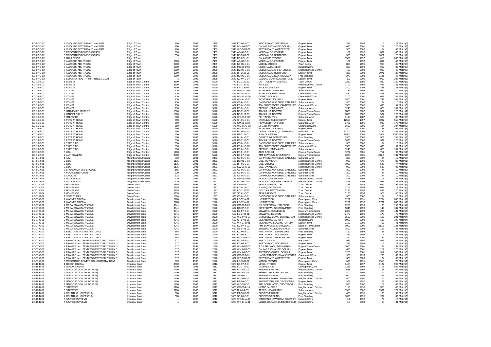| KC-07-O-02               | 4 CHIQUITO RESTAURANT and BAR            | Edge of Town                               | 400        | 2003         | 2439         | 1548 KC-06-B-02                  | RESTAURANT, MAIDSTONE                                     | Edge of Town                         | 334        | 1999         | 6           | 28 Match(1                  |
|--------------------------|------------------------------------------|--------------------------------------------|------------|--------------|--------------|----------------------------------|-----------------------------------------------------------|--------------------------------------|------------|--------------|-------------|-----------------------------|
| KC-07-O-02               | 4 CHIQUITO RESTAURANT and BAR            | Edge of Town                               | 400        | 2003         | 2439         | 1548 WM-06-B-03                  | DALLAS EXCHANGE, SOLIHULL                                 | Edge of Town                         | 680        | 2001         | 212         | 126 Match(1)                |
| KC-07-O-02               | 4 CHIQUITO RESTAURANT and BAR            | Edge of Town                               | 400        | 2003         | 2439         | 1548 WO-06-B-01                  | RESTAURANT, WORCESTER                                     | Edge of Town                         | 360        | 2000         | 84          | 37 Match(1)                 |
| KC-07-O-02               | 5 MCDONALDS DRIVE-THROUGH                | Edge of Town                               | 350        | 2003         | 2439         | 1548 AG-06-D-01                  | MCDONALDS, FORFAR                                         | Edge of Town                         | 182        | 1998         | 802         | 40 Match(1)                 |
| KC-07-O-02               | 5 MCDONALDS DRIVE-THROUGH                | Edge of Town                               | 350        | 2003         | 2439         | 1548 HF-06-D-01                  | MCDONALDS. HERTFORD                                       | Edge of Town                         | 326        | 2003         | 1071        | 28 Match(1)                 |
| KC-07-O-02               | 6 GALA BINGO                             | Edge of Town                               | $-1$       | 2003         | 2439         | 1548 KC-07-H-01                  | <b>GALA CLUB, STROOD</b>                                  | Edge of Town                         | 1500       | 1997         | 416         | 603 Match(1)                |
| KC-07-O-02               | 7 AMADEUS NIGHT CLUB                     | Edge of Town                               | 2900       | 2003         | 2439         | 1548 AG-06-D-01                  | MCDONALDS, FORFAR                                         | Edge of Town                         | 182        | 1998         | 802         | 40 Match(3)                 |
| KC-07-O-02               | 7 AMADEUS NIGHT CLUB                     | Edge of Town                               | 2900       | 2003         | 2439         | 1548 KC-06-D-01                  | MCDON.STROOD                                              | Town Centre                          | 800        | 1996         | 908         | 40 Match(3)                 |
| KC-07-O-02               | 7 AMADEUS NIGHT CLUB                     | Edge of Town                               | 2900       | 2003         | 2439         | 1548 MO-06-D-01                  | MCDONALDS, ELGIN                                          | <b>Industrial Zone</b>               | 350        | 1999         | 952         | 36 Match(3)                 |
| KC-07-O-02               | 7 AMADEUS NIGHT CLUB                     | Edge of Town                               | 2900       | 2003         | 2439         | 1548 DC-06-D-01                  | MCDONALDS, CHRISTCHURCH                                   | Neighbourhood Centre                 | 498        | 2003         | 983         | 48 Match(3)                 |
| KC-07-O-02               | 7 AMADEUS NIGHT CLUB                     | Edge of Town                               | 2900       | 2003         | 2439         | 1548 HF-06-D-01                  | MCDONALDS. HERTFORD                                       | Edge of Town                         | 326        | 2003         | 1071        | 28 Match(3)                 |
| KC-07-O-02               | 7 AMADEUS NIGHT CLUB                     | Edge of Town                               | 2900       | 2003         | 2439         | 1548 HC-06-D-01                  | MCDONALDS, NEAR ROMSEY                                    | Free Standing                        | 279        | 2003         | 1141        | 42 Match(3)                 |
| KC-07-O-02               | 8 ESPORTA HEALTH and FITNESS CLUB        | Edge of Town                               | $-1$       | 2003         | 2439         | 1548 KC-07-C-04                  | LEISURE CENTRE, MAIDSTONE                                 | Edge of Town                         | 1.3        | 2000         | 950         | 282 Match(1)                |
| KC-16-B-01               | 1 B and Q                                | Edge of Town Centre                        | 3500       | 2003         | 5120         | 477 LC-01-E-02                   | DO-IT-ALL, RAWTENSTALL                                    | Town Centre                          | 2230       | 1996         | 882         | 120 Match(3)                |
| KC-16-B-01               | 1 B and Q                                | Edge of Town Centre                        | 3500       | 2003         | 5120         | 477 LC-01-E-03                   | <b>WICKES</b>                                             | Neighbourhood Centre                 | 2702       | 1996         | 823         | 131 Match(3)                |
| KC-16-B-01               | 1 B and O                                | Edge of Town Centre                        | 3500       | 2003         | 5120         | 477 LN-01-E-01                   | WICKES, LINCOLN                                           | Edge of Town                         | 2400       | 2002         | 1338        | 128 Match(3)                |
| KC-16-B-01               | 2 COMET                                  | Edge of Town Centre                        | 770        | 2003         | 5120         | 477 GM-01-G-02                   | PC WORLD, TRAFFORD                                        | Suburban Area                        | 2787       | 1995         | 999         | 170 Match(3)                |
| KC-16-B-01               | 2 COMET                                  | Edge of Town Centre                        | 770        | 2003         | 5120         | 477 WM-01-G-01                   | STAPLES, BIRMINGHAM                                       | Commercial Zone                      | 1880       | 2000         | 448         | 101 Match(3)                |
| KC-16-B-01               | 2 COMET                                  | Edge of Town Centre                        | 770        | 2003         | 5120         | 477 WM-01-G-04                   | COMET. SOLIHULL                                           | Commercial Zone                      | 2100       | 2001         | 651         | 147 Match(3)                |
| KC-16-B-01               | 2 COMET                                  | Edge of Town Centre                        | 770        | 2003         | 5120         | 477 WM-01-G-02                   | PC WORLD, SOLIHULL                                        | Edge of Town                         | 2800       | 2001         | 748         | 107 Match(3)                |
| KC-16-B-01               | 2 COMET                                  | Edge of Town Centre                        | 770        | 2003         | 5120         | 477 CB-01-G-01                   | CARPHONE WAREHSE, CARLISLE                                | Suburban Area                        | 300        | 2002         | 84          | 10 Match(3)                 |
| KC-16-B-01               | 2 COMET                                  | Edge of Town Centre                        | 770        | 2003         | 5120         | 477 KC-01-G-03                   | TOY SUPERSTORE, CANTERBURY Commercial Zone                |                                      | 1500       | 2002         | 696         | 91 Match(3)                 |
| KC-16-B-01               | 2 COMET                                  | Edge of Town Centre                        | 770        | 2003         | 5120         | 477 KC-01-G-01                   | PREMUS HOMEMAKER                                          | Suburban Area                        | 1248       | 2002         | 625         | 101 Match(3)                |
| KC-16-B-01               | 3 HARVEYS FURNITURE                      | Edge of Town Centre                        | 1500       | 2003         | 5120         | 477 NF-01-G-01                   | TOYS R US, NORWICH                                        | Edge of Town Centre                  | 3835       | 2002         | 562         | 128 Match(2)                |
| KC-16-B-01               | 4 CARPET RIGHT                           | Edge of Town Centre                        | 1000       | 2003         | 5120         | 477 NF-01-G-01                   | TOYS R US, NORWICH                                        | Edge of Town Centre                  | 3835       | 2002         | 562         | 128 Match(2)                |
| KC-16-B-01               | 5 HALFORDS                               | Edge of Town Centre                        | 500        | 2003         | 5120         | 477 WS-01-F-03                   | FIX IT.BRIGHTON                                           | Suburban Area                        | 1115       | 1987         | 524         | 35 Match(5)                 |
| KC-16-B-01               | 6 PFTS AT HOME                           | Edge of Town Centre                        | 650        | 2003         | 5120         | 477 CK-01-G-01                   | STERLING. TILLICOULTRY                                    | Edge of Town                         | 12500      | 1997         | 1037        | 550 Match(3)                |
| KC-16-B-01               | 6 PETS AT HOME                           | Edge of Town Centre                        | 650        | 2003         | 5120         | 477 GM-01-G-02                   | PC WORLD, TRAFFORD                                        | Suburban Area                        | 2787       | 1995         | 999         | 170 Match(3)                |
| KC-16-B-01               | 6 PETS AT HOME                           | Edge of Town Centre                        | 650        | 2003         | 5120         | 477 WM-01-G-03                   | DFS, BIRMINGHAM                                           | Commercial Zone                      | 3600       | 2001         | 494         | 107 Match(3)                |
| KC-16-B-01               | 6 PFTS AT HOME                           | Edge of Town Centre                        | 650        | 2003         | 5120         | 477 WM-01-G-02                   | PC WORLD, SOLIHULL                                        | Edge of Town                         | 2800       | 2001         | 748         | 107 Match(3)                |
| KC-16-B-01               | 6 PETS AT HOME                           | Edge of Town Centre                        | 650        | 2003         | 5120         | 477 RC-01-G-02                   | DEPARTMENT ST., LLANTRISANT                               | Industrial Zone                      | 22300      | 2002         | 1282        | 242 Match(3)                |
| KC-16-B-01               | 6 PETS AT HOME                           | Edge of Town Centre                        | 650        | 2003         | 5120         | 477 RF-01-G-01                   | <b>IKEA, GLASGOW</b>                                      | Edge of Town                         | 26500      | 2002         | 3973        | 1360 Match(3)               |
| KC-16-B-01               | 6 PFTS AT HOME                           | Edge of Town Centre                        | 650        | 2003         | 5120         | 477 BU-01-G-01                   | COURTS, MILTON KEYNES                                     | Free Standing                        | 7900       | 2002         | 503         | 145 Match(3)                |
| KC-16-B-01               | 6 PETS AT HOME                           |                                            | 650        | 2003         | 5120         | 477 NF-01-G-01                   | TOYS R US, NORWICH                                        | Edge of Town Centre                  | 3835       | 2002         | 562         | 128 Match(3)                |
| KC-16-B-01               | 7 TILES R US                             | Edge of Town Centre<br>Edge of Town Centre | 650        | 2003         | 5120         | 477 CB-01-G-01                   | CARPHONE WAREHSE, CARLISLE Suburban Area                  |                                      | 300        | 2002         | 84          | 10 Match(3)                 |
|                          | 7 TILES R US                             |                                            |            | 2003         | 5120         | 477 KC-01-G-03                   | TOY SUPERSTORE, CANTERBURY                                | Commercial Zone                      | 1500       | 2002         | 696         | 91 Match(3)                 |
| KC-16-B-01<br>KC-16-B-01 | 7 TILES R US                             | Edge of Town Centre                        | 650<br>650 | 2003         | 5120         | 477 KC-01-G-01                   | PREMUS HOMEMAKER                                          | Suburban Area                        | 1248       | 2002         | 625         | 101 Match(3)                |
| KC-16-B-01               | 8 LIDL                                   | Edge of Town Centre                        | 1200       | 2003         | 5120         | 477 ES-01-C-01                   | ALDI, BEXHILL                                             | Edge of Town Centre                  | 1222       | 2001         | 717         | 90 Match(1)                 |
|                          |                                          | Edge of Town Centre                        | 3000       | 2003         |              |                                  |                                                           |                                      | 3000       | 2001         |             | 131 Match(1)                |
| KC-16-B-01<br>KH-01-J-01 | 9 AMF BOWLING<br>1 A2Z                   | Edge of Town Centre                        | 392        | 2001         | 5120<br>2493 | 477 KC-07-B-02<br>125 CB-01-G-01 | AMF BOWLING, GRAVESEND<br>CARPHONE WAREHSE, CARLISLE      | Edge of Town Centre<br>Suburban Area | 300        | 2002         | 212.5<br>84 | 10 Match(3)                 |
| KH-01-J-01               | $2$ I IDI                                | Neighbourhood Centre                       | 1115       | 2001         | 2493         | 125 DC-01-C-01                   | <b>I IDI WEYMOUTH</b>                                     |                                      | 990        | 1999         | 676         | 86 Match(1)                 |
|                          | 2 LIDL                                   | Neighbourhood Centre                       | 1115       |              | 2493         |                                  |                                                           | Neighbourhood Centre                 |            |              | 543         | 77 Match(1)                 |
| KH-01-J-01               |                                          | Neighbourhood Centre                       |            | 2001         |              | 125 BR-01-C-01                   | LIDL, BRISTOL                                             | Neighbourhood Centre                 | 1007       | 2003         |             |                             |
| KH-01-J-01               | 2 LIDL<br>3 BRUNSWICK WAREHOUSE          | Neighbourhood Centre                       | 1115       | 2001<br>2001 | 2493<br>2493 | 125 SW-01-C-01                   | LIDL, SWANSEA<br>CARPHONE WAREHSE, CARLISLE Suburban Area | Neighbourhood Centre                 | 969        | 2002         | 540         | 82 Match(1)                 |
| KH-01-J-01               |                                          | Neighbourhood Centre                       | 186        |              |              | 125 CB-01-G-01                   |                                                           |                                      | 300        | 2002         | 84          | 10 Match(3)                 |
| KH-01-J-01               | 4 POUNDSTRETCHER                         | Neighbourhood Centre                       | 929        | 2001         | 2493         | 125 CB-01-G-01                   | CARPHONE WAREHSE, CARLISLE                                | Suburban Area                        | 300        | 2002         | 84<br>84    | 10 Match(3)                 |
| KH-01-J-01               | 5 CHOICES<br>6 MCDONALDS                 | Neighbourhood Centre                       | 372<br>279 | 2001<br>2001 | 2493<br>2493 | 125 CB-01-G-01                   | CARPHONE WAREHSE, CARLISLE<br>MCDON MANCHESTER            | Suburban Area                        | 300<br>418 | 2002<br>1994 |             | 10 Match(3)<br>151 Match(1) |
| KH-01-J-01               |                                          | Neighbourhood Centre                       |            |              |              | 125 GM-06-D-03                   |                                                           | Neighbourhood Centre                 |            |              | 1103        |                             |
| KH-01-J-01               | 6 MCDONALDS                              | Neighbourhood Centre                       | 279        | 2001         | 2493         | 125 DC-06-D-01                   | MCDONALDS, CHRISTCHURCH                                   | Neighbourhood Centre                 | 498        | 2003         | 983         | 48 Match(1)                 |
| LC-01-K-04               | 1 HOMEBASE                               | Town Centre                                | 4355       | 1997         | 1587         | 326 CH-01-E-01                   | <b>TEXAS, WARRINGTON</b>                                  | Town Centre                          | 2323       | 1989         | 644         | 99 Match(1)                 |
| LC-01-K-04               | 1 HOMEBASE                               | Town Centre                                | 4355       | 1997         | 1587         | 326 KC-01-E-03                   | B and Q.MAIDSTONE                                         | Town Centre                          | 3205       | 1994         | 1053        | 114 Match(1)                |
| LC-01-K-04               | 1 HOMEBASE                               | Town Centre                                | 4355       | 1997         | 1587         | 326 LC-01-E-02                   | DO-IT-ALL, RAWTENSTALL                                    | Town Centre                          | 2230       | 1996         | 882         | 120 Match(1)                |
| $IC-01-K-04$             | 1 HOMEBASE                               | Town Centre                                | 4355       | 1997         | 1587         | 326 SC-01-F-01                   | <b>TFXAS REIGATE</b>                                      | Town Centre                          | 3160       | 1993         | 975         | 80 Match(1                  |
| LC-01-K-04               | 2 SPORTS MAX                             | Town Centre                                | 1904       | 1997         | 1587         | 326 CB-01-G-01                   | CARPHONE WAREHSE, CARLISLE Suburban Area                  |                                      | 300        | 2002         | 84          | 10 Match(3)                 |
| LC-07-O-01               | 1 WARNER CINEMA                          | Development Zone                           | 2728       | 1997         | 2120         | 622 LC-07-A-01                   | UCI, PRESTON                                              | Development Zone                     | 3251       | 1991         | 1704        | 686 Match(1)                |
| $C-07-C-01$              | 1 WARNER CINEMA                          | Development Zone                           | 2728       | 1997         | 2120         | 622   C-07-A-02                  | <b>UCLPRESTON</b>                                         | Development Zone                     | 3251       | 1998         | 1701        | 686 Match(1)                |
| LC-07-O-01               | 2 MEGA BOWL/ZAPP ZONE                    | Development Zone                           | 4041       | 1997         | 2120         | 622 GM-07-B-02                   | GX SUPERBOWL, SALFORD                                     | Free Standing                        | 3255       | 1998         | 185         | 150 Match(4)                |
| LC-07-O-01               | 2 MEGA BOWL/ZAPP ZONE                    | Development Zone                           | 4041       | 1997         | 2120         | 622 HC-07-B-01                   | SUPERBOWL, SOUTHAMPTON                                    | Free Standing                        | 5040       | 1993         | 149         | 181 Match(4)                |
| $C-07-C-01$              | 2 MFGA BOWL/ZAPP ZONE                    | Development Zone                           | 4041       | 1997         | 2120         | 622 KC-07-B-01                   | BOWLING, GRAVESEND                                        | Edge of Town Centre                  | 2323       | 1993         | 264         | 131 Match(4)                |
| LC-07-O-01               | 2 MEGA BOWL/ZAPP ZONE                    | Development Zone                           | 4041       | 1997         | 2120         | 622 LC-07-B-01                   | BOWLING, PRESTON                                          | Neighbourhood Centre                 | 2475       | 1991         | 170         | 72 Match(4)                 |
| LC-07-O-01               | 2 MEGA BOWL/ZAPP ZONE                    | Development Zone                           | 4041       | 1997         | 2120         | 622 WM-07-B-01                   | STIRCHLEY BOWL, BIRMINGHAM                                | Neighbourhood Centre                 | 3500       | 2001         | 129         | 201 Match(4)                |
| LC-07-O-01               | 2 MFGA BOWL/ZAPP ZONE                    | Development Zone                           | 4041       | 1997         | 2120         | 622 CF-07-B-01                   | MFGABOWL CARDIFF                                          | <b>Industrial Zone</b>               | 5060       | 2002         | 190         | 102 Match(4)                |
| LC-07-O-01               | 2 MEGA BOWL/ZAPP ZONE                    | Development Zone                           | 4041       | 1997         | 2120         | 622 WK-07-B-01                   | MEGABOWL, LEAMINGTON SPA                                  | Edge of Town                         | 2180       | 2000         | 407         | 41 Match(4)                 |
| LC-07-O-01               | 2 MEGA BOWL/ZAPP ZONE                    | Development Zone                           | 4041       | 1997         | 2120         | 622 KC-07-B-02                   | AMF BOWLING, GRAVESEND                                    | Edge of Town Centre                  | 3000       | 2001         | 212.5       | 131 Match(4)                |
| LC-07-O-01               | 2 MEGA BOWL/ZAPP ZONE                    | Development Zone                           | 4041       | 1997         | 2120         | 622 SY-07-B-01                   | BOWLING ALLEY, BARSNLEY                                   | Suburban Area                        | 1500       | 2003         | 166         | 88 Match(4)                 |
| LC-07-O-01               | 3 BELLA PASTA CAFE and GRILL             | Development Zone                           | 368        | 1997         | 2120         | 622 KC-06-B-01                   | RESTAURANT, SEVENOAKS                                     | Free Standing                        | 150        | 1998         | 21          | 32 Match(3)                 |
| LC-07-O-01               | 3 BELLA PASTA CAFE and GRILL             | Development Zone                           | 368        | 1997         | 2120         | 622 KC-06-B-02                   | RESTAURANT, MAIDSTONE                                     | Edge of Town                         | 334        | 1999         | - 6         | 28 Match(3)                 |
| LC-07-O-01               | 3 BELLA PASTA CAFE and GRILL             | Development Zone                           | 368        | 1997         | 2120         | 622 WO-06-B-01                   | <b>RESTAURANT, WORCESTER</b>                              | Edge of Town                         | 360        | 2000         | 84          | 37 Match(3)                 |
| LC-07-O-01               | 4 FRANKIE and BENNIES NEW YORK ITALIAN D | Development Zone                           | 517        | 1997         | 2120         | 622 GC-06-B-01                   | RES.GLASGOW                                               | Not Known                            | 929        | 1991         | 567         | 144 Match(3)                |
| LC-07-O-01               | 4 FRANKIE and BENNIES NEW YORK ITALIAN D | Development Zone                           | 517        | 1997         | 2120         | 622 KC-06-B-02                   | <b>RESTAURANT, MAIDSTONE</b>                              | Edge of Town                         | 334        | 1999         | - 6         | 28 Match(3)                 |
| LC-07-O-01               | 4 FRANKIE and BENNIES NEW YORK ITALIAN D | Development Zone                           | 517        | 1997         | 2120         | 622 WM-06-B-02                   | T.G.I. FRIDAY'S, BIRMINGHAM                               | Edge of Town Centre                  | 1000       | 2001         | 194         | 91 Match(3)                 |
| LC-07-O-01               | 4 FRANKIE and BENNIES NEW YORK ITALIAN D | Development Zone                           | 517        | 1997         | 2120         | 622 WM-06-B-03                   | DALLAS EXCHANGE, SOLIHULL                                 | Edge of Town                         | 680        | 2001         | 212         | 126 Match(3)                |
| LC-07-O-01               | 4 FRANKIE and BENNIES NEW YORK ITALIAN D | Development Zone                           | 517        | 1997         | 2120         | 622 WM-06-B-01                   | JEFFERSONS RES. SOLIHULL                                  | Edge of Town                         | 1200       | 2001         | 317         | 140 Match(3)                |
| LC-07-O-01               | 4 FRANKIE and BENNIES NEW YORK ITALIAN D | Development Zone                           | 517        | 1997         | 2120         | 622 GM-06-B-01                   | HARRY RAMSDENS, MANCHESTER                                | Commercial Zone                      | 900        | 1999         | 233         | 67 Match(3)                 |
| LC-07-O-01               | 4 FRANKIE and BENNIES NEW YORK ITALIAN D | Development Zone                           | 517        | 1997         | 2120         | 622 WO-06-B-01                   | RESTAURANT, WORCESTER                                     | Edge of Town                         | 360        | 2000         | 84          | 37 Match(3)                 |
| LC-07-O-01               | 5 MCDONALDS DRIVE THROUGH RESTAURANT     | Development Zone                           | 369        | 1997         | 2120         | 622 LC-06-D-01                   | MCDON PRESTON                                             | Development Zone                     | 600        | 1991         | 1513        | 76 Match(1)                 |
| LE-16-B-01               | 1 ODEON CINEMA                           | Industrial Zone                            | 4300       | 2003         | 3812         | 1083 KC-07-A-01                  | VIRGIN, STROOD                                            | Edge of Town                         | 3438       | 1997         | 1127        | 590 Match(3)                |
| LE-16-B-01               | 1 ODEON CINEMA                           | Industrial Zone                            | 4300       | 2003         | 3812         | 1083 LC-07-A-02                  | <b>UCLPRESTON</b>                                         | Development Zone                     | 3251       | 1998         | 1701        | 686 Match(3)                |
| LE-16-B-01               | 2 NANDOS/LOCAL HERO (PUB)                | Industrial Zone                            | 1400       | 2003         | 3812         | 1083 FA-06-C-01                  | PUB/RES. FAI KIRK                                         | Neighbourhood Centre                 | 688        | 1995         | 168         | 69 Match(3)                 |
| LE-16-B-01               | 2 NANDOS/LOCAL HERO (PUB)                | Industrial Zone                            | 1400       | 2003         | 3812         | 1083 NT-06-C-01                  | BEEFEATER, BURNTSTUMP                                     | Free Standing                        | 400        | 1999         | 112         | 60 Match(3)                 |
| I F-16-B-01              | 2 NANDOS/LOCAL HERO (PUB)                | Industrial Zone                            | 1400       | 2003         | 3812         | 1083 SR-06-C-01                  | PUB/RES STIRLING                                          | Free Standing                        | 1000       | 1995         | 299         | 87 Match(3)                 |
| LE-16-B-01               | 2 NANDOS/LOCAL HERO (PUB)                | Industrial Zone                            | 1400       | 2003         | 3812         | 1083 WM-06-C-01                  | BREWERS FAYRE, BIRMINGHAM                                 | Neighbourhood Centre                 | 500        | 2000         | 104         | 57 Match(3)                 |
| LE-16-B-01               | 2 NANDOS/LOCAL HERO (PUB)                | Industrial Zone                            | 1400       | 2003         | 3812         | 1083 ES-06-C-01                  | PUB/RESTAURANT, TELSCOMBE                                 | Edge of Town                         | 369        | 1997         | 129         | 69 Match(3)                 |
| I F-16-B-01              | 2 NANDOS/LOCAL HERO (PUB)                | Industrial Zone                            | 1400       | 2003         | 3812         | 1083 WO-06-C-01                  | THE ROBIN HOOD, DROITWICH                                 | Free Standing                        | 550        | 2002         | 178         | 63 Match(3)                 |
| LE-16-B-01               | 3 SAFEWAY                                | Industrial Zone                            | 6180       | 2003         | 3812         | 1083 GM-01-A-16                  | NETTO, SALFORD                                            | Neighbourhood Centre                 | 1115       | 1995         | 525         | 40 Match(3)                 |
| LE-16-B-01               | 3 SAFEWAY                                | Industrial Zone                            | 6180       | 2003         | 3812         | 1083 NI-01-A-03                  | TESCO, NEWCASTLE                                          | Suburban Area                        | 1580       | 2002         | 1531        | 171 Match(3)                |
| I F-16-B-01              | 4 COUNTING HOUSE (PUB)                   | Industrial Zone                            | 500        | 2003         | 3812         | 1083 FA-06-C-01                  | PUR/RES EALKIRK                                           | Neighbourhood Centre                 | 688        | 1995         | 168         | 69 Match(3)                 |
| LE-16-B-01               | 4 COUNTING HOUSE (PUB)                   | Industrial Zone                            | 500        | 2003         | 3812         | 1083 SR-06-C-01                  | PUB/RES, STIRLING                                         | Free Standing                        | 1000       | 1995         | 299         | 87 Match(3)                 |
| I F-16-B-01              | 5 STURGESS VOLVO                         | Industrial Zone                            | $-1$       | 2003         | 3812         | 1083 WS-14-A-02                  | CITROEN SHOWROOM, CRAWLEY Industrial Zone                 |                                      | 0.2        | 1998         | 79          | 16 Match(1)                 |
| LE-16-B-01               | 5 STURGESS VOLVO                         | Industrial Zone                            | $-1$       | 2003         | 3812         | 1083 WY-14-A-01                  | MAZDA GARAGE, HUDDERSFIELD Industrial Zone                |                                      | 0.3        | 2003         | 68          | 31 Match(1)                 |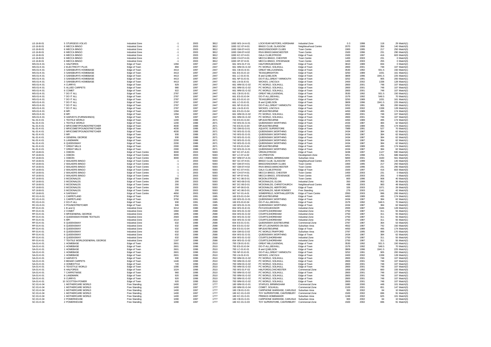| $IF-16-B-01$ | 5 STURGESS VOLVO               | Industrial Zone     | $-1$ | 2003 | 3812 | 1083 WS-14-A-01 | LOCKYEAR MOTORS, HORSHAM                   | Industrial Zone        | 0.3  | 1998 | 118    | 29 Match(1)  |
|--------------|--------------------------------|---------------------|------|------|------|-----------------|--------------------------------------------|------------------------|------|------|--------|--------------|
| LE-16-B-01   | 6 MECCA BINGO                  | Industrial Zone     | $-1$ | 2003 | 3812 | 1083 GC-07-H-01 | BINGO CLUB, GLASGOW                        | Neighbourhood Centre   | 2070 | 1999 | 356    | 140 Match(3  |
| LE-16-B-01   | 6 MECCA BINGO                  | Industrial Zone     | $-1$ | 2003 | 3812 | 1083 GM-07-H-01 | BINGO/SNOOKER CLUBS                        | Town Centre            | 1900 | 1995 | 217    | 250 Match(3) |
|              |                                |                     |      |      |      |                 |                                            |                        |      |      |        |              |
| I F-16-B-01  | 6 MECCA BINGO                  | Industrial Zone     | $-1$ | 2003 | 3812 | 1083 GM-07-H-02 | RIVA BINGO, MANCHESTER                     | <b>Town Centre</b>     | 1500 | 1996 | 231    | 290 Match(3) |
| LE-16-B-01   | 6 MECCA BINGO                  | Industrial Zone     | $-1$ | 2003 | 3812 | 1083 KC-07-H-01 | GALA CLUB STROOD                           | Edge of Town           | 1500 | 1997 | 416    | 603 Match(3  |
| $IF-16-B-01$ | 6 MECCA BINGO                  | Industrial Zone     | $-1$ | 2003 | 3812 | 1083 CH-07-H-01 | MECCA BINGO, CHESTER                       | Town Centre            | 1400 | 2003 | 231    | 0 Match(3    |
|              |                                |                     |      |      |      |                 |                                            |                        |      |      |        |              |
| LE-16-B-01   | 6 MECCA BINGO                  | Industrial Zone     | $-1$ | 2003 | 3812 | 1083 HF-07-H-01 | MECCA BINGO, STEVENAGE                     | Town Centre            | 1400 | 2003 | 255    | 0 Match(3)   |
| MS-01-K-01   | 1 HALFORDS                     | Edge of Town        | 1394 | 1997 | 2447 | 661 WS-01-F-01  | HALFORDS, BOGNOR                           | Edge of Town           | 3810 | 1989 | 834    | 0 Match(2)   |
| MS-01-K-01   | 2 FLECTRICITY PLUS             | Edge of Town        | 894  | 1997 | 2447 | 661 WM-01-G-02  | PC WORLD, SOLIHULL                         | Edge of Town           | 2800 | 2001 | 748    | 107 Match(2) |
| MS-01-K-01   | 3 SAINSBURYS HOMEBASE          |                     | 4413 | 1997 | 2447 | 661 CB-01-E-01  | <b>GREAT MILLS, KENDAL</b>                 |                        | 3530 | 1992 | 931.5  | 150 Match(1  |
|              |                                | Edge of Town        |      |      |      |                 |                                            | Edge of Town           |      |      |        |              |
| MS-01-K-01   | 3 SAINSBURYS HOMEBASE          | Edge of Town        | 4413 | 1997 | 2447 | 661 ES-01-E-10  | <b>TFXAS BRIGHTON</b>                      | Edge of Town           | 3250 | 1989 | 1031   | 161 Match(1  |
| MS-01-K-01   | 3 SAINSBURYS HOMEBASE          | Edge of Town        | 4413 | 1997 | 2447 | 661 LC-01-E-01  | B and Q,NELSON                             | Edge of Town           | 3809 | 1996 | 1941.5 | 225 Match(1  |
| MS-01-K-01   | 3 SAINSBURYS HOMEBASE          | Edge of Town        | 4413 | 1997 | 2447 | 661 NF-01-E-01  | DO-IT-ALL, GREAT YARMOUTH                  | Edge of Town           | 3252 | 1991 | 905    | 200 Match(1  |
| MS-01-K-01   | 3 SAINSBURYS HOMEBASE          | Edge of Town        | 4413 | 1997 | 2447 | 661 LN-01-E-01  | WICKES. LINCOLN                            | Edge of Town           | 2400 | 2002 | 1338   | 128 Match(1  |
|              |                                |                     |      |      |      |                 |                                            |                        |      |      |        |              |
| MS-01-K-01   | 4 CURRYS                       | Edge of Town        | 929  | 1997 | 2447 | 661 WM-01-G-02  | PC WORLD, SOLIHULL                         | Edge of Town           | 2800 | 2001 | 748    | 107 Match(2  |
| MS-01-K-01   | 5 ALLIED CARPETS               | Edge of Town        | 980  | 1997 | 2447 | 661 WM-01-G-02  | PC WORLD, SOLIHULL                         | Edge of Town           | 2800 | 2001 | 748    | 107 Match(2) |
| MS-01-K-01   | 6 COMET                        | Edge of Town        | 922  | 1997 | 2447 | 661 WM-01-G-02  | PC WORLD. SOLIHULL                         | Edge of Town           | 2800 | 2001 | 748    | 107 Match(2  |
|              |                                |                     |      |      |      |                 |                                            |                        |      |      |        |              |
| MS-01-K-01   | 7 DO IT ALL                    | Edge of Town        | 2787 | 1997 | 2447 | 661 CB-01-E-01  | <b>GREAT MILLS, KENDAL</b>                 | Edge of Town           | 3530 | 1992 | 931.5  | 150 Match(1  |
| MS-01-K-01   | 7 DO IT ALL                    | Edge of Town        | 2787 | 1997 | 2447 | 661 ES-01-E-04  | DO-IT-ALL BEXHILL                          | Edge of Town           | 1579 | 1992 | 548.5  | 70 Match(1   |
| MS-01-K-01   | 7 DO IT ALL                    | Edge of Town        | 2787 | 1997 | 2447 | 661 FS-01-F-10  | <b>TFXAS BRIGHTON</b>                      | Edge of Town           | 3250 | 1989 | 1031   | 161 Match(1  |
| MS-01-K-01   | 7 DO IT ALL                    |                     | 2787 | 1997 | 2447 | 661 LC-01-E-01  | B and Q,NELSON                             | Edge of Town           | 3809 | 1996 | 1941.5 | 225 Match(1  |
|              |                                | Edge of Town        |      |      |      |                 |                                            |                        |      |      |        |              |
| MS-01-K-01   | 7 DO IT ALL                    | Edge of Town        | 2787 | 1997 | 2447 | 661 NF-01-E-01  | DO-IT-ALL, GREAT YARMOUTH                  | Edge of Town           | 3252 | 1991 | 905    | 200 Match(1) |
| MS-01-K-01   | 7 DO IT ALL                    | Edge of Town        | 2787 | 1997 | 2447 | 661 LN-01-E-01  | WICKES. LINCOLN                            | Edge of Town           | 2400 | 2002 | 1338   | 128 Match(1  |
| MS-01-K-01   | 8 MFI                          | Edge of Town        | 1394 | 1997 | 2447 | 661 ES-01-G-04  | MFI,EASTBOURNE                             | Edge of Town           | 4450 | 1989 | 495    | 174 Match(2  |
| MS-01-K-01   | 8 MFI                          |                     | 1394 | 1997 | 2447 | 661 WM-01-G-02  | PC WORLD, SOLIHULL                         |                        | 2800 | 2001 | 748    | 107 Match(2  |
|              |                                | Edge of Town        |      |      |      |                 |                                            | Edge of Town           |      |      |        |              |
| MS-01-K-01   | 9 HARVEYS (FURNISHINGS)        | Edge of Town        | 929  | 1997 | 2447 | 661 WM-01-G-02  | PC WORLD, SOLIHULL                         | Edge of Town           | 2800 | 2001 | 748    | 107 Match(2  |
| NL-01-K-01   | 1 TEXTILE WORLD                | Edge of Town        | 1200 | 1988 | 2671 | 743 ES-01-G-04  | MFLEASTBOURNE                              | Edge of Town           | 4450 | 1989 | 495    | 174 Match(2) |
| NI -01-K-01  | 1 TEXTILE WORLD                | Edge of Town        | 1200 | 1988 | 2671 | 743 WS-01-G-01  | <b>OUFFNSWAY WORTHING</b>                  | Edge of Town           | 2434 | 1987 | 384    | 62 Match(2   |
|              |                                |                     |      |      |      |                 |                                            |                        |      |      |        |              |
| NL-01-K-01   | 2 MFI/COMET/POUNDSTRETCHER     | Edge of Town        | 4030 | 1988 | 2671 | 743 ES-01-G-04  | MFI.EASTBOURNE                             | Edge of Town           | 4450 | 1989 | 495    | 174 Match(1  |
| NL-01-K-01   | 2 MFI/COMET/POUNDSTRETCHER     | Edge of Town        | 4030 | 1988 | 2671 | 743 GM-01-G-01  | AQUATIC SUPERSTORE                         | Edge of Town           | 7989 | 1991 | 527    | 70 Match(1)  |
| NL-01-K-01   | 2 MFI/COMET/POUNDSTRETCHER     | Edge of Town        | 4030 | 1988 | 2671 | 743 WS-01-G-01  | <b>OUFFNSWAY WORTHING</b>                  | Edge of Town           | 2434 | 1987 | 384    | 62 Match(1   |
|              | 3 MFI                          |                     |      |      |      |                 |                                            |                        |      |      |        |              |
| NL-01-K-01   |                                | Edge of Town        | 930  | 1988 | 2671 | 743 WS-01-G-01  | QUEENSWAY, WORTHING                        | Edge of Town           | 2434 | 1987 | 384    | 62 Match(2)  |
| NL-01-K-01   | 4 GENERAL GEORGE               | Edge of Town        | 930  | 1988 | 2671 | 743 WS-01-G-01  | QUEENSWAY, WORTHING                        | Edge of Town           | 2434 | 1987 | 384    | 62 Match(2)  |
| NL-01-K-01   | 5   ANDMARK                    | Edge of Town        | 2200 | 1988 | 2671 | 743 WS-01-G-01  | QUEENSWAY.WORTHING                         | Edge of Town           | 2434 | 1987 | 384    | 62 Match(1   |
| NL-01-K-01   | 6 QUEENSWAY                    | Edge of Town        | 2200 | 1988 | 2671 | 743 WS-01-G-01  | QUEENSWAY, WORTHING                        | Edge of Town           | 2434 | 1987 | 384    | 62 Match(1   |
|              |                                |                     |      |      |      |                 |                                            |                        |      |      |        |              |
| NI -01-K-01  | 7 GREAT MILLS                  | Edge of Town        | 2300 | 1988 | 2671 | 743 FS-01-G-04  | MFI FASTBOURNE                             | Edge of Town           | 4450 | 1989 | 495    | 174 Match(1  |
| NL-01-K-01   | 7 GREAT MILLS                  | Edge of Town        | 2300 | 1988 | 2671 | 743 WS-01-G-01  | QUEENSWAY.WORTHING                         | Edge of Town           | 2434 | 1987 | 384    | 62 Match(1   |
| NT-16-B-01   | 1 ODEON                        | Edge of Town Centre | 3000 | 2003 | 5593 | 967 KC-07-A-01  | VIRGIN, STROOD                             | Edge of Town           | 3438 | 1997 | 1127   | 590 Match(4) |
| NT-16-B-01   | 1 ODEON                        | Edge of Town Centre | 3000 | 2003 | 5593 | 967   C-07-A-02 | <b>UCLPRESTON</b>                          | Development Zone       | 3251 | 1998 | 1701   | 686 Match(4  |
|              |                                |                     |      |      |      |                 |                                            |                        |      |      |        |              |
| NT-16-B-01   | 1 ODEON                        | Edge of Town Centre | 3000 | 2003 | 5593 | 967 WM-07-A-01  | UGC CINEMA, BIRMINGHAM                     | Suburban Area          | 5800 | 2001 | 1630   | 561 Match(4  |
| NT-16-B-01   | 2 WALKERS BINGO                | Edge of Town Centre | $-1$ | 2003 | 5593 | 967 GC-07-H-01  | BINGO CLUB, GLASGOW                        | Neighbourhood Centre   | 2070 | 1999 | 356    | 140 Match(3) |
| NT-16-B-01   | 2 WAI KERS BINGO               | Edge of Town Centre | $-1$ | 2003 | 5593 | 967 GM-07-H-01  | <b>BINGO/SNOOKER CLUBS</b>                 | <b>Town Centre</b>     | 1900 | 1995 | 217    | 250 Match(3  |
|              |                                |                     |      |      |      |                 |                                            |                        |      |      |        |              |
| NT-16-B-01   | 2 WALKERS BINGO                | Edge of Town Centre | $-1$ | 2003 | 5593 | 967 GM-07-H-02  | RIVA BINGO, MANCHESTER                     | <b>Town Centre</b>     | 1500 | 1996 | 231    | 290 Match(3  |
| NT-16-B-01   | 2 WALKERS BINGO                | Edge of Town Centre | $-1$ | 2003 | 5593 | 967 KC-07-H-01  | <b>GALA CLUB, STROOD</b>                   | Edge of Town           | 1500 | 1997 | 416    | 603 Match(3) |
| NT-16-B-01   | 2 WALKERS BINGC                | Edge of Town Centre | $-1$ | 2003 | 5593 | 967 CH-07-H-01  | MECCA BINGO, CHESTER                       | <b>Town Centre</b>     | 1400 | 2003 | 231    | 0 Match(3    |
| NT-16-B-01   | 2 WALKERS BINGO                | Edge of Town Centre | $-1$ | 2003 | 5593 | 967 HF-07-H-01  | MECCA BINGO, STEVENAGE                     | <b>Town Centre</b>     | 1400 | 2003 | 255    | 0 Match(3    |
|              |                                |                     |      |      |      |                 |                                            |                        |      |      |        |              |
| NT-16-B-01   | 3 MCDONALDS                    | Edge of Town Centre | 200  | 2003 | 5593 | 967 KC-06-D-01  | MCDON.STROOD                               | Town Centre            | 800  | 1996 | 908    | 40 Match(3)  |
| NT-16-B-01   | 3 MCDONALDS                    | Edge of Town Centre | 200  | 2003 | 5593 | 967 MO-06-D-01  | MCDONALDS, ELGIN                           | Industrial Zone        | 350  | 1999 | 952    | 36 Match(3   |
| NT-16-B-01   | 3 MCDONALDS                    | Edge of Town Centre | 200  | 2003 | 5593 | 967 DC-06-D-01  | MCDONALDS, CHRISTCHURCH                    | Neighbourhood Centre   | 498  | 2003 | 983    | 48 Match(3   |
| NT-16-B-01   | 3 MCDONALDS                    |                     | 200  | 2003 | 5593 | 967 HF-06-D-01  | MCDONALDS, HERTFORD                        |                        | 326  | 2003 | 1071   | 28 Match(3   |
|              |                                | Edge of Town Centre |      |      |      |                 |                                            | Edge of Town           |      |      |        |              |
| NT-16-B-01   | 3 MCDONALDS                    | Edge of Town Centre | 200  | 2003 | 5593 | 967 HC-06-D-01  | MCDONALDS, NEAR ROMSEY                     | Free Standing          | 279  | 2003 | 1141   | 42 Match(3   |
| NT-16-B-01   | 4 SAFEWAY                      | Edge of Town Centre | 4650 | 2003 | 5593 | 967 NY-01-A-01  | SOMERFIELD, NORTHALLERTON                  | Edge of Town Centre    | 2950 | 2003 | 996    | 206 Match(1  |
| RC-01-K-01   | 1 CARPETLAND                   | Edge of Town        | 3750 | 1991 | 1585 | 160 ES-01-G-04  | <b>MFLEASTBOURNE</b>                       | Edge of Town           | 4450 | 1989 | 495    | 174 Match(1  |
|              |                                |                     |      |      |      |                 |                                            |                        |      |      |        |              |
| RC-01-K-01   | 1 CARPETLAND                   | Edge of Town        | 3750 | 1991 | 1585 | 160 WS-01-G-01  | QUEENSWAY, WORTHING                        | Edge of Town           | 2434 | 1987 | 384    | 62 Match(1)  |
| RC-01-K-01   | 2 DO-IT-ALL                    | Edge of Town        | 930  | 1991 | 1585 | 160 ES-01-E-04  | DO-IT-ALL, BEXHILL                         | Edge of Town           | 1579 | 1992 | 548.5  | 70 Match(1)  |
| RC-01-K-01   | 3 POUNDSTRETCHER               | Edge of Town        | 946  | 1991 | 1585 | 160 WS-01-G-01  | QUEENSWAY, WORTHING                        | Edge of Town           | 2434 | 1987 | 384    | 62 Match(2   |
| RF-01-K-01   | 1 B and Q                      | Industrial Zone     | 3214 | 1988 | 2588 | 654 WS-01-E-01  | PAYLESS.BOGNOR                             | <b>Industrial Zone</b> | 2000 | 1987 | 1646   | 128 Match(1  |
|              |                                |                     |      |      |      |                 |                                            |                        |      |      |        |              |
| RF-01-K-01   | 2 COMET                        | Industrial Zone     | 1960 | 1988 | 2588 | 654 WS-01-G-02  | COURTS, SHOREHAM                           | <b>Industrial Zone</b> | 2750 | 1987 | 311    | 55 Match(1   |
| RF-01-K-01   | 3 MFI/GENERAL GEORGE           | Industrial Zone     | 1895 | 1988 | 2588 | 654 WS-01-G-02  | COURTS.SHOREHAM                            | Industrial Zone        | 2750 | 1987 | 311    | 55 Match(1   |
| RF-01-K-01   | 4 QUEENSWAY/HOME TEXTILES      | Industrial Zone     | 2583 | 1988 | 2588 | 654 WS-01-G-02  | COURTS, SHOREHAM                           | Industrial Zone        | 2750 | 1987 | 311    | 55 Match(1   |
| RF-01-K-01   | 5 MFI                          |                     | 1514 | 1988 | 2588 | 654 WS-01-G-02  | COURTS SHORFHAM                            | Industrial Zone        | 2750 | 1987 |        | 55 Match(1)  |
|              |                                | Industrial Zone     |      |      |      |                 |                                            |                        |      |      | 311    |              |
| RF-01-K-01   | 6 QUEENSWAY                    | Industrial Zone     | 632  | 1988 | 2588 | 654 ES-01-G-01  | QUEENSWAY, EASTBOURNE                      | Commercial Zone        | 2787 | 1987 | 364    | 53 Match(4)  |
| RF-01-K-01   | 6 QUEENSWAY                    | Industrial Zone     | 632  | 1988 | 2588 | 654 ES-01-G-02  | MFI,ST.LEONARDS-ON-SEA                     | Suburban Area          | 4552 | 1987 | 742    | 150 Match(4  |
| RF-01-K-01   | 6 OUFFNSWAY                    | Industrial Zone     | 632  | 1988 | 2588 | 654 ES-01-G-04  | <b>MFLEASTBOURNE</b>                       | Edge of Town           | 4450 | 1989 | 495    | 174 Match(4) |
|              |                                |                     | 632  | 1988 | 2588 |                 |                                            |                        |      | 1995 |        |              |
| RF-01-K-01   | 6 QUEENSWAY                    | Industrial Zone     |      |      |      | 654 GM-01-G-02  | PC WORLD, TRAFFORD                         | Suburban Area          | 2787 |      | 999    | 170 Match(4) |
| RF-01-K-01   | 6 QUEENSWAY                    | Industrial Zone     | 632  | 1988 | 2588 | 654 WS-01-G-01  | QUEENSWAY, WORTHING                        | Edge of Town           | 2434 | 1987 | 384    | 62 Match(4)  |
| RF-01-K-01   | 6 OUFFNSWAY                    | Industrial Zone     | 632  | 1988 | 2588 | 654 WS-01-G-02  | COURTS, SHOREHAM                           | Industrial Zone        | 2750 | 1987 | 311    | 55 Match(4)  |
| RF-01-K-01   | 7 TEXTILE WORLD/GENERAL GEORGE | Industrial Zone     | 1187 | 1988 | 2588 | 654 WS-01-G-02  | COURTS.SHOREHAM                            | <b>Industrial Zone</b> | 2750 | 1987 | 311    | 55 Match(2)  |
|              |                                |                     |      |      |      |                 |                                            |                        |      |      |        |              |
| SA-01-K-01   | 1 HOMEBASE                     | Edge of Town        | 2601 | 1998 | 2510 | 783 CB-01-E-01  | <b>GREAT MILLS, KENDAL</b>                 | Edge of Town           | 3530 | 1992 | 931.5  | 150 Match(1) |
| SA-01-K-01   | 1 HOMEBASE                     | Edge of Town        | 2601 | 1998 | 2510 | 783 ES-01-E-04  | DO-IT-ALL.BEXHILL                          | Edge of Town           | 1579 | 1992 | 548.5  | 70 Match(1)  |
| SA-01-K-01   | 1 HOMEBASE                     | Edge of Town        | 2601 | 1998 | 2510 | 783 LC-01-E-01  | B and Q.NELSON                             | Edge of Town           | 3809 | 1996 | 1941.5 | 225 Match(   |
| SA-01-K-01   | 1 HOMEBASE                     | Edge of Town        | 2601 | 1998 | 2510 | 783 NF-01-E-01  | DO-IT-ALL, GREAT YARMOUTH                  | Edge of Town           | 3252 | 1991 | 905    | 200 Match(1) |
|              |                                |                     |      |      |      |                 |                                            |                        |      |      |        |              |
| SA-01-K-01   | 1 HOMEBASE                     | Edge of Town        | 2601 | 1998 | 2510 | 783 LN-01-E-01  | WICKES, LINCOLN                            | Edge of Town           | 2400 | 2002 | 1338   | 128 Match(1  |
| SA-01-K-01   | 2 HARVEYS                      | Edge of Town        | 930  | 1998 | 2510 | 783 WM-01-G-02  | PC WORLD, SOLIHULL                         | Edge of Town           | 2800 | 2001 | 748    | 107 Match(2  |
| SA-01-K-01   | 3 BEHAR CARPETS                | Edge of Town        | 1440 | 1998 | 2510 | 783 WM-01-G-02  | PC WORLD, SOLIHULL                         | Edge of Town           | 2800 | 2001 | 748    | 107 Match(1  |
|              |                                |                     |      |      |      |                 |                                            |                        |      |      | 748    |              |
| SA-01-K-01   | 4 HOMESTYLE                    | Edge of Town        | 720  | 1998 | 2510 | 783 WM-01-G-02  | PC WORLD, SOLIHULL                         | Edge of Town           | 2800 | 2001 |        | 107 Match(2  |
| SA-01-K-01   | 5 TEXSTYLE WORLD               | Edge of Town        | 1090 | 1998 | 2510 | 783 WM-01-G-02  | PC WORLD, SOLIHULL                         | Edge of Town           | 2800 | 2001 | 748    | 107 Match(2) |
| SA-01-K-01   | 6 HALFORDS                     | Edge of Town        | 1024 | 1998 | 2510 | 783 WS-01-F-02  | HALFORDS.CHICHESTER                        | Commercial Zone        | 1858 | 1992 | 660    | 155 Match(3  |
| SA-01-K-01   | 7 CARPETWISE                   | Edge of Town        | 960  | 1998 | 2510 | 783 WM-01-G-02  | PC WORLD, SOLIHULL                         | Edge of Town           | 2800 | 2001 | 748    | 107 Match(2) |
|              |                                |                     |      |      |      |                 |                                            |                        |      |      |        |              |
| SA-01-K-01   | 8 LANDMARK                     | Edge of Town        | 920  | 1998 | 2510 | 783 WM-01-G-02  | PC WORLD, SOLIHULL                         | Edge of Town           | 2800 | 2001 | 748    | 107 Match(2) |
| SA-01-K-01   | 9 CURRYS                       | Edge of Town        | 920  | 1998 | 2510 | 783 WM-01-G-02  | PC WORLD, SOLIHULL                         | Edge of Town           | 2800 | 2001 | 748    | 107 Match(2  |
| SA-01-K-01   | 10 SCOTTISH POWER              | Edge of Town        | 920  | 1998 | 2510 | 783 WM-01-G-02  | PC WORLD, SOLIHULL                         | Edge of Town           | 2800 | 2001 | 748    | 107 Match(2) |
| SC-01-K-04   | 1 MOTHERCARE WORLD             | Free Standing       | 1400 | 1997 | 1777 | 180 WM-01-G-01  | STAPLES, BIRMINGHAM                        | Commercial Zone        | 1880 | 2000 | 448    | 101 Match(3) |
|              |                                |                     |      |      |      |                 |                                            |                        |      |      |        |              |
| SC-01-K-04   | 1 MOTHERCARE WORLD             | Free Standing       | 1400 | 1997 | 1777 | 180 WM-01-G-04  | COMET, SOLIHULL                            | Commercial Zone        | 2100 | 2001 | 651    | 147 Match(3  |
| SC-01-K-04   | 1 MOTHERCARE WORLD             | Free Standing       | 1400 | 1997 | 1777 | 180 CB-01-G-01  | CARPHONE WAREHSE, CARLISLE Suburban Area   |                        | 300  | 2002 | 84     | 10 Match(3)  |
| $SC-01-K-04$ | 1 MOTHERCARE WORLD             | Free Standing       | 1400 | 1997 | 1777 | 180 KC-01-G-03  | TOY SUPERSTORE, CANTERBURY                 | Commercial Zone        | 1500 | 2002 | 696    | 91 Match(3   |
| SC-01-K-04   | 1 MOTHERCARE WORLD             | Free Standing       | 1400 | 1997 | 1777 | 180 KC-01-G-01  | PREMUS HOMEMAKER                           | Suburban Area          | 1248 | 2002 | 625    | 101 Match(3) |
|              |                                |                     |      |      |      |                 |                                            |                        |      |      |        |              |
| SC-01-K-04   | 2 POWERHOUSE                   | Free Standing       | 1090 | 1997 | 1777 | 180 CB-01-G-01  | CARPHONE WAREHSE, CARLISLE Suburban Area   |                        | 300  | 2002 | 84     | 10 Match(3)  |
| SC-01-K-04   | 2 POWERHOUSE                   | Free Standing       | 1090 | 1997 | 1777 | 180 KC-01-G-03  | TOY SUPERSTORE, CANTERBURY Commercial Zone |                        | 1500 | 2002 | 696    | 91 Match(3)  |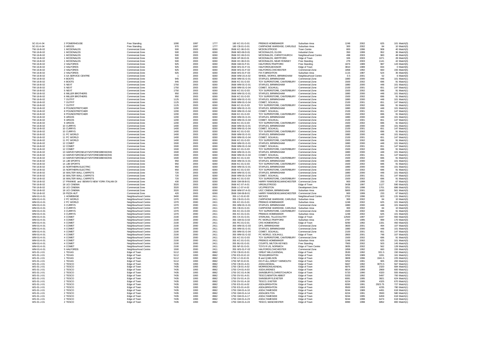| SC-01-K-04               | 2 POWERHOUSE                              | Free Standing        | 1090         | 1997         | 1777         | 180 KC-01-G-01                     | PREMUS HOMEMAKER                                  | Suburban Area          | 1248         | 2002         | 625        | 101 Match(3)              |
|--------------------------|-------------------------------------------|----------------------|--------------|--------------|--------------|------------------------------------|---------------------------------------------------|------------------------|--------------|--------------|------------|---------------------------|
| SC-01-K-04               | 3 ARGOS                                   | Free Standing        | 970          | 1997         | 1777         | 180 CB-01-G-01                     | CARPHONE WAREHSE, CARLISLE Suburban Area          |                        | 300          | 2002         | 84         | 10 Match(3)               |
| TW-16-B-02               | 1 MCDONALDS                               | Commercial Zone      | 500          | 2003         | 8260         | 3568 KC-06-D-01                    | MCDON.STROOD                                      | Town Centre            | 800          | 1996         | 908        | 40 Match(3)               |
| TW-16-B-02               | 1 MCDONALDS                               | Commercial Zone      | 500          | 2003         | 8260         | 3568 MO-06-D-01                    | MCDONALDS, ELGIN                                  | Industrial Zone        | 350          | 1999         | 952        | 36 Match(3)               |
| TW-16-B-02               | 1 MCDONALDS                               | Commercial Zone      | 500          | 2003         | 8260         | 3568 DC-06-D-01                    | MCDONALDS, CHRISTCHURCH                           | Neighbourhood Centre   | 498          | 2003         | 983        | 48 Match(3)               |
| TW-16-B-02               | 1 MCDONALDS                               | Commercial Zone      | 500          | 2003         | 8260         | 3568 HF-06-D-01                    | MCDONALDS. HERTFORD                               | Edge of Town           | 326          | 2003         | 1071       | 28 Match(3)               |
| TW-16-B-02               | 1 MCDONALDS                               | Commercial Zone      | 500          | 2003         | 8260         | 3568 HC-06-D-01                    | MCDONALDS, NEAR ROMSEY                            | Free Standing          | 279          | 2003         | 1141       | 42 Match(3)               |
| TW-16-B-02               | 2 HALFORDS                                | Commercial Zone      | 925          | 2003         | 8260         | 3568 GM-01-F-01                    | HALFORDS, TRAFFORD                                | Free Standing          | 1874         | 1989         | 987        | 143 Match(5)              |
| TW-16-B-02               | 2 HALFORDS                                | Commercial Zone      | 925          | 2003         | 8260         | 3568 WS-01-F-01                    | HALFORDS, BOGNOR                                  | Edge of Town           | 3810         | 1989         | 834        | 0 Match(5)                |
| TW-16-B-02               | 2 HALFORDS                                | Commercial Zone      | 925          | 2003         | 8260         | 3568 WS-01-F-02                    | HALFORDS.CHICHESTER                               | Commercial Zone        | 1858         | 1992         | 660        | 155 Match(5)              |
| TW-16-B-02               | 2 HALFORDS                                | Commercial Zone      | 925          | 2003         | 8260         | 3568 WS-01-F-03                    | FIX IT, BRIGHTON                                  | Suburban Area          | 1115         | 1987         | 524        | 35 Match(5)               |
| TW-16-B-02               | 3 AA SERVICE CENTRE                       | Commercial Zone      | $-1$         | 2003         | 8260         | 3568 WM-15-A-02                    | WHEEL WORKS, BIRMINGHAM                           | Neighbourhood Centre   | 0.5          | 2001         | 52         | 6 Match(3)                |
| TW-16-B-02               | 4 BOOTS                                   | Commercial Zone      | 945          | 2003         | 8260         | 3568 WM-01-G-01                    | STAPI FS. BIRMINGHAM                              | Commercial Zone        | 1880         | 2000         | 448        | 101 Match(1)              |
| TW-16-B-02               | 4 BOOTS                                   | Commercial Zone      | 945          | 2003         | 8260         | 3568 KC-01-G-03                    | TOY SUPERSTORE, CANTERBURY                        | Commercial Zone        | 1500         | 2002         | 696        | 91 Match(1)               |
| TW-16-B-02               | 5 NEXT                                    | Commercial Zone      | 1750         | 2003         | 8260         | 3568 WM-01-G-01                    | STAPLES, BIRMINGHAM                               | Commercial Zone        | 1880         | 2000         | 448        | 101 Match(1)              |
| TW-16-B-02               | 5 NEXT                                    | Commercial Zone      | 1750         | 2003         | 8260         | 3568 WM-01-G-04                    | COMET. SOLIHULL                                   | Commercial Zone        | 2100         | 2001         | 651        | 147 Match(1               |
| TW-16-B-02               | 5 NEXT                                    | Commercial Zone      | 1750         | 2003         | 8260         | 3568 KC-01-G-03                    | TOY SUPERSTORE, CANTERBURY                        | Commercial Zone        | 1500         | 2002         | 696        | 91 Match(1)               |
| TW-16-B-02               | 6 MILLER BROTHERS                         | Commercial Zone      | 950          | 2003         | 8260         | 3568 WM-01-G-01                    | STAPI FS BIRMINGHAM                               | Commercial Zone        | 1880         | 2000         | 448        | 101 Match(1)              |
| TW-16-B-02               | 6 MILLER BROTHERS                         | Commercial Zone      | 950          | 2003         | 8260         | 3568 KC-01-G-03                    | TOY SUPERSTORE, CANTERBURY                        | Commercial Zone        | 1500         | 2002         | 696        | 91 Match(1                |
| TW-16-B-02               | 7 OUTFIT                                  | Commercial Zone      | 1125         | 2003         | 8260         | 3568 WM-01-G-01                    | STAPLES, BIRMINGHAM                               | Commercial Zone        | 1880         | 2000         | 448        | 101 Match(1               |
| TW-16-B-02               | 7 OUTFIT                                  | Commercial Zone      | 1125         | 2003         | 8260         | 3568 WM-01-G-04                    | COMET. SOLIHULL                                   | Commercial Zone        | 2100         | 2001         | 651        | 147 Match(1               |
| TW-16-B-02               | 7 OUTFIT                                  | Commercial Zone      | 1125         | 2003         | 8260         | 3568 KC-01-G-03                    | TOY SUPERSTORE, CANTERBURY                        | Commercial Zone        | 1500         | 2002         | 696        | 91 Match(1                |
| TW-16-B-02               | 8 POUNDSTRETCHER                          | Commercial Zone      | 1200         | 2003         | 8260         | 3568 WM-01-G-01                    | STAPLES, BIRMINGHAM                               | Commercial Zone        | 1880         | 2000         | 448        | 101 Match(1)              |
| TW-16-B-02               | 8 POUNDSTRETCHER                          | Commercial Zone      | 1200         | 2003         | 8260         | 3568 WM-01-G-04                    | COMET. SOLIHULL                                   | Commercial Zone        | 2100         | 2001         | 651        | 147 Match(1)              |
| TW-16-B-02               | 8 POUNDSTRETCHER                          | Commercial Zone      | 1200         | 2003         | 8260         | 3568 KC-01-G-03                    | TOY SUPERSTORE, CANTERBURY                        | Commercial Zone        | 1500         | 2002         | 696        | 91 Match(1)               |
| TW-16-B-02               | 9 ARGOS                                   | Commercial Zone      | 1200         | 2003         | 8260         | 3568 WM-01-G-01                    | STAPLES, BIRMINGHAM                               | Commercial Zone        | 1880         | 2000         | 448        | 101 Match(1)              |
| TW-16-B-02               | 9 ARGOS                                   | Commercial Zone      | 1200         | 2003         | 8260         | 3568 WM-01-G-04                    | COMET. SOLIHULL                                   | Commercial Zone        | 2100         | 2001         | 651        | 147 Match(1)              |
| TW-16-B-02               | 9 ARGOS                                   | Commercial Zone      | 1200         | 2003         | 8260         | 3568 KC-01-G-03                    | TOY SUPERSTORE, CANTERBURY                        | <b>Commercial Zone</b> | 1500         | 2002         | 696        | 91 Match(1                |
| TW-16-B-02               | 10 CURRYS                                 | Commercial Zone      | 1400         | 2003         | 8260         | 3568 WM-01-G-01                    | STAPLES, BIRMINGHAM                               | Commercial Zone        | 1880         | 2000         | 448        | 101 Match(1)              |
| TW-16-B-02               | 10 CURRYS                                 | Commercial Zone      | 1400         | 2003         | 8260         | 3568 WM-01-G-04                    | COMET. SOLIHULL                                   | Commercial Zone        | 2100         | 2001         | 651        | 147 Match(1)              |
| TW-16-B-02               | 10 CURRYS                                 | Commercial Zone      | 1400         | 2003         | 8260         | 3568 KC-01-G-03                    | TOY SUPERSTORE, CANTERBURY                        | Commercial Zone        | 1500         | 2002         | 696        | 91 Match(1)               |
| TW-16-B-02               | 11 PC WORLD                               | Commercial Zone      | 1400         | 2003         | 8260         | 3568 WM-01-G-01                    | STAPLES, BIRMINGHAM                               | Commercial Zone        | 1880         | 2000         | 448        | 101 Match(1)              |
|                          |                                           | Commercial Zone      |              |              | 8260         |                                    |                                                   |                        |              | 2001         | 651        | 147 Match(1)              |
| TW-16-B-02               | 11 PC WORLD                               |                      | 1400         | 2003         |              | 3568 WM-01-G-04                    | COMET. SOLIHULL                                   | Commercial Zone        | 2100         |              |            |                           |
| TW-16-B-02<br>TW-16-B-02 | 11 PC WORLD<br>12 COMET                   | Commercial Zone      | 1400<br>1500 | 2003<br>2003 | 8260<br>8260 | 3568 KC-01-G-03<br>3568 WM-01-G-01 | TOY SUPERSTORE, CANTERBURY<br>STAPLES, BIRMINGHAM | Commercial Zone        | 1500<br>1880 | 2002<br>2000 | 696<br>448 | 91 Match(1<br>101 Match(1 |
|                          |                                           | Commercial Zone      |              |              |              |                                    |                                                   | Commercial Zone        |              |              |            |                           |
| TW-16-B-02               | 12 COMET                                  | Commercial Zone      | 1500         | 2003         | 8260         | 3568 WM-01-G-04                    | COMET, SOLIHULL                                   | Commercial Zone        | 2100         | 2001         | 651        | 147 Match(1)              |
| TW-16-B-02               | 12 COMET                                  | Commercial Zone      | 1500         | 2003         | 8260         | 3568 KC-01-G-03                    | TOY SUPERSTORE, CANTERBURY                        | Commercial Zone        | 1500         | 2002         | 696        | 91 Match(1)               |
| TW-16-B-02               | 13 HARVEYS/ROSELEYS/STORIES/BENSONS       | Commercial Zone      | 1500         | 2003         | 8260         | 3568 WM-01-G-01                    | STAPLES, BIRMINGHAM                               | Commercial Zone        | 1880         | 2000         | 448        | 101 Match(1)              |
| TW-16-B-02               | 13 HARVEYS/ROSELEYS/STORIES/BENSONS       | Commercial Zone      | 1500         | 2003         | 8260         | 3568 WM-01-G-04                    | COMET, SOLIHULL                                   | Commercial Zone        | 2100         | 2001         | 651        | 147 Match(1)              |
| TW-16-B-02               | 13 HARVEYS/ROSELEYS/STORIES/BENSONS       | Commercial Zone      | 1500         | 2003         | 8260         | 3568 KC-01-G-03                    | TOY SUPERSTORE, CANTERBURY                        | Commercial Zone        | 1500         | 2002         | 696        | 91 Match(1                |
| TW-16-B-02               | 14 JUB SPORTS                             | Commercial Zone      | 950          | 2003         | 8260         | 3568 WM-01-G-01                    | STAPI FS BIRMINGHAM                               | Commercial Zone        | 1880         | 2000         | 448        | 101 Match(1)              |
| TW-16-B-02               | 14 JJB SPORTS                             | Commercial Zone      | 950          | 2003         | 8260         | 3568 KC-01-G-03                    | TOY SUPERSTORE, CANTERBURY                        | Commercial Zone        | 1500         | 2002         | 696        | 91 Match(1)               |
| TW-16-B-02               | 15 NORTHERN ELECTRIC                      | Commercial Zone      | 950          | 2003         | 8260         | 3568 WM-01-G-01                    | STAPLES, BIRMINGHAM                               | Commercial Zone        | 1880         | 2000         | 448        | 101 Match(1)              |
| TW-16-B-02               | 15 NORTHERN ELECTRIC                      | Commercial Zone      | 950          | 2003         | 8260         | 3568 KC-01-G-03                    | TOY SUPERSTORE, CANTERBURY                        | Commercial Zone        | 1500         | 2002         | 696        | 91 Match(1)               |
| TW-16-B-02               | 16 WALTER WALL CARPETS                    | Commercial Zone      | 720          | 2003         | 8260         | 3568 WM-01-G-01                    | STAPLES, BIRMINGHAM                               | Commercial Zone        | 1880         | 2000         | 448        | 101 Match(2)              |
| TW-16-B-02               | 16 WALTER WALL CARPETS                    | Commercial Zone      | 720          | 2003         | 8260         | 3568 WM-01-G-04                    | COMET, SOLIHULL                                   | Commercial Zone        | 2100         | 2001         | 651        | 147 Match(2)              |
| TW-16-B-02               | 16 WALTER WALL CARPETS                    | Commercial Zone      | 720          | 2003         | 8260         | 3568 KC-01-G-03                    | TOY SUPERSTORE, CANTERBURY Commercial Zone        |                        | 1500         | 2002         | 696        | 91 Match(2)               |
| TW-16-B-02               | 17 FRANKIE and BENNYS NEW YORK ITALIAN DI | Commercial Zone      | 430          | 2003         | 8260         | 3568 GM-06-B-01                    | HARRY RAMSDENS, MANCHESTER Commercial Zone        |                        | 900          | 1999         | 233        | 67 Match(2)               |
| TW-16-B-02               | 18 UCI CINEMA                             | Commercial Zone      | 3320         | 2003         | 8260         | 3568 KC-07-A-01                    | <b>VIRGIN, STROOD</b>                             | Edge of Town           | 3438         | 1997         | 1127       | 590 Match(3)              |
| TW-16-B-02               | 18 UCI CINEMA                             | Commercial Zone      | 3320         | 2003         | 8260         | 3568 LC-07-A-02                    | UCI, PRESTON                                      | Development Zone       | 3251         | 1998         | 1701       | 686 Match(3)              |
| TW-16-B-02               | 18 UCI CINEMA                             | Commercial Zone      | 3320         | 2003         | 8260         | 3568 WM-07-A-01                    | UGC CINEMA, BIRMINGHAM                            | Suburban Area          | 5800         | 2001         | 1630       | 561 Match(3)              |
| TW-16-B-02               | 19 PIZZA HUT                              | Commercial Zone      | 420          | 2003         | 8260         | 3568 GM-06-B-01                    | HARRY RAMSDENS, MANCHESTER                        | Commercial Zone        | 900          | 1999         | 233        | 67 Match(2)               |
| WM-01-K-01               | 1 HOMEBASE                                | Neighbourhood Centre | 3400         | 2000         | 2411         | 355 LC-01-E-03                     | <b>WICKES</b>                                     | Neighbourhood Centre   | 2702         | 1996         | 823        | 131 Match(1)              |
| WM-01-K-01               | 2 PC WORLD                                | Neighbourhood Centre | 1370         | 2000         | 2411         | 355 CB-01-G-01                     | CARPHONE WAREHSE, CARLISLE Suburban Area          |                        | 300          | 2002         | 84         | 10 Match(3)               |
| WM-01-K-01               | 2 PC WORLD                                | Neighbourhood Centre | 1370         | 2000         | 2411         | 355 KC-01-G-01                     | PREMUS HOMEMAKER                                  | Suburban Area          | 1248         | 2002         | 625        | 101 Match(3)              |
| WM-01-K-01               | 3 CURRYS                                  | Neighbourhood Centre | 1370         | 2000         | 2411         | 355 WM-01-G-01                     | STAPLES, BIRMINGHAM                               | Commercial Zone        | 1880         | 2000         | 448        | 101 Match(3)              |
| WM-01-K-01               | 3 CURRYS                                  | Neighbourhood Centre | 1370         | 2000         | 2411         | 355 CB-01-G-01                     | CARPHONE WAREHSE, CARLISLE Suburban Area          |                        | 300          | 2002         | 84         | 10 Match(3)               |
| WM-01-K-01               | 3 CURRYS                                  | Neighbourhood Centre | 1370         | 2000         | 2411         | 355 KC-01-G-03                     | TOY SUPERSTORE, CANTERBURY                        | Commercial Zone        | 1500         | 2002         | 696        | 91 Match(3)               |
| WM-01-K-01               | 3 CURRYS                                  | Neighbourhood Centre | 1370         | 2000         | 2411         | 355 KC-01-G-01                     | PREMUS HOMEMAKER                                  | Suburban Area          | 1248         | 2002         | 625        | 101 Match(3)              |
| WM-01-K-01               | 4 COMET                                   | Neighbourhood Centre | 2100         | 2000         | 2411         | 355 CK-01-G-01                     | STERLING, TILLICOULTRY                            | Edge of Town           | 12500        | 1997         | 1037       | 550 Match(3)              |
| WM-01-K-0                | 4 COMET                                   | Neighbourhood Centre | 2100         | 2000         | 2411         | 355 GM-01-G-02                     | PC WORLD.TRAFFORD                                 | Suburban Area          | 2787         | 1995         | 999        | 170 Match(3)              |
| WM-01-K-01               | 4 COMET                                   | Neighbourhood Centre | 2100         | 2000         | 2411         | 355 RC-01-G-01                     | CRS HOMEWORLD                                     | Edge of Town           | 9290         | 1992         | 1331       | 450 Match(3)              |
| WM-01-K-01               | 4 COMET                                   | Neighbourhood Centre | 2100         | 2000         | 2411         | 355 WM-01-G-03                     | DFS, BIRMINGHAM                                   | Commercial Zone        | 3600         | 2001         | 494        | 107 Match(3)              |
| WM-01-K-0                | 4 COMET                                   | Neighbourhood Centre | 2100         | 2000         | 2411         | 355 WM-01-G-01                     | STAPLES, BIRMINGHAM                               | Commercial Zone        | 1880         | 2000         | 448        | 101 Match(3)              |
| WM-01-K-0                | 4 COMET                                   | Neighbourhood Centre | 2100         | 2000         | 2411         | 355 WM-01-G-04                     | COMET. SOLIHULL                                   | Commercial Zone        | 2100         | 2001         | 651        | 147 Match(3)              |
| WM-01-K-01               | 4 COMET                                   | Neighbourhood Centre | 2100         | 2000         | 2411         | 355 WM-01-G-02                     | PC WORLD, SOLIHULL                                | Edge of Town           | 2800         | 2001         | 748        | 107 Match(3)              |
| WM-01-K-0                | 4 COMET                                   | Neighbourhood Centre | 2100         | 2000         | 2411         | 355 KC-01-G-03                     | TOY SUPERSTORE, CANTERBURY                        | Commercial Zone        | 1500         | 2002         | 696        | 91 Match(3)               |
| WM-01-K-01               | 4 COMET                                   | Neighbourhood Centre | 2100         | 2000         | 2411         | 355 KC-01-G-01                     | PREMUS HOMEMAKER                                  | Suburban Area          | 1248         | 2002         | 625        | 101 Match(3)              |
| WM-01-K-01               | 4 COMET                                   | Neighbourhood Centre | 2100         | 2000         | 2411         | 355 BU-01-G-01                     | COURTS. MILTON KEYNES                             | Free Standing          | 7900         | 2002         | 503        | 145 Match(3)              |
| WM-01-K-01               | 4 COMET                                   | Neighbourhood Centre | 2100         | 2000         | 2411         | 355 NF-01-G-01                     | TOYS R US, NORWICH                                | Edge of Town Centre    | 3835         | 2002         | 562        | 128 Match(3)              |
| WM-01-K-01               | 5 HALFORDS                                | Neighbourhood Centre | 1500         | 2000         | 2411         | 355 WS-01-F-02                     | HALFORDS, CHICHESTER                              | Commercial Zone        | 1858         | 1992         | 660        | 155 Match(3)              |
| WS-01-J-01               | 1 TFXAS                                   | Edge of Town         | 5112         | 1993         | 8962         | 1750 CB-01-E-01                    | <b>GREAT MILLS KENDAL</b>                         | <b>Edge of Town</b>    | 3530         | 1992         | 931.5      | 150 Match(1)              |
| WS-01-J-01               | 1 TEXAS                                   | Edge of Town         | 5112         | 1993         | 8962         | 1750 ES-01-E-10                    | <b>TEXAS, BRIGHTON</b>                            | Edge of Town           | 3250         | 1989         | 1031       | 161 Match(1)              |
| WS-01-J-01               | 1 TEXAS                                   | Edge of Town         | 5112         | 1993         | 8962         | 1750 LC-01-E-01                    | B and Q,NELSON                                    | Edge of Town           | 3809         | 1996         | 1941.5     | 225 Match(1)              |
| WS-01-J-01               | 1 TEXAS                                   | Edge of Town         | 5112         | 1993         | 8962         | 1750 NF-01-E-01                    | DO-IT-ALL, GREAT YARMOUTH                         | Edge of Town           | 3252         | 1991         | 905        | 200 Match(1)              |
| WS-01-J-01               | 2 TESCO                                   | Edge of Town         | 7435         | 1993         | 8962         | 1750 CB-01-A-01                    | ASDA, KENDAL                                      | Edge of Town           | 5667         | 1992         | 3070.5     | 567 Match(1               |
| WS-01-J-01               | 2 TESCO                                   | Edge of Town         | 7435         | 1993         | 8962         | 1750 CB-01-A-02                    | MORRISONS.KENDAL                                  | Edge of Town           | 6875         | 1992         | 2320       | 684 Match(1               |
| WS-01-J-01               | 2 TESCO                                   | Edge of Town         | 7435         | 1993         | 8962         | 1750 CH-01-A-03                    | ASDA, WIDNES                                      | Edge of Town           | 6814         | 1989         | 2869       | 600 Match(1               |
| WS-01-J-01               | 2 TESCO                                   | Edge of Town         | 7435         | 1993         | 8962         | 1750 DC-01-A-06                    | SAINSBURYS, CHRISTCHURCH                          | Edge of Town           | 5720         | 1990         | 4320       | 555 Match(1)              |
| WS-01-J-01               | 2 TESCO                                   | Edge of Town         | 7435         | 1993         | 8962         | 1750 DV-01-A-01                    | TESCO NEWTON ABBOT                                | <b>Edge of Town</b>    | 5333         | 1992         | 5497       | 700 Match(1               |
| WS-01-J-01               | 2 TESCO                                   | Edge of Town         | 7435         | 1993         | 8962         | 1750 DV-01-A-15                    | SAINSBURYS.EXETER                                 | Edge of Town           | 6081         | 1995         | 3821       | 624 Match(1               |
| WS-01-J-01               | 2 TESCO                                   | Edge of Town         | 7435         | 1993         | 8962         | 1750 DV-01-A-18                    | TESCO, EXETER                                     | Edge of Town           | 6224         | 1995         | 4325       | 670 Match(1)              |
| WS-01-J-01               | 2 TESCO                                   | Edge of Town         | 7435         | 1993         | 8962         | 1750 FS-01-A-02                    | <b>ASDA BRIGHTON</b>                              | <b>Edge of Town</b>    | 8260         | 1991         | 2923.75    | 727 Match(1               |
| WS-01-J-01               | 2 TESCO                                   | Edge of Town         | 7435         | 1993         | 8962         | 1750 ES-01-A-03                    | ASDA, BRIGHTON                                    | Edge of Town           | 9500         | 1993         | 4235       | 780 Match(1               |
| WS-01-J-01               | 2 TESCO                                   | Edge of Town         | 7435         | 1993         | 8962         | 1750 GM-01-A-10                    | ASDA,TAMESIDE                                     | Edge of Town           | 9244         | 1989         | 4491       | 618 Match(1)              |
| WS-01-J-01               | 2 TESCO                                   | Edge of Town         | 7435         | 1993         | 8962         | 1750 GM-01-A-14                    | ASDA BOLTON                                       | Edge of Town           | 6224         | 1991         | 3593       | 580 Match(1)              |
| WS-01-J-01               | 2 TESCO                                   | Edge of Town         | 7435         | 1993         | 8962         | 1750 GM-01-A-17                    | ASDA,TAMESIDE                                     | Edge of Town           | 9244         | 1995         | 6459       | 618 Match(1)              |
| WS-01-J-01               | 2 TESCO                                   | Edge of Town         | 7435         | 1993         | 8962         | 1750 GM-01-A-23                    | ASDA.TAMESIDE                                     | Edge of Town           | 9244         | 1998         | 6474       | 618 Match(1)              |
|                          |                                           |                      |              |              | 8962         | 1750 GM-01-A-24                    | <b>TESCO, MANCHESTER</b>                          | Edge of Town           | 6990         | 1 QQR        |            | 800 Match(1)              |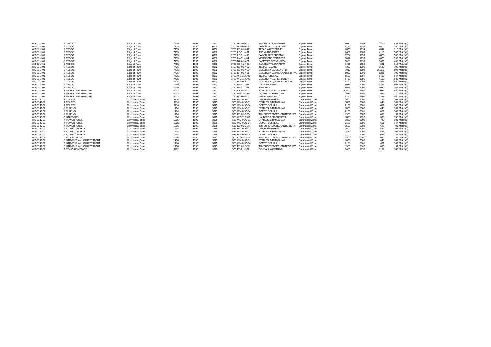| WS-01-J-01 | 2 TESCO                    | Edge of Town    | 7435  | 1993 | 8962 | 1750 HC-01-A-01 | SAINSBURYS.FAREHAM         | Edge of Town     | 5030  | 1993 | 2804   | 585 Match(1) |
|------------|----------------------------|-----------------|-------|------|------|-----------------|----------------------------|------------------|-------|------|--------|--------------|
| WS-01-J-01 | 2 TESCO                    | Edge of Town    | 7435  | 1993 | 8962 | 1750 HC-01-A-02 | SAINSBURYS, FAREHAM        | Edge of Town     | 6210  | 1999 | 4475   | 563 Match(1) |
| WS-01-J-01 | 2 TESCO                    | Edge of Town    | 7435  | 1993 | 8962 | 1750 KC-01-A-12 | TESCO.WHITSTABLE           | Edge of Town     | 6038  | 1994 | 4047   | 710 Match(1) |
| WS-01-J-01 | 2 TESCO                    | Edge of Town    | 7435  | 1993 | 8962 | 1750 LC-01-A-01 | ASDA.LANCASTER             | Edge of Town     | 6689  | 1989 | 4116   | 506 Match(1) |
| WS-01-J-01 | 2 TESCO                    | Edge of Town    | 7435  | 1993 | 8962 | 1750 LC-01-A-09 | SAINSBURYS.PRESTON         | Edge of Town     | 5704  | 1993 | 4826   | 500 Match(1) |
| WS-01-J-01 | 2 TESCO                    | Edge of Town    | 7435  | 1993 | 8962 | 1750 LN-01-A-04 | MORRISONS.STAMFORD         | Edge of Town     | 7017  | 1993 | 4678   | 595 Match(1) |
| WS-01-J-01 | 2 TESCO                    | Edge of Town    | 7435  | 1993 | 8962 | 1750 NA-01-A-01 | SAFEWAY, STEVENSTON        | Edge of Town     | 5028  | 1999 | 3665   | 407 Match(1) |
| WS-01-J-01 | 2 TESCO                    | Edge of Town    | 7435  | 1993 | 8962 | 1750 SC-01-A-01 | SAINSBURYS.BURPHAM         | Edge of Town     | 6456  | 1989 | 4891   | 610 Match(1) |
| WS-01-J-01 | 2 TESCO                    | Edge of Town    | 7435  | 1993 | 8962 | 1750 SC-01-A-02 | <b>TESCO.REIGATE</b>       | Edge of Town     | 7350  | 1992 | 5640   | 700 Match(1) |
| WS-01-J-01 | 2 TESCO                    | Edge of Town    | 7435  | 1993 | 8962 | 1750 SC-01-A-03 | SAINSBURYS.GUILDFORD       | Edge of Town     | 7012  | 1992 | 5501.5 | 593 Match(1) |
| WS-01-J-01 | 2 TESCO                    | Edge of Town    | 7435  | 1993 | 8962 | 1750 SH-01-A-01 | SAINSBURYS.MACDONALDS DRIV | /E1 Edge of Town | 5850  | 1993 | 5221   | 700 Match(1) |
| WS-01-J-01 | 2 TESCO                    | Edge of Town    | 7435  | 1993 | 8962 | 1750 WS-01-A-02 | TESCO.HORSHAM              | Edge of Town     | 6503  | 1987 | 5417   | 647 Match(1) |
| WS-01-J-01 | 2 TESCO                    | Edge of Town    | 7435  | 1993 | 8962 | 1750 WS-01-A-05 | SAINSBURYS.CHICHESTER      | Edge of Town     | 5769  | 1991 | 4110   | 639 Match(1) |
| WS-01-J-01 | 2 TESCO                    | Edge of Town    | 7435  | 1993 | 8962 | 1750 DC-01-A-07 | SAINSBURYS.CHRISTCHURCH    | Edge of Town     | 5720  | 1997 | 5221   | 589 Match(1) |
| WS-01-J-01 | 2 TESCO                    | Edge of Town    | 7435  | 1993 | 8962 | 1750 NT-01-A-02 | ASDA, MANSFIELD            | Edge of Town     | 8081  | 2000 | 6326   | 601 Match(1) |
| WS-01-J-01 | 2 TESCO                    | Edge of Town    | 7435  | 1993 | 8962 | 1750 NT-01-A-03 | SAFEWAY                    | Edge of Town     | 5016  | 2000 | 4644   | 761 Match(1) |
| WS-01-J-01 | 3 MARKS and SPENCER        | Edge of Town    | 10037 | 1993 | 8962 | 1750 CK-01-G-01 | STERLING, TILLICOULTRY     | Edge of Town     | 12500 | 1997 | 1037   | 550 Match(1) |
| WS-01-J-01 | 3 MARKS and SPENCER        | Edge of Town    | 10037 | 1993 | 8962 | 1750 GM-01-G-01 | <b>AQUATIC SUPERSTORE</b>  | Edge of Town     | 7989  | 1991 | 527    | 70 Match(1)  |
| WS-01-J-01 | 3 MARKS and SPENCER        | Edge of Town    | 10037 | 1993 | 8962 | 1750 RC-01-G-01 | CRS HOMEWORLD              | Edge of Town     | 9290  | 1992 | 1331   | 450 Match(1) |
| WS-01-K-07 | 1 COURTS                   | Commercial Zone | 3716  | 1996 | 3975 | 535 WM-01-G-03  | DFS. BIRMINGHAM            | Commercial Zone  | 3600  | 2001 | 494    | 107 Match(1) |
| WS-01-K-07 | 1 COURTS                   | Commercial Zone | 3716  | 1996 | 3975 | 535 WM-01-G-01  | STAPLES, BIRMINGHAM        | Commercial Zone  | 1880  | 2000 | 448    | 101 Match(1) |
| WS-01-K-07 | 1 COURTS                   | Commercial Zone | 3716  | 1996 | 3975 | 535 WM-01-G-04  | COMET. SOLIHULL            | Commercial Zone  | 2100  | 2001 | 651    | 147 Match(1) |
| WS-01-K-07 | 2 CURRYS                   | Commercial Zone | 1194  | 1996 | 3975 | 535 WM-01-G-01  | STAPLES, BIRMINGHAM        | Commercial Zone  | 1880  | 2000 | 448    | 101 Match(1) |
| WS-01-K-07 | 2 CURRYS                   | Commercial Zone | 1194  | 1996 | 3975 | 535 WM-01-G-04  | COMET. SOLIHULL            | Commercial Zone  | 2100  | 2001 | 651    | 147 Match(1) |
| WS-01-K-07 | 2 CURRYS                   | Commercial Zone | 1194  | 1996 | 3975 | 535 KC-01-G-03  | TOY SUPERSTORE, CANTERBURY | Commercial Zone  | 1500  | 2002 | 696    | 91 Match(1)  |
| WS-01-K-07 | 3 HALFORDS                 | Commercial Zone | 1234  | 1996 | 3975 | 535 WS-01-F-02  | HALFORDS.CHICHESTER        | Commercial Zone  | 1858  | 1992 | 660    | 155 Match(1) |
| WS-01-K-07 | 4 POWERHOUSE               | Commercial Zone | 1205  | 1996 | 3975 | 535 WM-01-G-01  | STAPLES, BIRMINGHAM        | Commercial Zone  | 1880  | 2000 | 448    | 101 Match(1) |
| WS-01-K-07 | 4 POWERHOUSE               | Commercial Zone | 1205  | 1996 | 3975 | 535 WM-01-G-04  | COMET. SOLIHULL            | Commercial Zone  | 2100  | 2001 | 651    | 147 Match(1) |
| WS-01-K-07 | 4 POWERHOUSE               | Commercial Zone | 1205  | 1996 | 3975 | 535 KC-01-G-03  | TOY SUPERSTORE, CANTERBURY | Commercial Zone  | 1500  | 2002 | 696    | 91 Match(1)  |
| WS-01-K-07 | 5 ALLIED CARPETS           | Commercial Zone | 1904  | 1996 | 3975 | 535 WM-01-G-03  | DFS. BIRMINGHAM            | Commercial Zone  | 3600  | 2001 | 494    | 107 Match(1) |
| WS-01-K-07 | 5 ALLIED CARPETS           | Commercial Zone | 1904  | 1996 | 3975 | 535 WM-01-G-01  | STAPLES, BIRMINGHAM        | Commercial Zone  | 1880  | 2000 | 448    | 101 Match(1) |
| WS-01-K-07 | 5 ALLIED CARPETS           | Commercial Zone | 1904  | 1996 | 3975 | 535 WM-01-G-04  | COMET. SOLIHULL            | Commercial Zone  | 2100  | 2001 | 651    | 147 Match(1) |
| WS-01-K-07 | 5 ALLIED CARPETS           | Commercial Zone | 1904  | 1996 | 3975 | 535 KC-01-G-03  | TOY SUPERSTORE, CANTERBURY | Commercial Zone  | 1500  | 2002 | 696    | 91 Match(1)  |
| WS-01-K-07 | 6 HARVEYS and CARPET RIGHT | Commercial Zone | 1498  | 1996 | 3975 | 535 WM-01-G-01  | STAPLES, BIRMINGHAM        | Commercial Zone  | 1880  | 2000 | 448    | 101 Match(1) |
| WS-01-K-07 | 6 HARVEYS and CARPET RIGHT | Commercial Zone | 1498  | 1996 | 3975 | 535 WM-01-G-04  | COMET. SOLIHULL            | Commercial Zone  | 2100  | 2001 | 651    | 147 Match(1) |
| WS-01-K-07 | 6 HARVEYS and CARPET RIGHT | Commercial Zone | 1498  | 1996 | 3975 | 535 KC-01-G-03  | TOY SUPERSTORE, CANTERBURY | Commercial Zone  | 1500  | 2002 | 696    | 91 Match(1)  |
| WS-01-K-07 | 7 TEXAS HOMECARE           | Commercial Zone | 3792  | 1996 | 3975 | 535 ES-01-E-07  | DO-IT-ALL.WORTHING         | Commercial Zone  | 3605  | 1992 | 1169   | 180 Match(1) |